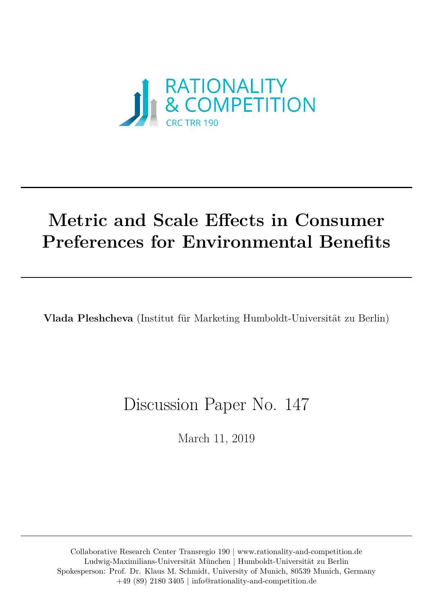

# **Metric and Scale Efects in Consumer Preferences for Environmental Benefits**

**Vlada Pleshcheva** (Institut für Marketing Humboldt-Universität zu Berlin)

# Discussion Paper No. 147

March 11, 2019

Collaborative Research Center Transregio 190 |<www.rationality-and-competition.de> Ludwig-Maximilians-Universität München | Humboldt-Universität zu Berlin Spokesperson: Prof. Dr. Klaus M. Schmidt, University of Munich, 80539 Munich, Germany +49 (89) 2180 3405 | [info@rationality-and-competition.de](mailto:info@rationality-and-competition.de)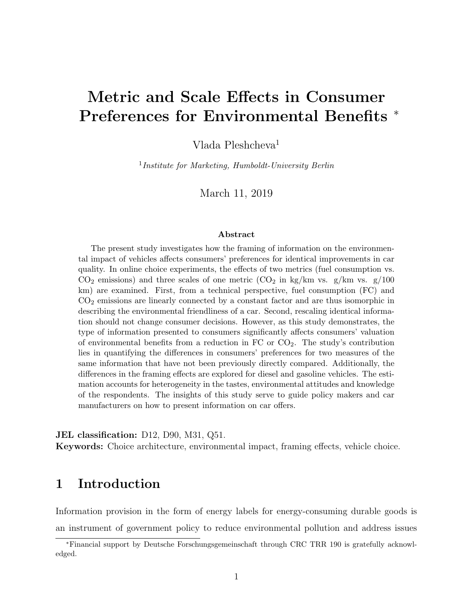## Metric and Scale Effects in Consumer Preferences for Environmental Benefits <sup>∗</sup>

Vlada Pleshcheva<sup>1</sup>

<sup>1</sup>Institute for Marketing, Humboldt-University Berlin

March 11, 2019

#### Abstract

The present study investigates how the framing of information on the environmental impact of vehicles affects consumers' preferences for identical improvements in car quality. In online choice experiments, the effects of two metrics (fuel consumption vs.  $CO<sub>2</sub>$  emissions) and three scales of one metric  $(CO<sub>2</sub>$  in kg/km vs. g/km vs. g/100 km) are examined. First, from a technical perspective, fuel consumption (FC) and CO<sup>2</sup> emissions are linearly connected by a constant factor and are thus isomorphic in describing the environmental friendliness of a car. Second, rescaling identical information should not change consumer decisions. However, as this study demonstrates, the type of information presented to consumers significantly affects consumers' valuation of environmental benefits from a reduction in  $FC$  or  $CO<sub>2</sub>$ . The study's contribution lies in quantifying the differences in consumers' preferences for two measures of the same information that have not been previously directly compared. Additionally, the differences in the framing effects are explored for diesel and gasoline vehicles. The estimation accounts for heterogeneity in the tastes, environmental attitudes and knowledge of the respondents. The insights of this study serve to guide policy makers and car manufacturers on how to present information on car offers.

JEL classification: D12, D90, M31, Q51. Keywords: Choice architecture, environmental impact, framing effects, vehicle choice.

## 1 Introduction

Information provision in the form of energy labels for energy-consuming durable goods is an instrument of government policy to reduce environmental pollution and address issues

<sup>∗</sup>Financial support by Deutsche Forschungsgemeinschaft through CRC TRR 190 is gratefully acknowledged.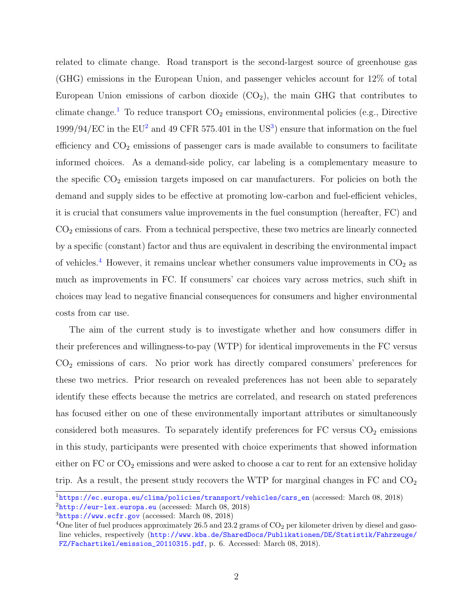related to climate change. Road transport is the second-largest source of greenhouse gas (GHG) emissions in the European Union, and passenger vehicles account for 12% of total European Union emissions of carbon dioxide  $(CO_2)$ , the main GHG that contributes to climate change.<sup>[1](#page-2-0)</sup> To reduce transport  $CO<sub>2</sub>$  emissions, environmental policies (e.g., Directive  $1999/94/EC$  in the EU<sup>[2](#page-2-1)</sup> and 49 CFR 575.401 in the US<sup>[3](#page-2-2)</sup>) ensure that information on the fuel efficiency and  $CO<sub>2</sub>$  emissions of passenger cars is made available to consumers to facilitate informed choices. As a demand-side policy, car labeling is a complementary measure to the specific  $CO<sub>2</sub>$  emission targets imposed on car manufacturers. For policies on both the demand and supply sides to be effective at promoting low-carbon and fuel-efficient vehicles, it is crucial that consumers value improvements in the fuel consumption (hereafter, FC) and CO<sup>2</sup> emissions of cars. From a technical perspective, these two metrics are linearly connected by a specific (constant) factor and thus are equivalent in describing the environmental impact of vehicles.<sup>[4](#page-2-3)</sup> However, it remains unclear whether consumers value improvements in  $CO<sub>2</sub>$  as much as improvements in FC. If consumers' car choices vary across metrics, such shift in choices may lead to negative financial consequences for consumers and higher environmental costs from car use.

The aim of the current study is to investigate whether and how consumers differ in their preferences and willingness-to-pay (WTP) for identical improvements in the FC versus  $CO<sub>2</sub>$  emissions of cars. No prior work has directly compared consumers' preferences for these two metrics. Prior research on revealed preferences has not been able to separately identify these effects because the metrics are correlated, and research on stated preferences has focused either on one of these environmentally important attributes or simultaneously considered both measures. To separately identify preferences for  $FC$  versus  $CO<sub>2</sub>$  emissions in this study, participants were presented with choice experiments that showed information either on  $FC$  or  $CO<sub>2</sub>$  emissions and were asked to choose a car to rent for an extensive holiday trip. As a result, the present study recovers the WTP for marginal changes in FC and  $CO<sub>2</sub>$ 

<span id="page-2-1"></span><span id="page-2-0"></span><sup>1</sup>[https://ec.europa.eu/clima/policies/transport/vehicles/cars\\_en](https://ec.europa.eu/clima/policies/transport/vehicles/cars_en) (accessed: March 08, 2018)  $2$ <http://eur-lex.europa.eu> (accessed: March 08, 2018)

<span id="page-2-2"></span> $3$ <https://www.ecfr.gov> (accessed: March 08, 2018)

<span id="page-2-3"></span><sup>&</sup>lt;sup>4</sup>One liter of fuel produces approximately 26.5 and 23.2 grams of  $CO<sub>2</sub>$  per kilometer driven by diesel and gasoline vehicles, respectively ([http://www.kba.de/SharedDocs/Publikationen/DE/Statistik/Fahrzeuge/](http://www.kba.de/SharedDocs/Publikationen/DE/Statistik/Fahrzeuge/FZ/Fachartikel/emission_20110315.pdf) [FZ/Fachartikel/emission\\_20110315.pdf](http://www.kba.de/SharedDocs/Publikationen/DE/Statistik/Fahrzeuge/FZ/Fachartikel/emission_20110315.pdf), p. 6. Accessed: March 08, 2018).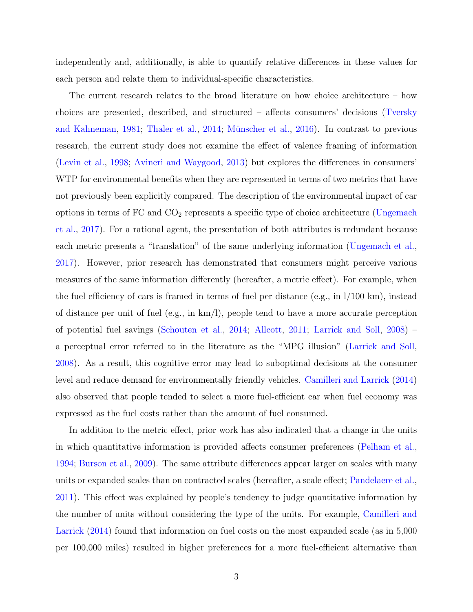independently and, additionally, is able to quantify relative differences in these values for each person and relate them to individual-specific characteristics.

The current research relates to the broad literature on how choice architecture – how choices are presented, described, and structured – affects consumers' decisions [\(Tversky](#page-37-0) [and Kahneman,](#page-37-0) [1981;](#page-37-0) [Thaler et al.,](#page-37-1) [2014;](#page-37-1) Münscher et al., [2016\)](#page-36-0). In contrast to previous research, the current study does not examine the effect of valence framing of information [\(Levin et al.,](#page-35-0) [1998;](#page-35-0) [Avineri and Waygood,](#page-33-0) [2013\)](#page-33-0) but explores the differences in consumers' WTP for environmental benefits when they are represented in terms of two metrics that have not previously been explicitly compared. The description of the environmental impact of car options in terms of  $FC$  and  $CO<sub>2</sub>$  represents a specific type of choice architecture [\(Ungemach](#page-37-2) [et al.,](#page-37-2) [2017\)](#page-37-2). For a rational agent, the presentation of both attributes is redundant because each metric presents a "translation" of the same underlying information [\(Ungemach et al.,](#page-37-2) [2017\)](#page-37-2). However, prior research has demonstrated that consumers might perceive various measures of the same information differently (hereafter, a metric effect). For example, when the fuel efficiency of cars is framed in terms of fuel per distance (e.g., in l/100 km), instead of distance per unit of fuel (e.g., in km/l), people tend to have a more accurate perception of potential fuel savings [\(Schouten et al.,](#page-36-1) [2014;](#page-36-1) [Allcott,](#page-33-1) [2011;](#page-33-1) [Larrick and Soll,](#page-35-1) [2008\)](#page-35-1) – a perceptual error referred to in the literature as the "MPG illusion" [\(Larrick and Soll,](#page-35-1) [2008\)](#page-35-1). As a result, this cognitive error may lead to suboptimal decisions at the consumer level and reduce demand for environmentally friendly vehicles. [Camilleri and Larrick](#page-33-2) [\(2014\)](#page-33-2) also observed that people tended to select a more fuel-efficient car when fuel economy was expressed as the fuel costs rather than the amount of fuel consumed.

In addition to the metric effect, prior work has also indicated that a change in the units in which quantitative information is provided affects consumer preferences [\(Pelham et al.,](#page-36-2) [1994;](#page-36-2) [Burson et al.,](#page-33-3) [2009\)](#page-33-3). The same attribute differences appear larger on scales with many units or expanded scales than on contracted scales (hereafter, a scale effect; [Pandelaere et al.,](#page-36-3) [2011\)](#page-36-3). This effect was explained by people's tendency to judge quantitative information by the number of units without considering the type of the units. For example, [Camilleri and](#page-33-2) [Larrick](#page-33-2) [\(2014\)](#page-33-2) found that information on fuel costs on the most expanded scale (as in 5,000 per 100,000 miles) resulted in higher preferences for a more fuel-efficient alternative than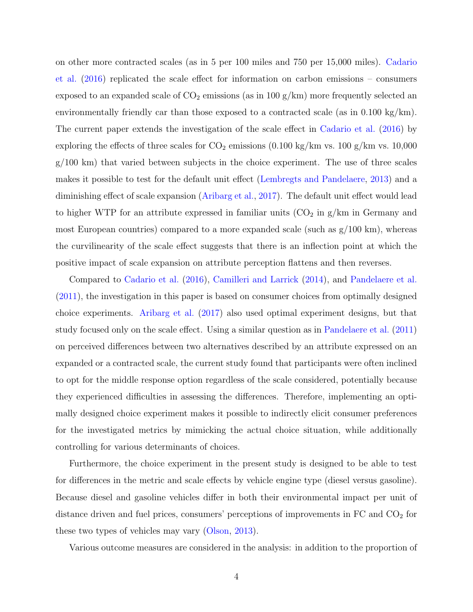on other more contracted scales (as in 5 per 100 miles and 750 per 15,000 miles). [Cadario](#page-33-4) [et al.](#page-33-4) [\(2016\)](#page-33-4) replicated the scale effect for information on carbon emissions – consumers exposed to an expanded scale of  $CO_2$  emissions (as in 100 g/km) more frequently selected an environmentally friendly car than those exposed to a contracted scale (as in 0.100 kg/km). The current paper extends the investigation of the scale effect in [Cadario et al.](#page-33-4) [\(2016\)](#page-33-4) by exploring the effects of three scales for  $CO_2$  emissions  $(0.100 \text{ kg/km vs. } 100 \text{ g/km vs. } 10,000 \text{ g/km}$  $g/100 \text{ km}$ ) that varied between subjects in the choice experiment. The use of three scales makes it possible to test for the default unit effect [\(Lembregts and Pandelaere,](#page-35-2) [2013\)](#page-35-2) and a diminishing effect of scale expansion [\(Aribarg et al.,](#page-33-5) [2017\)](#page-33-5). The default unit effect would lead to higher WTP for an attribute expressed in familiar units  $(CO<sub>2</sub>$  in  $g/km$  in Germany and most European countries) compared to a more expanded scale (such as  $g/100 \text{ km}$ ), whereas the curvilinearity of the scale effect suggests that there is an inflection point at which the positive impact of scale expansion on attribute perception flattens and then reverses.

Compared to [Cadario et al.](#page-33-4) [\(2016\)](#page-33-4), [Camilleri and Larrick](#page-33-2) [\(2014\)](#page-33-2), and [Pandelaere et al.](#page-36-3) [\(2011\)](#page-36-3), the investigation in this paper is based on consumer choices from optimally designed choice experiments. [Aribarg et al.](#page-33-5) [\(2017\)](#page-33-5) also used optimal experiment designs, but that study focused only on the scale effect. Using a similar question as in [Pandelaere et al.](#page-36-3) [\(2011\)](#page-36-3) on perceived differences between two alternatives described by an attribute expressed on an expanded or a contracted scale, the current study found that participants were often inclined to opt for the middle response option regardless of the scale considered, potentially because they experienced difficulties in assessing the differences. Therefore, implementing an optimally designed choice experiment makes it possible to indirectly elicit consumer preferences for the investigated metrics by mimicking the actual choice situation, while additionally controlling for various determinants of choices.

Furthermore, the choice experiment in the present study is designed to be able to test for differences in the metric and scale effects by vehicle engine type (diesel versus gasoline). Because diesel and gasoline vehicles differ in both their environmental impact per unit of distance driven and fuel prices, consumers' perceptions of improvements in  $FC$  and  $CO<sub>2</sub>$  for these two types of vehicles may vary [\(Olson,](#page-36-4) [2013\)](#page-36-4).

Various outcome measures are considered in the analysis: in addition to the proportion of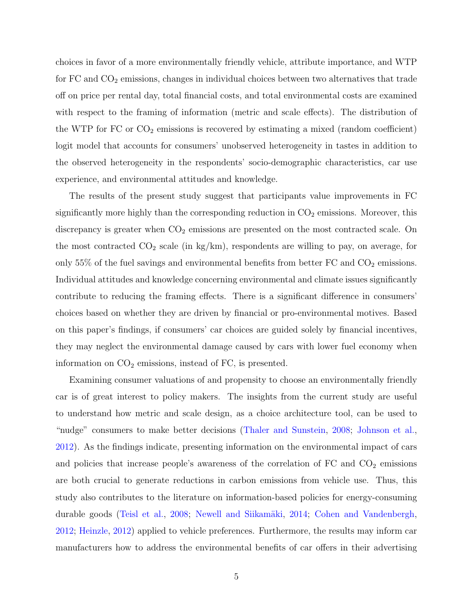choices in favor of a more environmentally friendly vehicle, attribute importance, and WTP for  $FC$  and  $CO<sub>2</sub>$  emissions, changes in individual choices between two alternatives that trade off on price per rental day, total financial costs, and total environmental costs are examined with respect to the framing of information (metric and scale effects). The distribution of the WTP for  $FC$  or  $CO<sub>2</sub>$  emissions is recovered by estimating a mixed (random coefficient) logit model that accounts for consumers' unobserved heterogeneity in tastes in addition to the observed heterogeneity in the respondents' socio-demographic characteristics, car use experience, and environmental attitudes and knowledge.

The results of the present study suggest that participants value improvements in FC significantly more highly than the corresponding reduction in  $CO<sub>2</sub>$  emissions. Moreover, this discrepancy is greater when  $CO<sub>2</sub>$  emissions are presented on the most contracted scale. On the most contracted  $CO_2$  scale (in kg/km), respondents are willing to pay, on average, for only 55% of the fuel savings and environmental benefits from better  $FC$  and  $CO<sub>2</sub>$  emissions. Individual attitudes and knowledge concerning environmental and climate issues significantly contribute to reducing the framing effects. There is a significant difference in consumers' choices based on whether they are driven by financial or pro-environmental motives. Based on this paper's findings, if consumers' car choices are guided solely by financial incentives, they may neglect the environmental damage caused by cars with lower fuel economy when information on  $CO<sub>2</sub>$  emissions, instead of FC, is presented.

Examining consumer valuations of and propensity to choose an environmentally friendly car is of great interest to policy makers. The insights from the current study are useful to understand how metric and scale design, as a choice architecture tool, can be used to "nudge" consumers to make better decisions [\(Thaler and Sunstein,](#page-37-3) [2008;](#page-37-3) [Johnson et al.,](#page-35-3) [2012\)](#page-35-3). As the findings indicate, presenting information on the environmental impact of cars and policies that increase people's awareness of the correlation of  $FC$  and  $CO<sub>2</sub>$  emissions are both crucial to generate reductions in carbon emissions from vehicle use. Thus, this study also contributes to the literature on information-based policies for energy-consuming durable goods [\(Teisl et al.,](#page-36-5) [2008;](#page-36-5) Newell and Siikamäki, [2014;](#page-36-6) [Cohen and Vandenbergh,](#page-34-0) [2012;](#page-34-0) [Heinzle,](#page-34-1) [2012\)](#page-34-1) applied to vehicle preferences. Furthermore, the results may inform car manufacturers how to address the environmental benefits of car offers in their advertising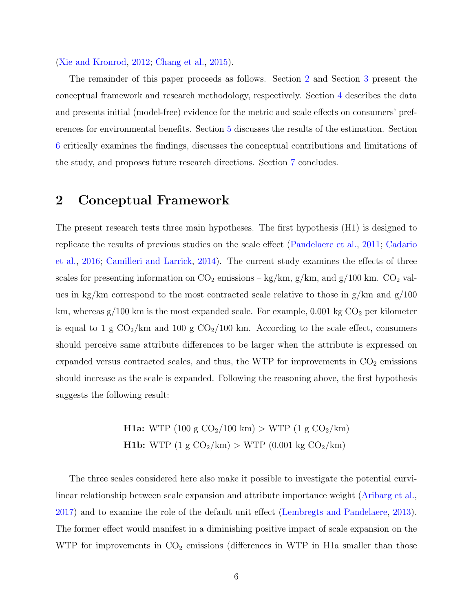#### [\(Xie and Kronrod,](#page-37-4) [2012;](#page-37-4) [Chang et al.,](#page-34-2) [2015\)](#page-34-2).

The remainder of this paper proceeds as follows. Section [2](#page-6-0) and Section [3](#page-8-0) present the conceptual framework and research methodology, respectively. Section [4](#page-14-0) describes the data and presents initial (model-free) evidence for the metric and scale effects on consumers' preferences for environmental benefits. Section [5](#page-18-0) discusses the results of the estimation. Section [6](#page-25-0) critically examines the findings, discusses the conceptual contributions and limitations of the study, and proposes future research directions. Section [7](#page-31-0) concludes.

### <span id="page-6-0"></span>2 Conceptual Framework

The present research tests three main hypotheses. The first hypothesis (H1) is designed to replicate the results of previous studies on the scale effect [\(Pandelaere et al.,](#page-36-3) [2011;](#page-36-3) [Cadario](#page-33-4) [et al.,](#page-33-4) [2016;](#page-33-4) [Camilleri and Larrick,](#page-33-2) [2014\)](#page-33-2). The current study examines the effects of three scales for presenting information on  $CO_2$  emissions – kg/km, g/km, and g/100 km.  $CO_2$  values in kg/km correspond to the most contracted scale relative to those in  $g/km$  and  $g/100$ km, whereas  $g/100$  km is the most expanded scale. For example, 0.001 kg  $CO<sub>2</sub>$  per kilometer is equal to 1 g  $CO<sub>2</sub>/km$  and 100 g  $CO<sub>2</sub>/100$  km. According to the scale effect, consumers should perceive same attribute differences to be larger when the attribute is expressed on expanded versus contracted scales, and thus, the WTP for improvements in  $CO<sub>2</sub>$  emissions should increase as the scale is expanded. Following the reasoning above, the first hypothesis suggests the following result:

> **H1a:** WTP (100 g  $CO_2/100 \text{ km}$ ) > WTP (1 g  $CO_2/\text{km}$ ) **H1b:** WTP  $(1 g CO_2/km) > WTP (0.001 kg CO_2/km)$

The three scales considered here also make it possible to investigate the potential curvilinear relationship between scale expansion and attribute importance weight [\(Aribarg et al.,](#page-33-5) [2017\)](#page-33-5) and to examine the role of the default unit effect [\(Lembregts and Pandelaere,](#page-35-2) [2013\)](#page-35-2). The former effect would manifest in a diminishing positive impact of scale expansion on the WTP for improvements in  $CO<sub>2</sub>$  emissions (differences in WTP in H1a smaller than those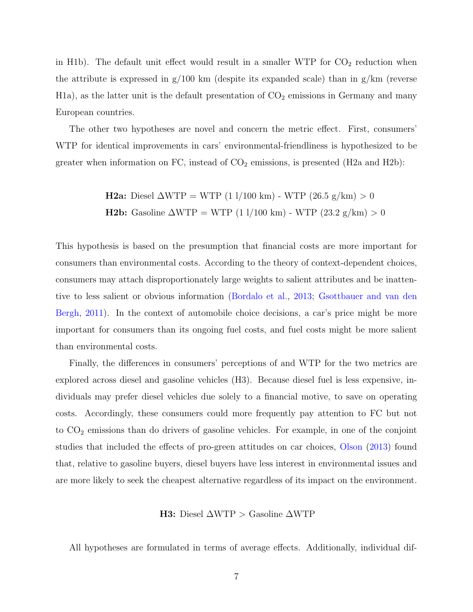in H1b). The default unit effect would result in a smaller WTP for  $CO<sub>2</sub>$  reduction when the attribute is expressed in  $g/100 \text{ km}$  (despite its expanded scale) than in  $g/\text{km}$  (reverse  $H1a$ , as the latter unit is the default presentation of  $CO<sub>2</sub>$  emissions in Germany and many European countries.

The other two hypotheses are novel and concern the metric effect. First, consumers' WTP for identical improvements in cars' environmental-friendliness is hypothesized to be greater when information on FC, instead of  $CO<sub>2</sub>$  emissions, is presented (H2a and H2b):

**H2a:** Diesel 
$$
\triangle WTP = WTP (11/100 \text{ km}) - WTP (26.5 \text{ g/km}) > 0
$$
  
**H2b:** Gasoline  $\triangle WTP = WTP (11/100 \text{ km}) - WTP (23.2 \text{ g/km}) > 0$ 

This hypothesis is based on the presumption that financial costs are more important for consumers than environmental costs. According to the theory of context-dependent choices, consumers may attach disproportionately large weights to salient attributes and be inattentive to less salient or obvious information [\(Bordalo et al.,](#page-33-6) [2013;](#page-33-6) [Gsottbauer and van den](#page-34-3) [Bergh,](#page-34-3) [2011\)](#page-34-3). In the context of automobile choice decisions, a car's price might be more important for consumers than its ongoing fuel costs, and fuel costs might be more salient than environmental costs.

Finally, the differences in consumers' perceptions of and WTP for the two metrics are explored across diesel and gasoline vehicles (H3). Because diesel fuel is less expensive, individuals may prefer diesel vehicles due solely to a financial motive, to save on operating costs. Accordingly, these consumers could more frequently pay attention to FC but not to  $CO<sub>2</sub>$  emissions than do drivers of gasoline vehicles. For example, in one of the conjoint studies that included the effects of pro-green attitudes on car choices, [Olson](#page-36-4) [\(2013\)](#page-36-4) found that, relative to gasoline buyers, diesel buyers have less interest in environmental issues and are more likely to seek the cheapest alternative regardless of its impact on the environment.

H3: Diesel ∆WTP > Gasoline ∆WTP

All hypotheses are formulated in terms of average effects. Additionally, individual dif-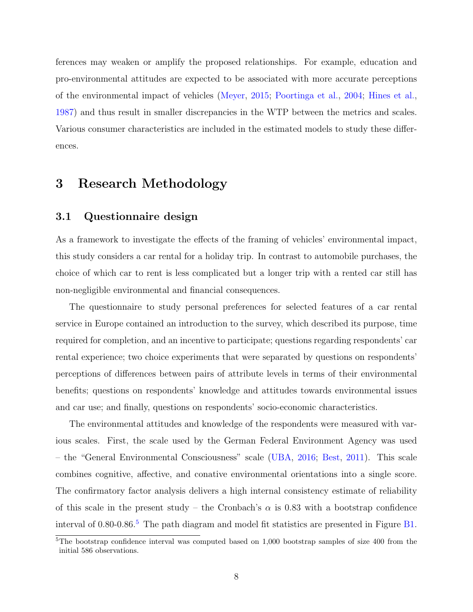ferences may weaken or amplify the proposed relationships. For example, education and pro-environmental attitudes are expected to be associated with more accurate perceptions of the environmental impact of vehicles [\(Meyer,](#page-35-4) [2015;](#page-35-4) [Poortinga et al.,](#page-36-7) [2004;](#page-36-7) [Hines et al.,](#page-35-5) [1987\)](#page-35-5) and thus result in smaller discrepancies in the WTP between the metrics and scales. Various consumer characteristics are included in the estimated models to study these differences.

### <span id="page-8-0"></span>3 Research Methodology

#### 3.1 Questionnaire design

As a framework to investigate the effects of the framing of vehicles' environmental impact, this study considers a car rental for a holiday trip. In contrast to automobile purchases, the choice of which car to rent is less complicated but a longer trip with a rented car still has non-negligible environmental and financial consequences.

The questionnaire to study personal preferences for selected features of a car rental service in Europe contained an introduction to the survey, which described its purpose, time required for completion, and an incentive to participate; questions regarding respondents' car rental experience; two choice experiments that were separated by questions on respondents' perceptions of differences between pairs of attribute levels in terms of their environmental benefits; questions on respondents' knowledge and attitudes towards environmental issues and car use; and finally, questions on respondents' socio-economic characteristics.

The environmental attitudes and knowledge of the respondents were measured with various scales. First, the scale used by the German Federal Environment Agency was used – the "General Environmental Consciousness" scale [\(UBA,](#page-37-5) [2016;](#page-37-5) [Best,](#page-33-7) [2011\)](#page-33-7). This scale combines cognitive, affective, and conative environmental orientations into a single score. The confirmatory factor analysis delivers a high internal consistency estimate of reliability of this scale in the present study – the Cronbach's  $\alpha$  is 0.83 with a bootstrap confidence interval of 0.80-0.86.<sup>[5](#page-8-1)</sup> The path diagram and model fit statistics are presented in Figure [B1.](#page-44-0)

<span id="page-8-1"></span><sup>5</sup>The bootstrap confidence interval was computed based on 1,000 bootstrap samples of size 400 from the initial 586 observations.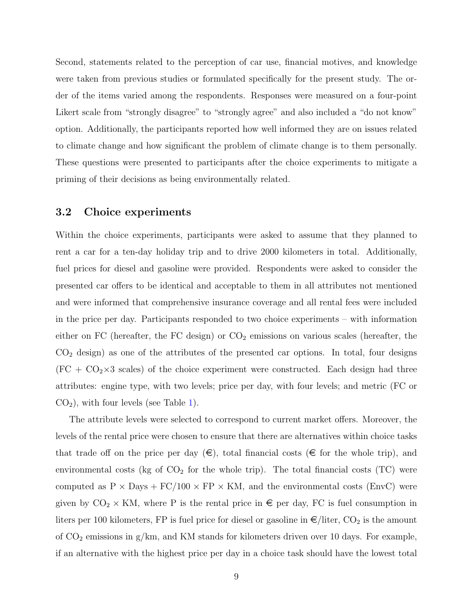Second, statements related to the perception of car use, financial motives, and knowledge were taken from previous studies or formulated specifically for the present study. The order of the items varied among the respondents. Responses were measured on a four-point Likert scale from "strongly disagree" to "strongly agree" and also included a "do not know" option. Additionally, the participants reported how well informed they are on issues related to climate change and how significant the problem of climate change is to them personally. These questions were presented to participants after the choice experiments to mitigate a priming of their decisions as being environmentally related.

#### 3.2 Choice experiments

Within the choice experiments, participants were asked to assume that they planned to rent a car for a ten-day holiday trip and to drive 2000 kilometers in total. Additionally, fuel prices for diesel and gasoline were provided. Respondents were asked to consider the presented car offers to be identical and acceptable to them in all attributes not mentioned and were informed that comprehensive insurance coverage and all rental fees were included in the price per day. Participants responded to two choice experiments – with information either on FC (hereafter, the FC design) or  $CO<sub>2</sub>$  emissions on various scales (hereafter, the  $CO<sub>2</sub>$  design) as one of the attributes of the presented car options. In total, four designs  $(FC + CO<sub>2</sub> \times 3$  scales) of the choice experiment were constructed. Each design had three attributes: engine type, with two levels; price per day, with four levels; and metric (FC or  $CO<sub>2</sub>$ ), with four levels (see Table [1\)](#page-10-0).

The attribute levels were selected to correspond to current market offers. Moreover, the levels of the rental price were chosen to ensure that there are alternatives within choice tasks that trade off on the price per day  $(\epsilon)$ , total financial costs  $(\epsilon$  for the whole trip), and environmental costs (kg of  $CO<sub>2</sub>$  for the whole trip). The total financial costs (TC) were computed as  $P \times$  Days + FC/100  $\times$  FP  $\times$  KM, and the environmental costs (EnvC) were given by  $CO_2 \times KM$ , where P is the rental price in  $\epsilon$  per day, FC is fuel consumption in liters per 100 kilometers, FP is fuel price for diesel or gasoline in  $\epsilon$ /liter, CO<sub>2</sub> is the amount of  $CO<sub>2</sub>$  emissions in g/km, and KM stands for kilometers driven over 10 days. For example, if an alternative with the highest price per day in a choice task should have the lowest total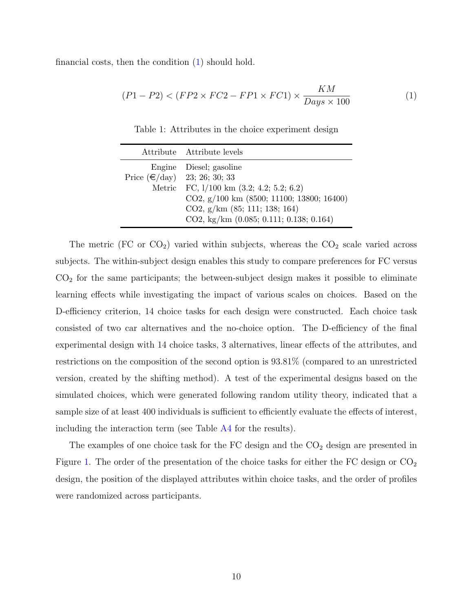<span id="page-10-1"></span><span id="page-10-0"></span>financial costs, then the condition [\(1\)](#page-10-1) should hold.

$$
(P1 - P2) < (FP2 \times FC2 - FP1 \times FC1) \times \frac{KM}{Days \times 100} \tag{1}
$$

Table 1: Attributes in the choice experiment design

|                                | Attribute Attribute levels                  |
|--------------------------------|---------------------------------------------|
|                                | Engine Diesel; gasoline                     |
| Price $(€/day)$ 23; 26; 30; 33 |                                             |
|                                | Metric FC, 1/100 km (3.2; 4.2; 5.2; 6.2)    |
|                                | CO2, $g/100$ km (8500; 11100; 13800; 16400) |
|                                | CO2, $g/km$ (85; 111; 138; 164)             |
|                                | CO2, kg/km (0.085; 0.111; 0.138; 0.164)     |

The metric (FC or  $CO<sub>2</sub>$ ) varied within subjects, whereas the  $CO<sub>2</sub>$  scale varied across subjects. The within-subject design enables this study to compare preferences for FC versus  $CO<sub>2</sub>$  for the same participants; the between-subject design makes it possible to eliminate learning effects while investigating the impact of various scales on choices. Based on the D-efficiency criterion, 14 choice tasks for each design were constructed. Each choice task consisted of two car alternatives and the no-choice option. The D-efficiency of the final experimental design with 14 choice tasks, 3 alternatives, linear effects of the attributes, and restrictions on the composition of the second option is 93.81% (compared to an unrestricted version, created by the shifting method). A test of the experimental designs based on the simulated choices, which were generated following random utility theory, indicated that a sample size of at least 400 individuals is sufficient to efficiently evaluate the effects of interest, including the interaction term (see Table [A4](#page-41-0) for the results).

The examples of one choice task for the  $FC$  design and the  $CO<sub>2</sub>$  design are presented in Figure [1.](#page-11-0) The order of the presentation of the choice tasks for either the FC design or  $CO<sub>2</sub>$ design, the position of the displayed attributes within choice tasks, and the order of profiles were randomized across participants.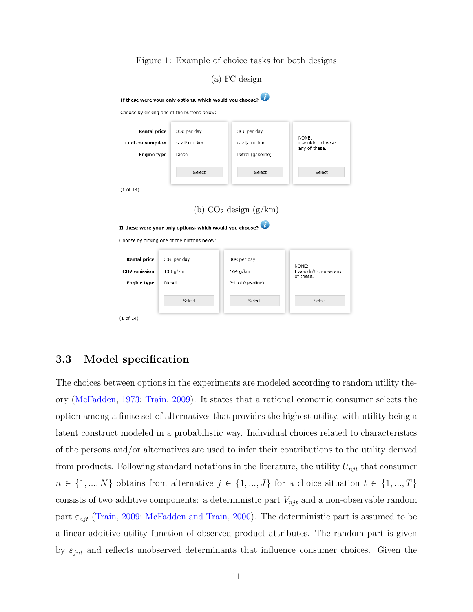<span id="page-11-0"></span>

Figure 1: Example of choice tasks for both designs

#### <span id="page-11-1"></span>3.3 Model specification

The choices between options in the experiments are modeled according to random utility theory [\(McFadden,](#page-35-6) [1973;](#page-35-6) [Train,](#page-37-6) [2009\)](#page-37-6). It states that a rational economic consumer selects the option among a finite set of alternatives that provides the highest utility, with utility being a latent construct modeled in a probabilistic way. Individual choices related to characteristics of the persons and/or alternatives are used to infer their contributions to the utility derived from products. Following standard notations in the literature, the utility  $U_{njt}$  that consumer  $n \in \{1, ..., N\}$  obtains from alternative  $j \in \{1, ..., J\}$  for a choice situation  $t \in \{1, ..., T\}$ consists of two additive components: a deterministic part  $V_{njt}$  and a non-observable random part  $\varepsilon_{njt}$  [\(Train,](#page-37-6) [2009;](#page-37-6) [McFadden and Train,](#page-35-7) [2000\)](#page-35-7). The deterministic part is assumed to be a linear-additive utility function of observed product attributes. The random part is given by  $\varepsilon_{jnt}$  and reflects unobserved determinants that influence consumer choices. Given the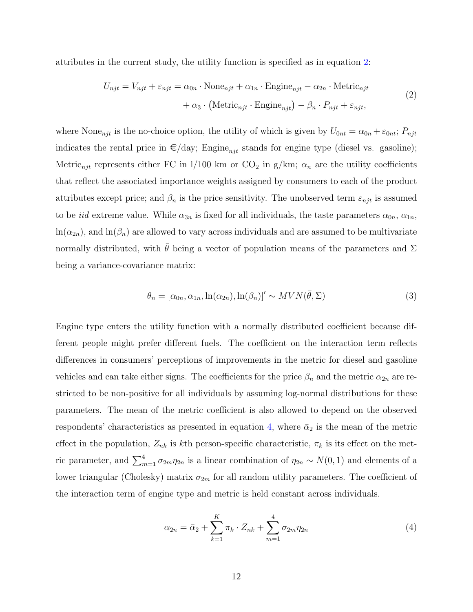attributes in the current study, the utility function is specified as in equation [2:](#page-12-0)

<span id="page-12-0"></span>
$$
U_{njt} = V_{njt} + \varepsilon_{njt} = \alpha_{0n} \cdot \text{None}_{njt} + \alpha_{1n} \cdot \text{Engine}_{njt} - \alpha_{2n} \cdot \text{Metric}_{njt}
$$

$$
+ \alpha_3 \cdot \left( \text{Metric}_{njt} \cdot \text{Engine}_{njt} \right) - \beta_n \cdot P_{njt} + \varepsilon_{njt},
$$

$$
\tag{2}
$$

where None<sub>njt</sub> is the no-choice option, the utility of which is given by  $U_{0nt} = \alpha_{0n} + \varepsilon_{0nt}$ ;  $P_{njt}$ indicates the rental price in  $\epsilon$ /day; Engine<sub>nit</sub> stands for engine type (diesel vs. gasoline); Metric<sub>njt</sub> represents either FC in l/100 km or  $CO_2$  in g/km;  $\alpha_n$  are the utility coefficients that reflect the associated importance weights assigned by consumers to each of the product attributes except price; and  $\beta_n$  is the price sensitivity. The unobserved term  $\varepsilon_{njt}$  is assumed to be *iid* extreme value. While  $\alpha_{3n}$  is fixed for all individuals, the taste parameters  $\alpha_{0n}$ ,  $\alpha_{1n}$ ,  $ln(\alpha_{2n})$ , and  $ln(\beta_n)$  are allowed to vary across individuals and are assumed to be multivariate normally distributed, with  $\bar{\theta}$  being a vector of population means of the parameters and  $\Sigma$ being a variance-covariance matrix:

$$
\theta_n = [\alpha_{0n}, \alpha_{1n}, \ln(\alpha_{2n}), \ln(\beta_n)]' \sim MVN(\bar{\theta}, \Sigma)
$$
\n(3)

Engine type enters the utility function with a normally distributed coefficient because different people might prefer different fuels. The coefficient on the interaction term reflects differences in consumers' perceptions of improvements in the metric for diesel and gasoline vehicles and can take either signs. The coefficients for the price  $\beta_n$  and the metric  $\alpha_{2n}$  are restricted to be non-positive for all individuals by assuming log-normal distributions for these parameters. The mean of the metric coefficient is also allowed to depend on the observed respondents' characteristics as presented in equation [4,](#page-12-1) where  $\bar{\alpha}_2$  is the mean of the metric effect in the population,  $Z_{nk}$  is kth person-specific characteristic,  $\pi_k$  is its effect on the metric parameter, and  $\sum_{m=1}^{4} \sigma_{2m} \eta_{2n}$  is a linear combination of  $\eta_{2n} \sim N(0, 1)$  and elements of a lower triangular (Cholesky) matrix  $\sigma_{2m}$  for all random utility parameters. The coefficient of the interaction term of engine type and metric is held constant across individuals.

<span id="page-12-1"></span>
$$
\alpha_{2n} = \bar{\alpha}_2 + \sum_{k=1}^{K} \pi_k \cdot Z_{nk} + \sum_{m=1}^{4} \sigma_{2m} \eta_{2n}
$$
 (4)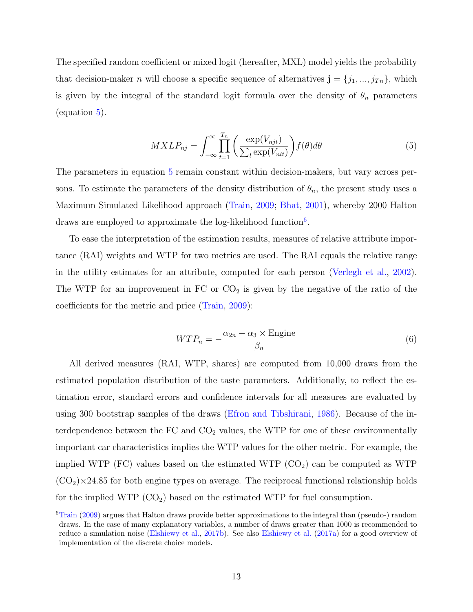The specified random coefficient or mixed logit (hereafter, MXL) model yields the probability that decision-maker *n* will choose a specific sequence of alternatives  $\mathbf{j} = \{j_1, ..., j_{Tn}\}\$ , which is given by the integral of the standard logit formula over the density of  $\theta_n$  parameters (equation [5\)](#page-13-0).

$$
MXLP_{nj} = \int_{-\infty}^{\infty} \prod_{t=1}^{T_n} \left( \frac{\exp(V_{njt})}{\sum_l \exp(V_{nlt})} \right) f(\theta) d\theta \tag{5}
$$

<span id="page-13-0"></span>The parameters in equation [5](#page-13-0) remain constant within decision-makers, but vary across persons. To estimate the parameters of the density distribution of  $\theta_n$ , the present study uses a Maximum Simulated Likelihood approach [\(Train,](#page-37-6) [2009;](#page-37-6) [Bhat,](#page-33-8) [2001\)](#page-33-8), whereby 2000 Halton draws are employed to approximate the log-likelihood function<sup>[6](#page-13-1)</sup>.

To ease the interpretation of the estimation results, measures of relative attribute importance (RAI) weights and WTP for two metrics are used. The RAI equals the relative range in the utility estimates for an attribute, computed for each person [\(Verlegh et al.,](#page-37-7) [2002\)](#page-37-7). The WTP for an improvement in  $FC$  or  $CO<sub>2</sub>$  is given by the negative of the ratio of the coefficients for the metric and price [\(Train,](#page-37-6) [2009\)](#page-37-6):

$$
WTP_n = -\frac{\alpha_{2n} + \alpha_3 \times \text{Engine}}{\beta_n} \tag{6}
$$

All derived measures (RAI, WTP, shares) are computed from 10,000 draws from the estimated population distribution of the taste parameters. Additionally, to reflect the estimation error, standard errors and confidence intervals for all measures are evaluated by using 300 bootstrap samples of the draws [\(Efron and Tibshirani,](#page-34-4) [1986\)](#page-34-4). Because of the interdependence between the  $FC$  and  $CO<sub>2</sub>$  values, the WTP for one of these environmentally important car characteristics implies the WTP values for the other metric. For example, the implied WTP (FC) values based on the estimated WTP  $(CO<sub>2</sub>)$  can be computed as WTP  $(CO<sub>2</sub>)\times24.85$  for both engine types on average. The reciprocal functional relationship holds for the implied WTP  $(CO_2)$  based on the estimated WTP for fuel consumption.

<span id="page-13-1"></span><sup>&</sup>lt;sup>6</sup>[Train](#page-37-6) [\(2009\)](#page-37-6) argues that Halton draws provide better approximations to the integral than (pseudo-) random draws. In the case of many explanatory variables, a number of draws greater than 1000 is recommended to reduce a simulation noise [\(Elshiewy et al.,](#page-34-5) [2017b\)](#page-34-5). See also [Elshiewy et al.](#page-34-6) [\(2017a\)](#page-34-6) for a good overview of implementation of the discrete choice models.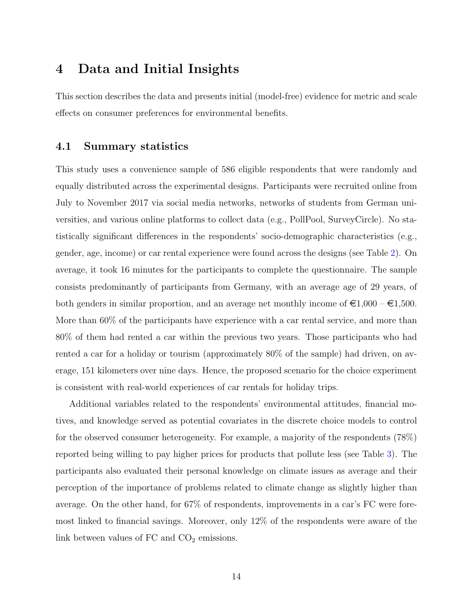### <span id="page-14-0"></span>4 Data and Initial Insights

This section describes the data and presents initial (model-free) evidence for metric and scale effects on consumer preferences for environmental benefits.

#### 4.1 Summary statistics

This study uses a convenience sample of 586 eligible respondents that were randomly and equally distributed across the experimental designs. Participants were recruited online from July to November 2017 via social media networks, networks of students from German universities, and various online platforms to collect data (e.g., PollPool, SurveyCircle). No statistically significant differences in the respondents' socio-demographic characteristics (e.g., gender, age, income) or car rental experience were found across the designs (see Table [2\)](#page-15-0). On average, it took 16 minutes for the participants to complete the questionnaire. The sample consists predominantly of participants from Germany, with an average age of 29 years, of both genders in similar proportion, and an average net monthly income of  $\epsilon 1,000 - \epsilon 1,500$ . More than 60% of the participants have experience with a car rental service, and more than 80% of them had rented a car within the previous two years. Those participants who had rented a car for a holiday or tourism (approximately 80% of the sample) had driven, on average, 151 kilometers over nine days. Hence, the proposed scenario for the choice experiment is consistent with real-world experiences of car rentals for holiday trips.

Additional variables related to the respondents' environmental attitudes, financial motives, and knowledge served as potential covariates in the discrete choice models to control for the observed consumer heterogeneity. For example, a majority of the respondents (78%) reported being willing to pay higher prices for products that pollute less (see Table [3\)](#page-15-1). The participants also evaluated their personal knowledge on climate issues as average and their perception of the importance of problems related to climate change as slightly higher than average. On the other hand, for 67% of respondents, improvements in a car's FC were foremost linked to financial savings. Moreover, only 12% of the respondents were aware of the link between values of  $FC$  and  $CO<sub>2</sub>$  emissions.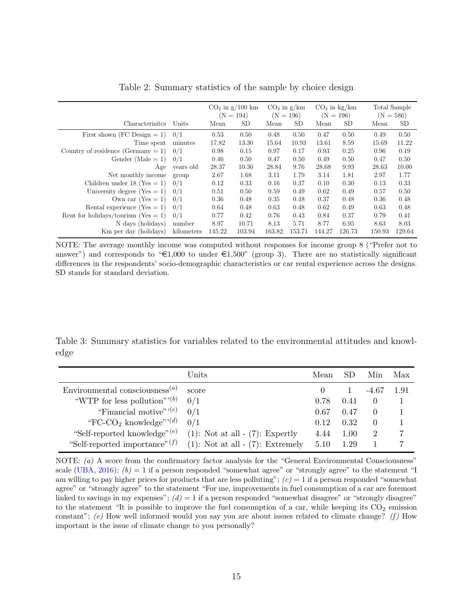<span id="page-15-0"></span>

|                                        |            | $CO2$ in g/100 km<br>$(N = 194)$ |        |        | $CO2$ in g/km<br>$(N = 196)$ |        | $CO2$ in kg/km<br>$(N = 196)$ | Total Sample<br>$(N = 586)$ |           |
|----------------------------------------|------------|----------------------------------|--------|--------|------------------------------|--------|-------------------------------|-----------------------------|-----------|
| Characterisites                        | Units      | Mean                             | SD.    | Mean   | SD.                          | Mean   | <b>SD</b>                     | Mean                        | <b>SD</b> |
| First shown (FC Design $= 1$ )         | 0/1        | 0.53                             | 0.50   | 0.48   | 0.50                         | 0.47   | 0.50                          | 0.49                        | 0.50      |
| Time spent                             | minutes    | 17.82                            | 13.30  | 15.64  | 10.93                        | 13.61  | 8.59                          | 15.69                       | 11.22     |
| Country of residence (Germany $= 1$ )  | 0/1        | 0.98                             | 0.15   | 0.97   | 0.17                         | 0.93   | 0.25                          | 0.96                        | 0.19      |
| Gender (Male $= 1$ )                   | 0/1        | 0.46                             | 0.50   | 0.47   | 0.50                         | 0.49   | 0.50                          | 0.47                        | 0.50      |
| Age                                    | years old  | 28.37                            | 10.36  | 28.84  | 9.76                         | 28.68  | 9.93                          | 28.63                       | 10.00     |
| Net monthly income                     | group      | 2.67                             | 1.68   | 3.11   | 1.79                         | 3.14   | 1.81                          | 2.97                        | 1.77      |
| Children under 18 (Yes $= 1$ )         | 0/1        | 0.12                             | 0.33   | 0.16   | 0.37                         | 0.10   | 0.30                          | 0.13                        | 0.33      |
| University degree (Yes $= 1$ )         | 0/1        | 0.51                             | 0.50   | 0.59   | 0.49                         | 0.62   | 0.49                          | 0.57                        | 0.50      |
| Own car $(Yes = 1)$                    | 0/1        | 0.36                             | 0.48   | 0.35   | 0.48                         | 0.37   | 0.48                          | 0.36                        | 0.48      |
| Rental experience (Yes $= 1$ )         | 0/1        | 0.64                             | 0.48   | 0.63   | 0.48                         | 0.62   | 0.49                          | 0.63                        | 0.48      |
| Rent for holidays/tourism (Yes $= 1$ ) | 0/1        | 0.77                             | 0.42   | 0.76   | 0.43                         | 0.84   | 0.37                          | 0.79                        | 0.41      |
| N days (holidays)                      | number     | 8.97                             | 10.71  | 8.13   | 5.71                         | 8.77   | 6.95                          | 8.63                        | 8.03      |
| Km per day (holidays)                  | kilometers | 145.22                           | 103.94 | 163.82 | 153.71                       | 144.27 | 126.73                        | 150.93                      | 129.64    |

Table 2: Summary statistics of the sample by choice design

NOTE: The average monthly income was computed without responses for income group 8 ("Prefer not to answer") and corresponds to " $\in 1,000$  to under  $\in 1,500$ " (group 3). There are no statistically significant differences in the respondents' socio-demographic characteristics or car rental experience across the designs. SD stands for standard deviation.

<span id="page-15-1"></span>Table 3: Summary statistics for variables related to the environmental attitudes and knowledge

|                                                         | Units                                  | Mean |      | Min              | Max  |
|---------------------------------------------------------|----------------------------------------|------|------|------------------|------|
| Environmental consciousness <sup><math>(a)</math></sup> | score                                  |      |      | -4.67            | 1.91 |
| "WTP for less pollution" $(b)$                          | 0/1                                    | 0.78 | 0.41 | $\left( \right)$ |      |
| "Financial motive" $(0, c)$ "                           | 0/1                                    | 0.67 | 0.47 | $\Omega$         |      |
| "FC-CO <sub>2</sub> knowledge" <sup>'</sup>             | 0/1                                    | 0.12 | 0.32 | $\left( \right)$ |      |
| "Self-reported knowledge" <sup>(e)</sup>                | $(1)$ : Not at all $ (7)$ : Expertly   | 4.44 | 1.00 | 2                |      |
| "Self-reported importance" $(f)$                        | $(1)$ : Not at all - $(7)$ : Extremely | 5.10 | 1 29 |                  |      |

NOTE: (a) A score from the confirmatory factor analysis for the "General Environmental Consciousness" scale [\(UBA,](#page-37-5) [2016\)](#page-37-5);  $(b) = 1$  if a person responded "somewhat agree" or "strongly agree" to the statement "I am willing to pay higher prices for products that are less polluting";  $(c) = 1$  if a person responded "somewhat" agree" or "strongly agree" to the statement "For me, improvements in fuel consumption of a car are foremost linked to savings in my expenses";  $(d) = 1$  if a person responded "somewhat disagree" or "strongly disagree" to the statement "It is possible to improve the fuel consumption of a car, while keeping its  $CO<sub>2</sub>$  emission constant"; (e) How well informed would you say you are about issues related to climate change? (f) How important is the issue of climate change to you personally?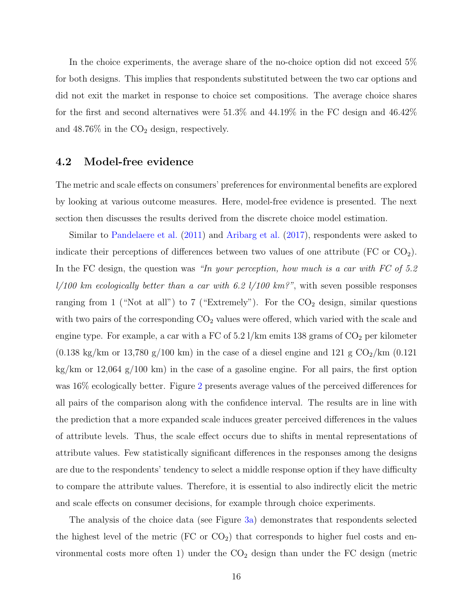In the choice experiments, the average share of the no-choice option did not exceed 5% for both designs. This implies that respondents substituted between the two car options and did not exit the market in response to choice set compositions. The average choice shares for the first and second alternatives were 51.3% and 44.19% in the FC design and 46.42% and  $48.76\%$  in the  $CO<sub>2</sub>$  design, respectively.

#### 4.2 Model-free evidence

The metric and scale effects on consumers' preferences for environmental benefits are explored by looking at various outcome measures. Here, model-free evidence is presented. The next section then discusses the results derived from the discrete choice model estimation.

Similar to [Pandelaere et al.](#page-36-3) [\(2011\)](#page-36-3) and [Aribarg et al.](#page-33-5) [\(2017\)](#page-33-5), respondents were asked to indicate their perceptions of differences between two values of one attribute (FC or  $CO<sub>2</sub>$ ). In the FC design, the question was "In your perception, how much is a car with FC of 5.2  $l/100$  km ecologically better than a car with 6.2  $l/100$  km?", with seven possible responses ranging from 1 ("Not at all") to 7 ("Extremely"). For the  $CO<sub>2</sub>$  design, similar questions with two pairs of the corresponding  $CO<sub>2</sub>$  values were offered, which varied with the scale and engine type. For example, a car with a FC of  $5.2$  l/km emits 138 grams of  $CO<sub>2</sub>$  per kilometer (0.138 kg/km or 13,780 g/100 km) in the case of a diesel engine and 121 g  $CO<sub>2</sub>/km$  (0.121) kg/km or 12,064 g/100 km) in the case of a gasoline engine. For all pairs, the first option was 16% ecologically better. Figure [2](#page-17-0) presents average values of the perceived differences for all pairs of the comparison along with the confidence interval. The results are in line with the prediction that a more expanded scale induces greater perceived differences in the values of attribute levels. Thus, the scale effect occurs due to shifts in mental representations of attribute values. Few statistically significant differences in the responses among the designs are due to the respondents' tendency to select a middle response option if they have difficulty to compare the attribute values. Therefore, it is essential to also indirectly elicit the metric and scale effects on consumer decisions, for example through choice experiments.

The analysis of the choice data (see Figure [3a\)](#page-17-1) demonstrates that respondents selected the highest level of the metric  $(FC \text{ or } CO<sub>2</sub>)$  that corresponds to higher fuel costs and environmental costs more often 1) under the  $CO<sub>2</sub>$  design than under the FC design (metric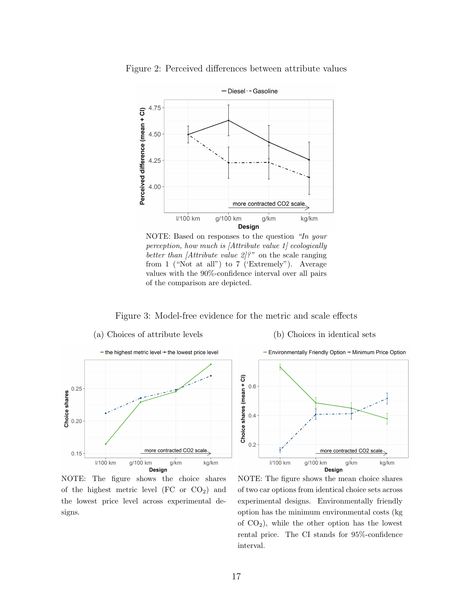

<span id="page-17-0"></span>Figure 2: Perceived differences between attribute values

NOTE: Based on responses to the question "In your perception, how much is [Attribute value 1] ecologically better than *[Attribute value*  $2$ *]?*" on the scale ranging from 1 ("Not at all") to 7 ('Extremely"). Average values with the 90%-confidence interval over all pairs of the comparison are depicted.

Figure 3: Model-free evidence for the metric and scale effects

<span id="page-17-1"></span>

NOTE: The figure shows the choice shares of the highest metric level (FC or  $CO<sub>2</sub>$ ) and the lowest price level across experimental de $signs.$ 

- Environmentally Friendly Option - Minimum Price Option Choice shares (mean + Cl)  $0.6$  $0.4$  $0.2$ more contracted CO2 scale g/100 km I/100 km g/km kg/km **Design** 

(b) Choices in identical sets

NOTE: The figure shows the mean choice shares of two car options from identical choice sets across experimental designs. Environmentally friendly option has the minimum environmental costs (kg of  $CO<sub>2</sub>$ ), while the other option has the lowest rental price. The CI stands for 95%-confidence interval.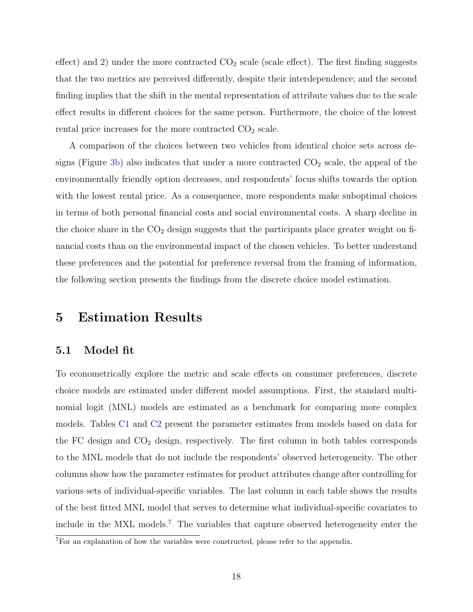effect) and 2) under the more contracted  $CO_2$  scale (scale effect). The first finding suggests that the two metrics are perceived differently, despite their interdependence; and the second finding implies that the shift in the mental representation of attribute values due to the scale effect results in different choices for the same person. Furthermore, the choice of the lowest rental price increases for the more contracted  $CO<sub>2</sub>$  scale.

A comparison of the choices between two vehicles from identical choice sets across de-signs (Figure [3b\)](#page-17-1) also indicates that under a more contracted  $CO<sub>2</sub>$  scale, the appeal of the environmentally friendly option decreases, and respondents' focus shifts towards the option with the lowest rental price. As a consequence, more respondents make suboptimal choices in terms of both personal financial costs and social environmental costs. A sharp decline in the choice share in the  $CO<sub>2</sub>$  design suggests that the participants place greater weight on financial costs than on the environmental impact of the chosen vehicles. To better understand these preferences and the potential for preference reversal from the framing of information, the following section presents the findings from the discrete choice model estimation.

## <span id="page-18-0"></span>5 Estimation Results

#### 5.1 Model fit

To econometrically explore the metric and scale effects on consumer preferences, discrete choice models are estimated under different model assumptions. First, the standard multinomial logit (MNL) models are estimated as a benchmark for comparing more complex models. Tables [C1](#page-47-0) and [C2](#page-48-0) present the parameter estimates from models based on data for the FC design and  $CO<sub>2</sub>$  design, respectively. The first column in both tables corresponds to the MNL models that do not include the respondents' observed heterogeneity. The other columns show how the parameter estimates for product attributes change after controlling for various sets of individual-specific variables. The last column in each table shows the results of the best fitted MNL model that serves to determine what individual-specific covariates to include in the MXL models.<sup>[7](#page-18-1)</sup> The variables that capture observed heterogeneity enter the

<span id="page-18-1"></span><sup>&</sup>lt;sup>7</sup>For an explanation of how the variables were constructed, please refer to the appendix.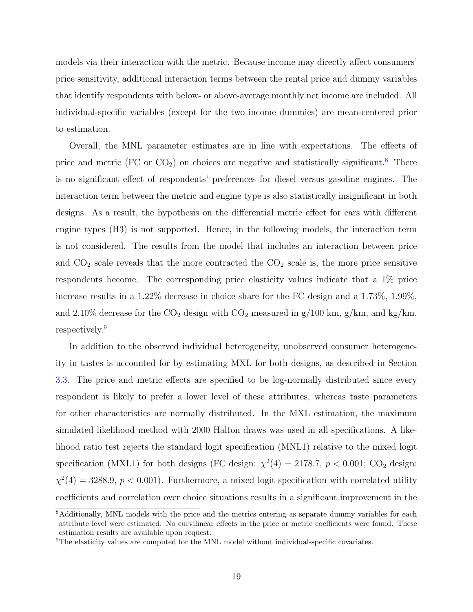models via their interaction with the metric. Because income may directly affect consumers' price sensitivity, additional interaction terms between the rental price and dummy variables that identify respondents with below- or above-average monthly net income are included. All individual-specific variables (except for the two income dummies) are mean-centered prior to estimation.

Overall, the MNL parameter estimates are in line with expectations. The effects of price and metric (FC or  $CO<sub>2</sub>$ ) on choices are negative and statistically significant.<sup>[8](#page-19-0)</sup> There is no significant effect of respondents' preferences for diesel versus gasoline engines. The interaction term between the metric and engine type is also statistically insignificant in both designs. As a result, the hypothesis on the differential metric effect for cars with different engine types (H3) is not supported. Hence, in the following models, the interaction term is not considered. The results from the model that includes an interaction between price and  $CO<sub>2</sub>$  scale reveals that the more contracted the  $CO<sub>2</sub>$  scale is, the more price sensitive respondents become. The corresponding price elasticity values indicate that a 1% price increase results in a 1.22% decrease in choice share for the FC design and a 1.73%, 1.99%, and 2.10% decrease for the  $CO<sub>2</sub>$  design with  $CO<sub>2</sub>$  measured in g/100 km, g/km, and kg/km, respectively.[9](#page-19-1)

In addition to the observed individual heterogeneity, unobserved consumer heterogeneity in tastes is accounted for by estimating MXL for both designs, as described in Section [3.3.](#page-11-1) The price and metric effects are specified to be log-normally distributed since every respondent is likely to prefer a lower level of these attributes, whereas taste parameters for other characteristics are normally distributed. In the MXL estimation, the maximum simulated likelihood method with 2000 Halton draws was used in all specifications. A likelihood ratio test rejects the standard logit specification (MNL1) relative to the mixed logit specification (MXL1) for both designs (FC design:  $\chi^2(4) = 2178.7$ ,  $p < 0.001$ ; CO<sub>2</sub> design:  $\chi^2(4) = 3288.9, p < 0.001$ . Furthermore, a mixed logit specification with correlated utility coefficients and correlation over choice situations results in a significant improvement in the

<span id="page-19-0"></span><sup>&</sup>lt;sup>8</sup>Additionally, MNL models with the price and the metrics entering as separate dummy variables for each attribute level were estimated. No curvilinear effects in the price or metric coefficients were found. These estimation results are available upon request.

<span id="page-19-1"></span> $9$ The elasticity values are computed for the MNL model without individual-specific covariates.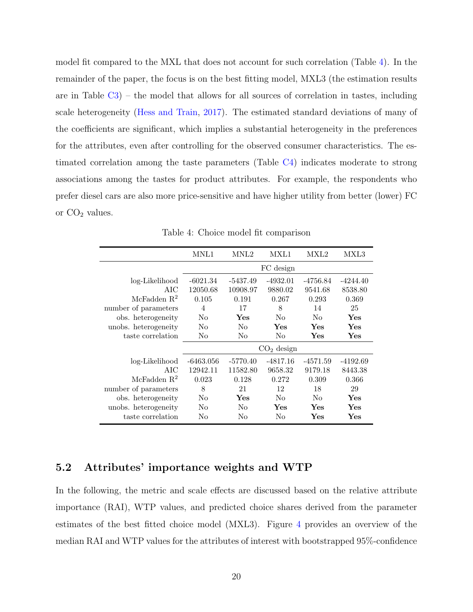model fit compared to the MXL that does not account for such correlation (Table [4\)](#page-20-0). In the remainder of the paper, the focus is on the best fitting model, MXL3 (the estimation results are in Table  $C_3$ ) – the model that allows for all sources of correlation in tastes, including scale heterogeneity [\(Hess and Train,](#page-35-8) [2017\)](#page-35-8). The estimated standard deviations of many of the coefficients are significant, which implies a substantial heterogeneity in the preferences for the attributes, even after controlling for the observed consumer characteristics. The estimated correlation among the taste parameters (Table [C4\)](#page-51-0) indicates moderate to strong associations among the tastes for product attributes. For example, the respondents who prefer diesel cars are also more price-sensitive and have higher utility from better (lower) FC or  $CO<sub>2</sub>$  values.

<span id="page-20-0"></span>

|                      | MNL1           | MNL2       | MXL1         | MXL2       | MXL3       |
|----------------------|----------------|------------|--------------|------------|------------|
|                      |                |            | FC design    |            |            |
| log-Likelihood       | $-6021.34$     | $-5437.49$ | $-4932.01$   | $-4756.84$ | $-4244.40$ |
| AIC                  | 12050.68       | 10908.97   | 9880.02      | 9541.68    | 8538.80    |
| McFadden $R^2$       | 0.105          | 0.191      | 0.267        | 0.293      | 0.369      |
| number of parameters | $\overline{4}$ | 17         | 8            | 14         | 25         |
| obs. heterogeneity   | No             | Yes        | No           | No         | Yes        |
| unobs. heterogeneity | No             | No         | Yes          | Yes        | Yes        |
| taste correlation    | No             | No         | No           | Yes        | Yes        |
|                      |                |            | $CO2$ design |            |            |
| log-Likelihood       | $-6463.056$    | $-5770.40$ | -4817.16     | -4571.59   | $-4192.69$ |
| AIC                  | 12942.11       | 11582.80   | 9658.32      | 9179.18    | 8443.38    |
| McFadden $R^2$       | 0.023          | 0.128      | 0.272        | 0.309      | 0.366      |
| number of parameters | 8              | 21         | 12           | 18         | 29         |
| obs. heterogeneity   | No             | Yes        | No           | No         | Yes        |
| unobs. heterogeneity | No             | No         | Yes          | Yes        | Yes        |
| taste correlation    | No             | No         | No           | Yes        | Yes        |

Table 4: Choice model fit comparison

#### 5.2 Attributes' importance weights and WTP

In the following, the metric and scale effects are discussed based on the relative attribute importance (RAI), WTP values, and predicted choice shares derived from the parameter estimates of the best fitted choice model (MXL3). Figure [4](#page-22-0) provides an overview of the median RAI and WTP values for the attributes of interest with bootstrapped 95%-confidence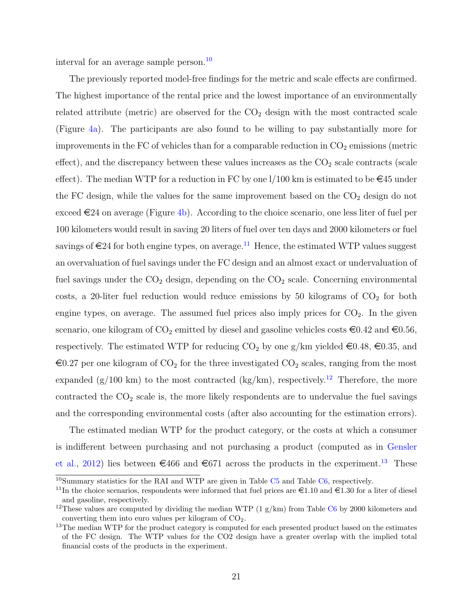interval for an average sample person.<sup>[10](#page-21-0)</sup>

The previously reported model-free findings for the metric and scale effects are confirmed. The highest importance of the rental price and the lowest importance of an environmentally related attribute (metric) are observed for the  $CO<sub>2</sub>$  design with the most contracted scale (Figure [4a\)](#page-22-0). The participants are also found to be willing to pay substantially more for improvements in the FC of vehicles than for a comparable reduction in  $CO<sub>2</sub>$  emissions (metric effect), and the discrepancy between these values increases as the  $CO<sub>2</sub>$  scale contracts (scale effect). The median WTP for a reduction in FC by one  $1/100$  km is estimated to be  $\in 45$  under the FC design, while the values for the same improvement based on the  $CO<sub>2</sub>$  design do not exceed  $\in 24$  on average (Figure [4b\)](#page-22-0). According to the choice scenario, one less liter of fuel per 100 kilometers would result in saving 20 liters of fuel over ten days and 2000 kilometers or fuel savings of  $\in 24$  for both engine types, on average.<sup>[11](#page-21-1)</sup> Hence, the estimated WTP values suggest an overvaluation of fuel savings under the FC design and an almost exact or undervaluation of fuel savings under the  $CO<sub>2</sub>$  design, depending on the  $CO<sub>2</sub>$  scale. Concerning environmental costs, a 20-liter fuel reduction would reduce emissions by 50 kilograms of  $CO<sub>2</sub>$  for both engine types, on average. The assumed fuel prices also imply prices for  $CO<sub>2</sub>$ . In the given scenario, one kilogram of  $CO_2$  emitted by diesel and gasoline vehicles costs  $\epsilon 0.42$  and  $\epsilon 0.56$ , respectively. The estimated WTP for reducing  $CO_2$  by one g/km yielded  $\in 0.48, \in 0.35$ , and  $\epsilon$ 0.27 per one kilogram of CO<sub>2</sub> for the three investigated CO<sub>2</sub> scales, ranging from the most expanded (g/100 km) to the most contracted (kg/km), respectively.<sup>[12](#page-21-2)</sup> Therefore, the more contracted the  $CO<sub>2</sub>$  scale is, the more likely respondents are to undervalue the fuel savings and the corresponding environmental costs (after also accounting for the estimation errors).

The estimated median WTP for the product category, or the costs at which a consumer is indifferent between purchasing and not purchasing a product (computed as in [Gensler](#page-34-7) [et al.,](#page-34-7) [2012\)](#page-34-7) lies between  $\epsilon$ 466 and  $\epsilon$ 671 across the products in the experiment.<sup>[13](#page-21-3)</sup> These

<span id="page-21-0"></span> $10$ Summary statistics for the RAI and WTP are given in Table C<sub>5</sub> and Table C<sub>6</sub>, respectively.

<span id="page-21-1"></span><sup>&</sup>lt;sup>11</sup>In the choice scenarios, respondents were informed that fuel prices are  $\epsilon$ 1.10 and  $\epsilon$ 1.30 for a liter of diesel and gasoline, respectively.

<span id="page-21-2"></span><sup>&</sup>lt;sup>12</sup>These values are computed by dividing the median WTP  $(1 g/km)$  from Table [C6](#page-51-2) by 2000 kilometers and converting them into euro values per kilogram of  $CO<sub>2</sub>$ .

<span id="page-21-3"></span><sup>&</sup>lt;sup>13</sup>The median WTP for the product category is computed for each presented product based on the estimates of the FC design. The WTP values for the CO2 design have a greater overlap with the implied total financial costs of the products in the experiment.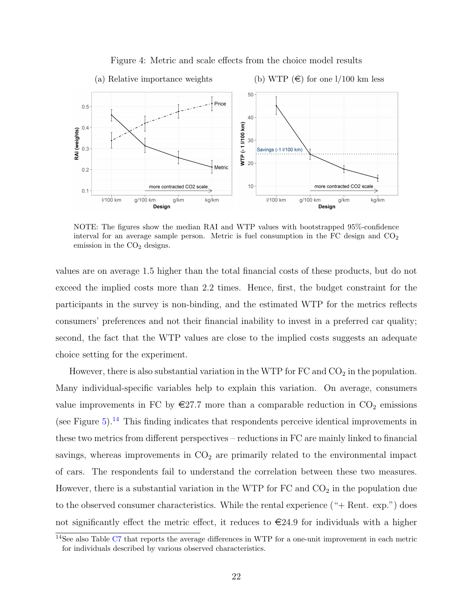<span id="page-22-0"></span>

Figure 4: Metric and scale effects from the choice model results

NOTE: The figures show the median RAI and WTP values with bootstrapped 95%-confidence interval for an average sample person. Metric is fuel consumption in the FC design and  $CO<sub>2</sub>$ emission in the  $CO<sub>2</sub>$  designs.

values are on average 1.5 higher than the total financial costs of these products, but do not exceed the implied costs more than 2.2 times. Hence, first, the budget constraint for the participants in the survey is non-binding, and the estimated WTP for the metrics reflects consumers' preferences and not their financial inability to invest in a preferred car quality; second, the fact that the WTP values are close to the implied costs suggests an adequate choice setting for the experiment.

However, there is also substantial variation in the WTP for  $FC$  and  $CO<sub>2</sub>$  in the population. Many individual-specific variables help to explain this variation. On average, consumers value improvements in FC by  $\epsilon$ 27.7 more than a comparable reduction in CO<sub>2</sub> emissions (see Figure  $5$ ).<sup>[14](#page-22-1)</sup> This finding indicates that respondents perceive identical improvements in these two metrics from different perspectives – reductions in FC are mainly linked to financial savings, whereas improvements in  $CO<sub>2</sub>$  are primarily related to the environmental impact of cars. The respondents fail to understand the correlation between these two measures. However, there is a substantial variation in the WTP for  $FC$  and  $CO<sub>2</sub>$  in the population due to the observed consumer characteristics. While the rental experience ("+ Rent. exp.") does not significantly effect the metric effect, it reduces to  $\in 24.9$  for individuals with a higher

<span id="page-22-1"></span><sup>14</sup>See also Table [C7](#page-52-0) that reports the average differences in WTP for a one-unit improvement in each metric for individuals described by various observed characteristics.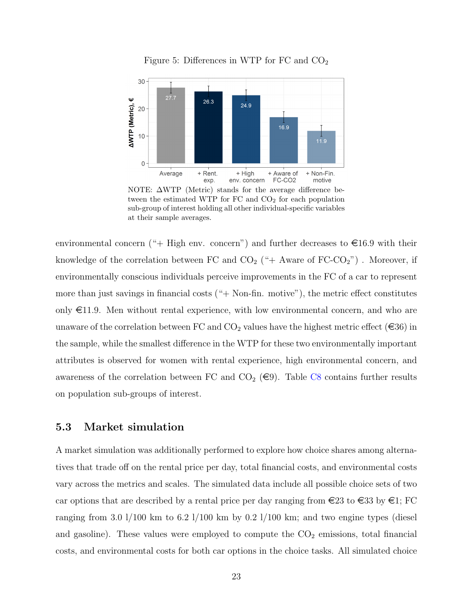<span id="page-23-0"></span>

Figure 5: Differences in WTP for FC and  $CO<sub>2</sub>$ 

NOTE: ΔWTP (Metric) stands for the average difference between the estimated WTP for  $FC$  and  $CO<sub>2</sub>$  for each population sub-group of interest holding all other individual-specific variables at their sample averages.

environmental concern ("+ High env. concern") and further decreases to  $\epsilon$ 16.9 with their knowledge of the correlation between FC and  $CO_2$  ("+ Aware of  $FC-CO_2$ "). Moreover, if environmentally conscious individuals perceive improvements in the FC of a car to represent more than just savings in financial costs  $(* + Non-fin.$  motive"), the metric effect constitutes only  $\in$ 11.9. Men without rental experience, with low environmental concern, and who are unaware of the correlation between FC and  $CO_2$  values have the highest metric effect ( $\in 36$ ) in the sample, while the smallest difference in the WTP for these two environmentally important attributes is observed for women with rental experience, high environmental concern, and awareness of the correlation between FC and  $CO_2$  ( $\epsilon$ 9). Table [C8](#page-53-0) contains further results on population sub-groups of interest.

#### 5.3 Market simulation

A market simulation was additionally performed to explore how choice shares among alternatives that trade off on the rental price per day, total financial costs, and environmental costs vary across the metrics and scales. The simulated data include all possible choice sets of two car options that are described by a rental price per day ranging from  $\in 23$  to  $\in 33$  by  $\in$  1; FC ranging from 3.0 l/100 km to 6.2 l/100 km by 0.2 l/100 km; and two engine types (diesel and gasoline). These values were employed to compute the  $CO<sub>2</sub>$  emissions, total financial costs, and environmental costs for both car options in the choice tasks. All simulated choice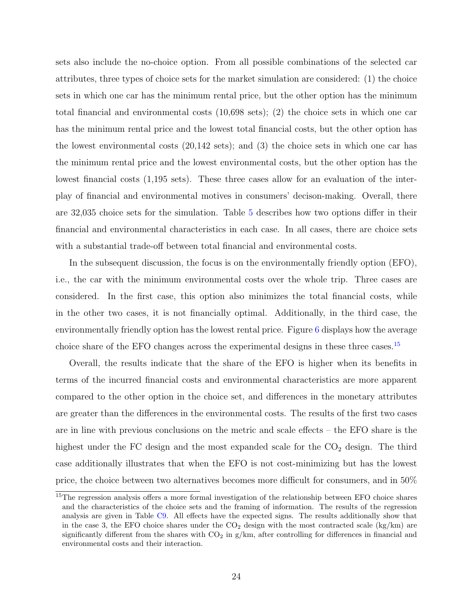sets also include the no-choice option. From all possible combinations of the selected car attributes, three types of choice sets for the market simulation are considered: (1) the choice sets in which one car has the minimum rental price, but the other option has the minimum total financial and environmental costs (10,698 sets); (2) the choice sets in which one car has the minimum rental price and the lowest total financial costs, but the other option has the lowest environmental costs (20,142 sets); and (3) the choice sets in which one car has the minimum rental price and the lowest environmental costs, but the other option has the lowest financial costs (1,195 sets). These three cases allow for an evaluation of the interplay of financial and environmental motives in consumers' decison-making. Overall, there are 32,035 choice sets for the simulation. Table [5](#page-25-1) describes how two options differ in their financial and environmental characteristics in each case. In all cases, there are choice sets with a substantial trade-off between total financial and environmental costs.

In the subsequent discussion, the focus is on the environmentally friendly option (EFO), i.e., the car with the minimum environmental costs over the whole trip. Three cases are considered. In the first case, this option also minimizes the total financial costs, while in the other two cases, it is not financially optimal. Additionally, in the third case, the environmentally friendly option has the lowest rental price. Figure [6](#page-26-0) displays how the average choice share of the EFO changes across the experimental designs in these three cases.[15](#page-24-0)

Overall, the results indicate that the share of the EFO is higher when its benefits in terms of the incurred financial costs and environmental characteristics are more apparent compared to the other option in the choice set, and differences in the monetary attributes are greater than the differences in the environmental costs. The results of the first two cases are in line with previous conclusions on the metric and scale effects – the EFO share is the highest under the FC design and the most expanded scale for the  $CO<sub>2</sub>$  design. The third case additionally illustrates that when the EFO is not cost-minimizing but has the lowest price, the choice between two alternatives becomes more difficult for consumers, and in 50%

<span id="page-24-0"></span><sup>&</sup>lt;sup>15</sup>The regression analysis offers a more formal investigation of the relationship between EFO choice shares and the characteristics of the choice sets and the framing of information. The results of the regression analysis are given in Table [C9.](#page-54-0) All effects have the expected signs. The results additionally show that in the case 3, the EFO choice shares under the  $CO<sub>2</sub>$  design with the most contracted scale (kg/km) are significantly different from the shares with  $CO_2$  in  $g/km$ , after controlling for differences in financial and environmental costs and their interaction.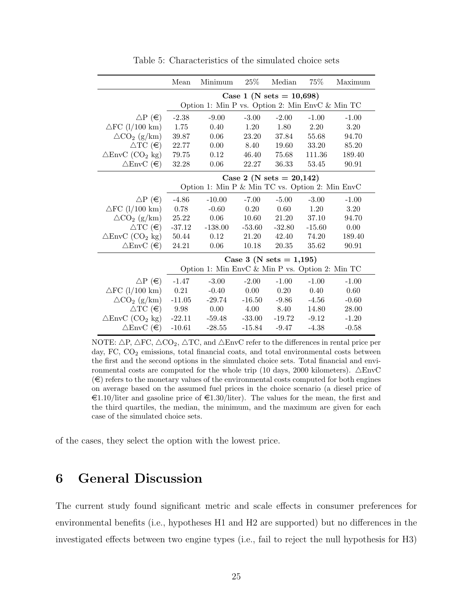<span id="page-25-1"></span>

|                                       | Mean                                            | Minimum                                         | $25\%$   | Median                      | 75%      | Maximum |  |  |  |  |
|---------------------------------------|-------------------------------------------------|-------------------------------------------------|----------|-----------------------------|----------|---------|--|--|--|--|
|                                       |                                                 |                                                 |          | Case 1 (N sets = $10,698$ ) |          |         |  |  |  |  |
|                                       |                                                 | Option 1: Min P vs. Option 2: Min EnvC & Min TC |          |                             |          |         |  |  |  |  |
| $\Delta P$ ( $\in$ )                  | $-2.38$                                         | $-9.00$                                         | $-3.00$  | $-2.00$                     | $-1.00$  | $-1.00$ |  |  |  |  |
| $\triangle$ FC (1/100 km)             | 1.75                                            | 0.40                                            | 1.20     | 1.80                        | 2.20     | 3.20    |  |  |  |  |
| $\triangle CO_2$ (g/km)               | 39.87                                           | 0.06                                            | 23.20    | 37.84                       | 55.68    | 94.70   |  |  |  |  |
| $\triangle$ TC $(\epsilon)$           | 22.77                                           | 0.00                                            | 8.40     | 19.60                       | 33.20    | 85.20   |  |  |  |  |
| $\triangle$ EnvC (CO <sub>2</sub> kg) | 79.75                                           | 0.12                                            | 46.40    | 75.68                       | 111.36   | 189.40  |  |  |  |  |
| $\triangle$ EnvC $(\epsilon)$         | 32.28                                           | 0.06                                            | 22.27    | 36.33                       | 53.45    | 90.91   |  |  |  |  |
|                                       |                                                 |                                                 |          | Case 2 (N sets = $20,142$ ) |          |         |  |  |  |  |
|                                       | Option 1: Min P & Min TC vs. Option 2: Min EnvC |                                                 |          |                             |          |         |  |  |  |  |
| $\Delta P$ ( $\in$ )                  | $-4.86$                                         | $-10.00$                                        | $-7.00$  | $-5.00$                     | $-3.00$  | $-1.00$ |  |  |  |  |
| $\triangle$ FC (1/100 km)             | 0.78                                            | $-0.60$                                         | 0.20     | $0.60\,$                    | 1.20     | 3.20    |  |  |  |  |
| $\triangle CO_2$ (g/km)               | 25.22                                           | 0.06                                            |          | 10.60<br>21.20              |          | 94.70   |  |  |  |  |
| $\triangle$ TC $(\epsilon)$           | $-37.12$                                        | $-138.00$                                       | $-53.60$ | $-32.80$                    | $-15.60$ | 0.00    |  |  |  |  |
| $\triangle$ EnvC (CO <sub>2</sub> kg) | 50.44                                           | 0.12                                            | 21.20    | 42.40                       | 74.20    | 189.40  |  |  |  |  |
| $\triangle$ EnvC $(\epsilon)$         | 24.21                                           | 0.06                                            | 10.18    | 20.35                       | 35.62    | 90.91   |  |  |  |  |
|                                       |                                                 |                                                 |          | Case 3 (N sets = $1,195$ )  |          |         |  |  |  |  |
|                                       |                                                 | Option 1: Min EnvC & Min P vs. Option 2: Min TC |          |                             |          |         |  |  |  |  |
| $\Delta P$ ( $\in$ )                  | $-1.47$                                         | $-3.00$                                         | $-2.00$  | $-1.00$                     | $-1.00$  | $-1.00$ |  |  |  |  |
| $\triangle$ FC (1/100 km)             | 0.21                                            | $-0.40$                                         | 0.00     | 0.20                        | 0.40     | 0.60    |  |  |  |  |
| $\triangle CO_2$ (g/km)               | $-11.05$                                        | $-29.74$                                        | $-16.50$ | $-9.86$                     | $-4.56$  | $-0.60$ |  |  |  |  |
| $\triangle \text{TC}(\epsilon)$       | 9.98                                            | 0.00                                            |          | 4.00 8.40                   | 14.80    | 28.00   |  |  |  |  |
| $\triangle$ EnvC (CO <sub>2</sub> kg) | $-22.11$                                        | -59.48                                          | $-33.00$ | $-19.72$                    | $-9.12$  | $-1.20$ |  |  |  |  |
| $\triangle$ EnvC $(\epsilon)$         | $-10.61$                                        | $-28.55$                                        | $-15.84$ | $-9.47$                     | $-4.38$  | $-0.58$ |  |  |  |  |

Table 5: Characteristics of the simulated choice sets

NOTE:  $\Delta P$ ,  $\Delta F C$ ,  $\Delta CO_2$ ,  $\Delta TC$ , and  $\Delta EnvC$  refer to the differences in rental price per day, FC, CO<sub>2</sub> emissions, total financial coats, and total environmental costs between the first and the second options in the simulated choice sets. Total financial and environmental costs are computed for the whole trip (10 days, 2000 kilometers).  $\triangle$ EnvC  $(\epsilon)$  refers to the monetary values of the environmental costs computed for both engines on average based on the assumed fuel prices in the choice scenario (a diesel price of  $\epsilon$ 1.10/liter and gasoline price of  $\epsilon$ 1.30/liter). The values for the mean, the first and the third quartiles, the median, the minimum, and the maximum are given for each case of the simulated choice sets.

of the cases, they select the option with the lowest price.

## <span id="page-25-0"></span>6 General Discussion

The current study found significant metric and scale effects in consumer preferences for environmental benefits (i.e., hypotheses H1 and H2 are supported) but no differences in the investigated effects between two engine types (i.e., fail to reject the null hypothesis for H3)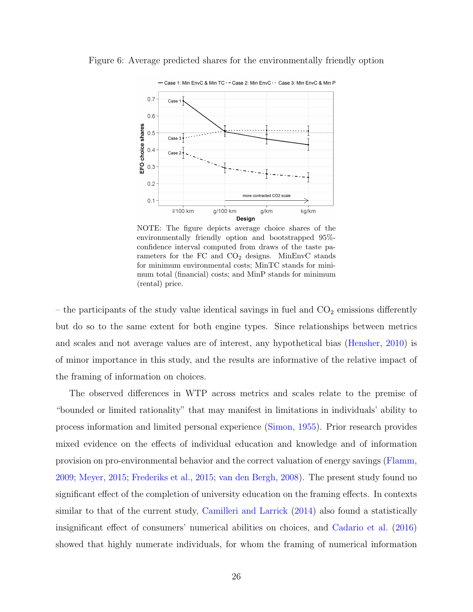

<span id="page-26-0"></span>Figure 6: Average predicted shares for the environmentally friendly option

NOTE: The figure depicts average choice shares of the environmentally friendly option and bootstrapped 95% confidence interval computed from draws of the taste parameters for the FC and  $CO<sub>2</sub>$  designs. MinEnvC stands for minimum environmental costs; MinTC stands for minimum total (financial) costs; and MinP stands for minimum (rental) price.

– the participants of the study value identical savings in fuel and  $CO<sub>2</sub>$  emissions differently but do so to the same extent for both engine types. Since relationships between metrics and scales and not average values are of interest, any hypothetical bias [\(Hensher,](#page-35-9) [2010\)](#page-35-9) is of minor importance in this study, and the results are informative of the relative impact of the framing of information on choices.

The observed differences in WTP across metrics and scales relate to the premise of "bounded or limited rationality" that may manifest in limitations in individuals' ability to process information and limited personal experience [\(Simon,](#page-36-8) [1955\)](#page-36-8). Prior research provides mixed evidence on the effects of individual education and knowledge and of information provision on pro-environmental behavior and the correct valuation of energy savings [\(Flamm,](#page-34-8) [2009;](#page-34-8) [Meyer,](#page-35-4) [2015;](#page-35-4) [Frederiks et al.,](#page-34-9) [2015;](#page-34-9) [van den Bergh,](#page-37-8) [2008\)](#page-37-8). The present study found no significant effect of the completion of university education on the framing effects. In contexts similar to that of the current study, [Camilleri and Larrick](#page-33-2) [\(2014\)](#page-33-2) also found a statistically insignificant effect of consumers' numerical abilities on choices, and [Cadario et al.](#page-33-4) [\(2016\)](#page-33-4) showed that highly numerate individuals, for whom the framing of numerical information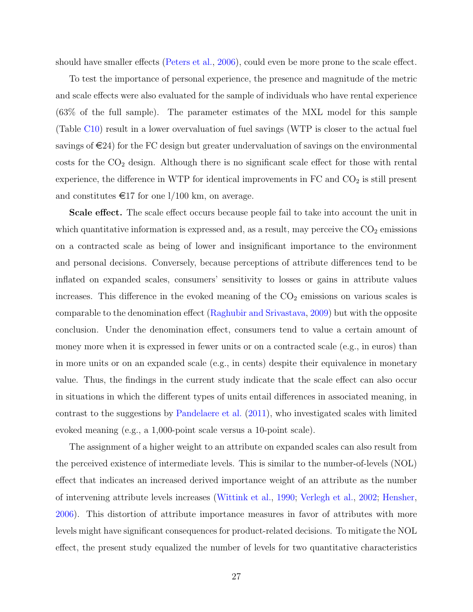should have smaller effects [\(Peters et al.,](#page-36-9) [2006\)](#page-36-9), could even be more prone to the scale effect.

To test the importance of personal experience, the presence and magnitude of the metric and scale effects were also evaluated for the sample of individuals who have rental experience (63% of the full sample). The parameter estimates of the MXL model for this sample (Table [C10\)](#page-55-0) result in a lower overvaluation of fuel savings (WTP is closer to the actual fuel savings of  $\in 24$ ) for the FC design but greater undervaluation of savings on the environmental  $\cos$ ts for the  $CO<sub>2</sub>$  design. Although there is no significant scale effect for those with rental experience, the difference in WTP for identical improvements in  $FC$  and  $CO<sub>2</sub>$  is still present and constitutes  $\epsilon$ 17 for one 1/100 km, on average.

Scale effect. The scale effect occurs because people fail to take into account the unit in which quantitative information is expressed and, as a result, may perceive the  $CO<sub>2</sub>$  emissions on a contracted scale as being of lower and insignificant importance to the environment and personal decisions. Conversely, because perceptions of attribute differences tend to be inflated on expanded scales, consumers' sensitivity to losses or gains in attribute values increases. This difference in the evoked meaning of the  $CO<sub>2</sub>$  emissions on various scales is comparable to the denomination effect [\(Raghubir and Srivastava,](#page-36-10) [2009\)](#page-36-10) but with the opposite conclusion. Under the denomination effect, consumers tend to value a certain amount of money more when it is expressed in fewer units or on a contracted scale (e.g., in euros) than in more units or on an expanded scale (e.g., in cents) despite their equivalence in monetary value. Thus, the findings in the current study indicate that the scale effect can also occur in situations in which the different types of units entail differences in associated meaning, in contrast to the suggestions by [Pandelaere et al.](#page-36-3) [\(2011\)](#page-36-3), who investigated scales with limited evoked meaning (e.g., a 1,000-point scale versus a 10-point scale).

The assignment of a higher weight to an attribute on expanded scales can also result from the perceived existence of intermediate levels. This is similar to the number-of-levels (NOL) effect that indicates an increased derived importance weight of an attribute as the number of intervening attribute levels increases [\(Wittink et al.,](#page-37-9) [1990;](#page-37-9) [Verlegh et al.,](#page-37-7) [2002;](#page-37-7) [Hensher,](#page-35-10) [2006\)](#page-35-10). This distortion of attribute importance measures in favor of attributes with more levels might have significant consequences for product-related decisions. To mitigate the NOL effect, the present study equalized the number of levels for two quantitative characteristics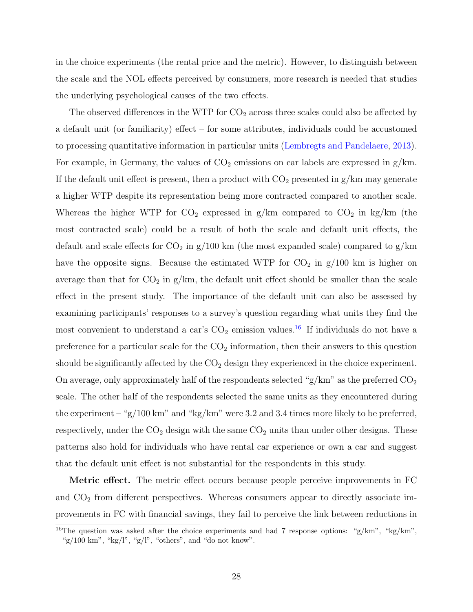in the choice experiments (the rental price and the metric). However, to distinguish between the scale and the NOL effects perceived by consumers, more research is needed that studies the underlying psychological causes of the two effects.

The observed differences in the WTP for  $CO_2$  across three scales could also be affected by a default unit (or familiarity) effect – for some attributes, individuals could be accustomed to processing quantitative information in particular units [\(Lembregts and Pandelaere,](#page-35-2) [2013\)](#page-35-2). For example, in Germany, the values of  $CO<sub>2</sub>$  emissions on car labels are expressed in  $g/km$ . If the default unit effect is present, then a product with  $CO<sub>2</sub>$  presented in  $g/km$  may generate a higher WTP despite its representation being more contracted compared to another scale. Whereas the higher WTP for  $CO_2$  expressed in g/km compared to  $CO_2$  in kg/km (the most contracted scale) could be a result of both the scale and default unit effects, the default and scale effects for  $CO_2$  in  $g/100$  km (the most expanded scale) compared to  $g/km$ have the opposite signs. Because the estimated WTP for  $CO<sub>2</sub>$  in  $g/100$  km is higher on average than that for  $CO_2$  in  $g/km$ , the default unit effect should be smaller than the scale effect in the present study. The importance of the default unit can also be assessed by examining participants' responses to a survey's question regarding what units they find the most convenient to understand a car's  $CO<sub>2</sub>$  emission values.<sup>[16](#page-28-0)</sup> If individuals do not have a preference for a particular scale for the  $CO<sub>2</sub>$  information, then their answers to this question should be significantly affected by the  $CO<sub>2</sub>$  design they experienced in the choice experiment. On average, only approximately half of the respondents selected " $g/km$ " as the preferred  $CO<sub>2</sub>$ scale. The other half of the respondents selected the same units as they encountered during the experiment – "g/100 km" and "kg/km" were 3.2 and 3.4 times more likely to be preferred, respectively, under the  $CO<sub>2</sub>$  design with the same  $CO<sub>2</sub>$  units than under other designs. These patterns also hold for individuals who have rental car experience or own a car and suggest that the default unit effect is not substantial for the respondents in this study.

Metric effect. The metric effect occurs because people perceive improvements in FC and  $CO<sub>2</sub>$  from different perspectives. Whereas consumers appear to directly associate improvements in FC with financial savings, they fail to perceive the link between reductions in

<span id="page-28-0"></span><sup>&</sup>lt;sup>16</sup>The question was asked after the choice experiments and had 7 response options: "g/km", "kg/km", "g/100 km", "kg/l", "g/l", "others", and "do not know".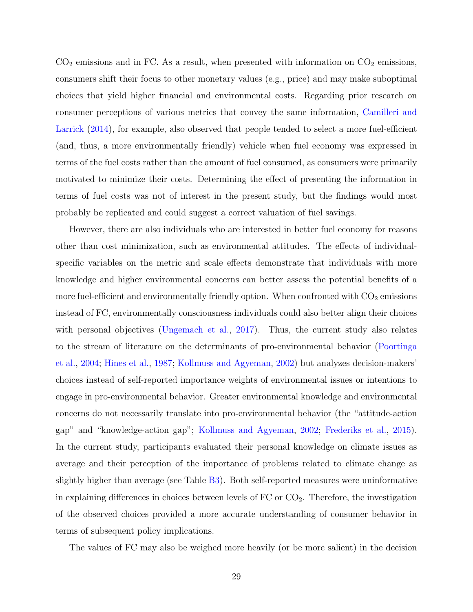$CO<sub>2</sub>$  emissions and in FC. As a result, when presented with information on  $CO<sub>2</sub>$  emissions, consumers shift their focus to other monetary values (e.g., price) and may make suboptimal choices that yield higher financial and environmental costs. Regarding prior research on consumer perceptions of various metrics that convey the same information, [Camilleri and](#page-33-2) [Larrick](#page-33-2) [\(2014\)](#page-33-2), for example, also observed that people tended to select a more fuel-efficient (and, thus, a more environmentally friendly) vehicle when fuel economy was expressed in terms of the fuel costs rather than the amount of fuel consumed, as consumers were primarily motivated to minimize their costs. Determining the effect of presenting the information in terms of fuel costs was not of interest in the present study, but the findings would most probably be replicated and could suggest a correct valuation of fuel savings.

However, there are also individuals who are interested in better fuel economy for reasons other than cost minimization, such as environmental attitudes. The effects of individualspecific variables on the metric and scale effects demonstrate that individuals with more knowledge and higher environmental concerns can better assess the potential benefits of a more fuel-efficient and environmentally friendly option. When confronted with  $CO<sub>2</sub>$  emissions instead of FC, environmentally consciousness individuals could also better align their choices with personal objectives [\(Ungemach et al.,](#page-37-2) [2017\)](#page-37-2). Thus, the current study also relates to the stream of literature on the determinants of pro-environmental behavior [\(Poortinga](#page-36-7) [et al.,](#page-36-7) [2004;](#page-36-7) [Hines et al.,](#page-35-5) [1987;](#page-35-5) [Kollmuss and Agyeman,](#page-35-11) [2002\)](#page-35-11) but analyzes decision-makers' choices instead of self-reported importance weights of environmental issues or intentions to engage in pro-environmental behavior. Greater environmental knowledge and environmental concerns do not necessarily translate into pro-environmental behavior (the "attitude-action gap" and "knowledge-action gap"; [Kollmuss and Agyeman,](#page-35-11) [2002;](#page-35-11) [Frederiks et al.,](#page-34-9) [2015\)](#page-34-9). In the current study, participants evaluated their personal knowledge on climate issues as average and their perception of the importance of problems related to climate change as slightly higher than average (see Table [B3\)](#page-45-0). Both self-reported measures were uninformative in explaining differences in choices between levels of  $FC$  or  $CO<sub>2</sub>$ . Therefore, the investigation of the observed choices provided a more accurate understanding of consumer behavior in terms of subsequent policy implications.

The values of FC may also be weighed more heavily (or be more salient) in the decision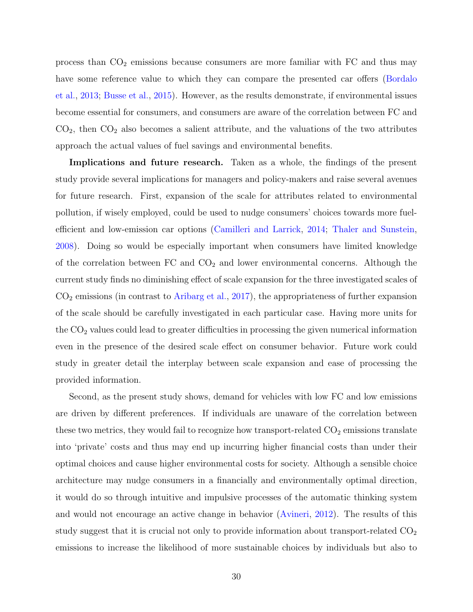process than  $CO<sub>2</sub>$  emissions because consumers are more familiar with  $FC$  and thus may have some reference value to which they can compare the presented car offers [\(Bordalo](#page-33-6) [et al.,](#page-33-6) [2013;](#page-33-6) [Busse et al.,](#page-33-9) [2015\)](#page-33-9). However, as the results demonstrate, if environmental issues become essential for consumers, and consumers are aware of the correlation between FC and  $CO<sub>2</sub>$ , then  $CO<sub>2</sub>$  also becomes a salient attribute, and the valuations of the two attributes approach the actual values of fuel savings and environmental benefits.

Implications and future research. Taken as a whole, the findings of the present study provide several implications for managers and policy-makers and raise several avenues for future research. First, expansion of the scale for attributes related to environmental pollution, if wisely employed, could be used to nudge consumers' choices towards more fuelefficient and low-emission car options [\(Camilleri and Larrick,](#page-33-2) [2014;](#page-33-2) [Thaler and Sunstein,](#page-37-3) [2008\)](#page-37-3). Doing so would be especially important when consumers have limited knowledge of the correlation between  $FC$  and  $CO<sub>2</sub>$  and lower environmental concerns. Although the current study finds no diminishing effect of scale expansion for the three investigated scales of  $CO<sub>2</sub>$  emissions (in contrast to [Aribarg et al.,](#page-33-5) [2017\)](#page-33-5), the appropriateness of further expansion of the scale should be carefully investigated in each particular case. Having more units for the  $CO<sub>2</sub>$  values could lead to greater difficulties in processing the given numerical information even in the presence of the desired scale effect on consumer behavior. Future work could study in greater detail the interplay between scale expansion and ease of processing the provided information.

Second, as the present study shows, demand for vehicles with low FC and low emissions are driven by different preferences. If individuals are unaware of the correlation between these two metrics, they would fail to recognize how transport-related  $CO<sub>2</sub>$  emissions translate into 'private' costs and thus may end up incurring higher financial costs than under their optimal choices and cause higher environmental costs for society. Although a sensible choice architecture may nudge consumers in a financially and environmentally optimal direction, it would do so through intuitive and impulsive processes of the automatic thinking system and would not encourage an active change in behavior [\(Avineri,](#page-33-10) [2012\)](#page-33-10). The results of this study suggest that it is crucial not only to provide information about transport-related  $CO<sub>2</sub>$ emissions to increase the likelihood of more sustainable choices by individuals but also to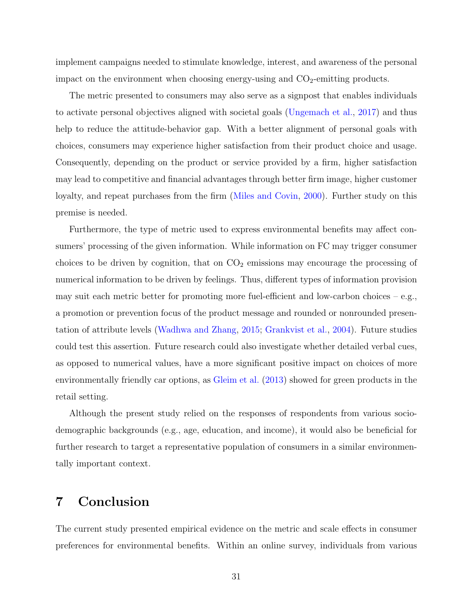implement campaigns needed to stimulate knowledge, interest, and awareness of the personal impact on the environment when choosing energy-using and  $CO<sub>2</sub>$ -emitting products.

The metric presented to consumers may also serve as a signpost that enables individuals to activate personal objectives aligned with societal goals [\(Ungemach et al.,](#page-37-2) [2017\)](#page-37-2) and thus help to reduce the attitude-behavior gap. With a better alignment of personal goals with choices, consumers may experience higher satisfaction from their product choice and usage. Consequently, depending on the product or service provided by a firm, higher satisfaction may lead to competitive and financial advantages through better firm image, higher customer loyalty, and repeat purchases from the firm [\(Miles and Covin,](#page-35-12) [2000\)](#page-35-12). Further study on this premise is needed.

Furthermore, the type of metric used to express environmental benefits may affect consumers' processing of the given information. While information on FC may trigger consumer choices to be driven by cognition, that on  $CO<sub>2</sub>$  emissions may encourage the processing of numerical information to be driven by feelings. Thus, different types of information provision may suit each metric better for promoting more fuel-efficient and low-carbon choices  $-e.g.,$ a promotion or prevention focus of the product message and rounded or nonrounded presentation of attribute levels [\(Wadhwa and Zhang,](#page-37-10) [2015;](#page-37-10) [Grankvist et al.,](#page-34-10) [2004\)](#page-34-10). Future studies could test this assertion. Future research could also investigate whether detailed verbal cues, as opposed to numerical values, have a more significant positive impact on choices of more environmentally friendly car options, as [Gleim et al.](#page-34-11) [\(2013\)](#page-34-11) showed for green products in the retail setting.

Although the present study relied on the responses of respondents from various sociodemographic backgrounds (e.g., age, education, and income), it would also be beneficial for further research to target a representative population of consumers in a similar environmentally important context.

## <span id="page-31-0"></span>7 Conclusion

The current study presented empirical evidence on the metric and scale effects in consumer preferences for environmental benefits. Within an online survey, individuals from various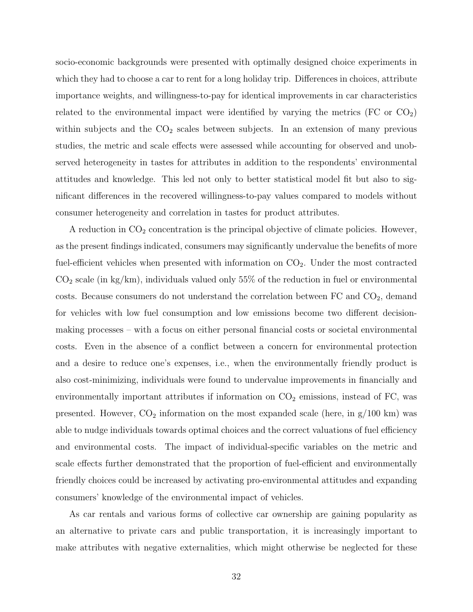socio-economic backgrounds were presented with optimally designed choice experiments in which they had to choose a car to rent for a long holiday trip. Differences in choices, attribute importance weights, and willingness-to-pay for identical improvements in car characteristics related to the environmental impact were identified by varying the metrics  $(FC \text{ or } CO<sub>2</sub>)$ within subjects and the  $CO<sub>2</sub>$  scales between subjects. In an extension of many previous studies, the metric and scale effects were assessed while accounting for observed and unobserved heterogeneity in tastes for attributes in addition to the respondents' environmental attitudes and knowledge. This led not only to better statistical model fit but also to significant differences in the recovered willingness-to-pay values compared to models without consumer heterogeneity and correlation in tastes for product attributes.

A reduction in  $CO<sub>2</sub>$  concentration is the principal objective of climate policies. However, as the present findings indicated, consumers may significantly undervalue the benefits of more fuel-efficient vehicles when presented with information on  $CO<sub>2</sub>$ . Under the most contracted  $CO<sub>2</sub> scale (in kg/km)$ , individuals valued only 55% of the reduction in fuel or environmental costs. Because consumers do not understand the correlation between  $FC$  and  $CO<sub>2</sub>$ , demand for vehicles with low fuel consumption and low emissions become two different decisionmaking processes – with a focus on either personal financial costs or societal environmental costs. Even in the absence of a conflict between a concern for environmental protection and a desire to reduce one's expenses, i.e., when the environmentally friendly product is also cost-minimizing, individuals were found to undervalue improvements in financially and environmentally important attributes if information on  $CO<sub>2</sub>$  emissions, instead of FC, was presented. However,  $CO_2$  information on the most expanded scale (here, in  $g/100 \text{ km}$ ) was able to nudge individuals towards optimal choices and the correct valuations of fuel efficiency and environmental costs. The impact of individual-specific variables on the metric and scale effects further demonstrated that the proportion of fuel-efficient and environmentally friendly choices could be increased by activating pro-environmental attitudes and expanding consumers' knowledge of the environmental impact of vehicles.

As car rentals and various forms of collective car ownership are gaining popularity as an alternative to private cars and public transportation, it is increasingly important to make attributes with negative externalities, which might otherwise be neglected for these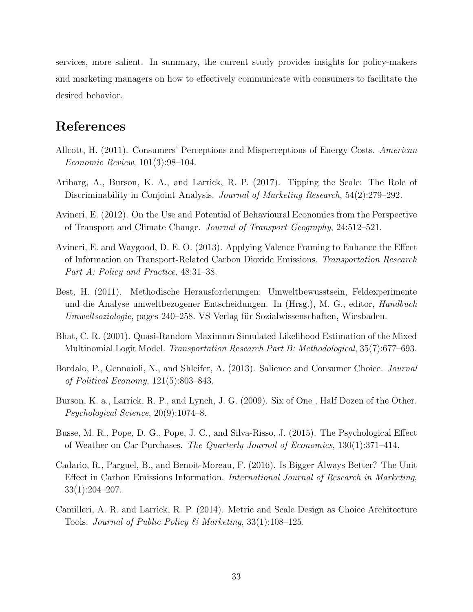services, more salient. In summary, the current study provides insights for policy-makers and marketing managers on how to effectively communicate with consumers to facilitate the desired behavior.

### References

- <span id="page-33-1"></span>Allcott, H. (2011). Consumers' Perceptions and Misperceptions of Energy Costs. American Economic Review, 101(3):98–104.
- <span id="page-33-5"></span>Aribarg, A., Burson, K. A., and Larrick, R. P. (2017). Tipping the Scale: The Role of Discriminability in Conjoint Analysis. Journal of Marketing Research, 54(2):279–292.
- <span id="page-33-10"></span>Avineri, E. (2012). On the Use and Potential of Behavioural Economics from the Perspective of Transport and Climate Change. Journal of Transport Geography, 24:512–521.
- <span id="page-33-0"></span>Avineri, E. and Waygood, D. E. O. (2013). Applying Valence Framing to Enhance the Effect of Information on Transport-Related Carbon Dioxide Emissions. Transportation Research Part A: Policy and Practice, 48:31–38.
- <span id="page-33-7"></span>Best, H. (2011). Methodische Herausforderungen: Umweltbewusstsein, Feldexperimente und die Analyse umweltbezogener Entscheidungen. In (Hrsg.), M. G., editor, Handbuch Umweltsoziologie, pages 240–258. VS Verlag für Sozialwissenschaften, Wiesbaden.
- <span id="page-33-8"></span>Bhat, C. R. (2001). Quasi-Random Maximum Simulated Likelihood Estimation of the Mixed Multinomial Logit Model. Transportation Research Part B: Methodological, 35(7):677–693.
- <span id="page-33-6"></span>Bordalo, P., Gennaioli, N., and Shleifer, A. (2013). Salience and Consumer Choice. Journal of Political Economy, 121(5):803–843.
- <span id="page-33-3"></span>Burson, K. a., Larrick, R. P., and Lynch, J. G. (2009). Six of One , Half Dozen of the Other. Psychological Science, 20(9):1074–8.
- <span id="page-33-9"></span>Busse, M. R., Pope, D. G., Pope, J. C., and Silva-Risso, J. (2015). The Psychological Effect of Weather on Car Purchases. The Quarterly Journal of Economics, 130(1):371–414.
- <span id="page-33-4"></span>Cadario, R., Parguel, B., and Benoit-Moreau, F. (2016). Is Bigger Always Better? The Unit Effect in Carbon Emissions Information. International Journal of Research in Marketing, 33(1):204–207.
- <span id="page-33-2"></span>Camilleri, A. R. and Larrick, R. P. (2014). Metric and Scale Design as Choice Architecture Tools. Journal of Public Policy & Marketing, 33(1):108–125.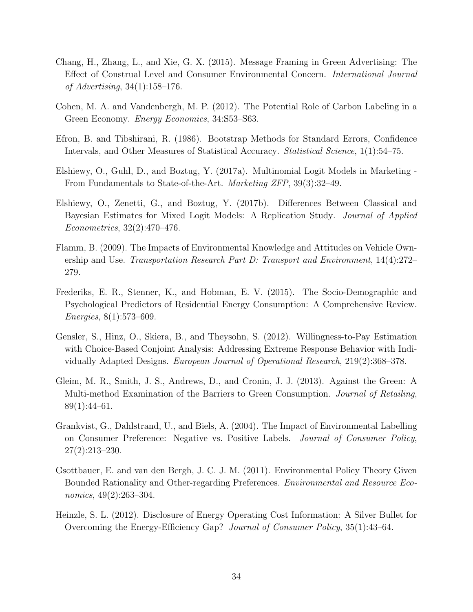- <span id="page-34-2"></span>Chang, H., Zhang, L., and Xie, G. X. (2015). Message Framing in Green Advertising: The Effect of Construal Level and Consumer Environmental Concern. International Journal of Advertising, 34(1):158–176.
- <span id="page-34-0"></span>Cohen, M. A. and Vandenbergh, M. P. (2012). The Potential Role of Carbon Labeling in a Green Economy. Energy Economics, 34:S53–S63.
- <span id="page-34-4"></span>Efron, B. and Tibshirani, R. (1986). Bootstrap Methods for Standard Errors, Confidence Intervals, and Other Measures of Statistical Accuracy. Statistical Science, 1(1):54–75.
- <span id="page-34-6"></span>Elshiewy, O., Guhl, D., and Boztug, Y. (2017a). Multinomial Logit Models in Marketing - From Fundamentals to State-of-the-Art. Marketing ZFP, 39(3):32–49.
- <span id="page-34-5"></span>Elshiewy, O., Zenetti, G., and Boztug, Y. (2017b). Differences Between Classical and Bayesian Estimates for Mixed Logit Models: A Replication Study. Journal of Applied Econometrics, 32(2):470–476.
- <span id="page-34-8"></span>Flamm, B. (2009). The Impacts of Environmental Knowledge and Attitudes on Vehicle Ownership and Use. Transportation Research Part D: Transport and Environment, 14(4):272– 279.
- <span id="page-34-9"></span>Frederiks, E. R., Stenner, K., and Hobman, E. V. (2015). The Socio-Demographic and Psychological Predictors of Residential Energy Consumption: A Comprehensive Review. Energies, 8(1):573–609.
- <span id="page-34-7"></span>Gensler, S., Hinz, O., Skiera, B., and Theysohn, S. (2012). Willingness-to-Pay Estimation with Choice-Based Conjoint Analysis: Addressing Extreme Response Behavior with Individually Adapted Designs. European Journal of Operational Research, 219(2):368–378.
- <span id="page-34-11"></span>Gleim, M. R., Smith, J. S., Andrews, D., and Cronin, J. J. (2013). Against the Green: A Multi-method Examination of the Barriers to Green Consumption. Journal of Retailing, 89(1):44–61.
- <span id="page-34-10"></span>Grankvist, G., Dahlstrand, U., and Biels, A. (2004). The Impact of Environmental Labelling on Consumer Preference: Negative vs. Positive Labels. Journal of Consumer Policy, 27(2):213–230.
- <span id="page-34-3"></span>Gsottbauer, E. and van den Bergh, J. C. J. M. (2011). Environmental Policy Theory Given Bounded Rationality and Other-regarding Preferences. Environmental and Resource Economics, 49(2):263–304.
- <span id="page-34-1"></span>Heinzle, S. L. (2012). Disclosure of Energy Operating Cost Information: A Silver Bullet for Overcoming the Energy-Efficiency Gap? Journal of Consumer Policy, 35(1):43–64.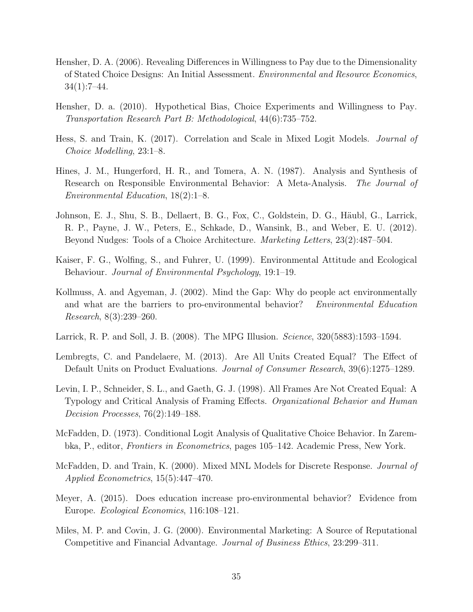- <span id="page-35-10"></span>Hensher, D. A. (2006). Revealing Differences in Willingness to Pay due to the Dimensionality of Stated Choice Designs: An Initial Assessment. Environmental and Resource Economics, 34(1):7–44.
- <span id="page-35-9"></span>Hensher, D. a. (2010). Hypothetical Bias, Choice Experiments and Willingness to Pay. Transportation Research Part B: Methodological, 44(6):735–752.
- <span id="page-35-8"></span>Hess, S. and Train, K. (2017). Correlation and Scale in Mixed Logit Models. Journal of Choice Modelling, 23:1–8.
- <span id="page-35-5"></span>Hines, J. M., Hungerford, H. R., and Tomera, A. N. (1987). Analysis and Synthesis of Research on Responsible Environmental Behavior: A Meta-Analysis. The Journal of Environmental Education, 18(2):1–8.
- <span id="page-35-3"></span>Johnson, E. J., Shu, S. B., Dellaert, B. G., Fox, C., Goldstein, D. G., Häubl, G., Larrick, R. P., Payne, J. W., Peters, E., Schkade, D., Wansink, B., and Weber, E. U. (2012). Beyond Nudges: Tools of a Choice Architecture. Marketing Letters, 23(2):487–504.
- <span id="page-35-13"></span>Kaiser, F. G., Wolfing, S., and Fuhrer, U. (1999). Environmental Attitude and Ecological Behaviour. Journal of Environmental Psychology, 19:1–19.
- <span id="page-35-11"></span>Kollmuss, A. and Agyeman, J. (2002). Mind the Gap: Why do people act environmentally and what are the barriers to pro-environmental behavior? Environmental Education Research, 8(3):239–260.
- <span id="page-35-1"></span>Larrick, R. P. and Soll, J. B. (2008). The MPG Illusion. Science, 320(5883):1593–1594.
- <span id="page-35-2"></span>Lembregts, C. and Pandelaere, M. (2013). Are All Units Created Equal? The Effect of Default Units on Product Evaluations. Journal of Consumer Research, 39(6):1275–1289.
- <span id="page-35-0"></span>Levin, I. P., Schneider, S. L., and Gaeth, G. J. (1998). All Frames Are Not Created Equal: A Typology and Critical Analysis of Framing Effects. Organizational Behavior and Human Decision Processes, 76(2):149–188.
- <span id="page-35-6"></span>McFadden, D. (1973). Conditional Logit Analysis of Qualitative Choice Behavior. In Zarembka, P., editor, Frontiers in Econometrics, pages 105–142. Academic Press, New York.
- <span id="page-35-7"></span>McFadden, D. and Train, K. (2000). Mixed MNL Models for Discrete Response. *Journal of* Applied Econometrics, 15(5):447–470.
- <span id="page-35-4"></span>Meyer, A. (2015). Does education increase pro-environmental behavior? Evidence from Europe. Ecological Economics, 116:108–121.
- <span id="page-35-12"></span>Miles, M. P. and Covin, J. G. (2000). Environmental Marketing: A Source of Reputational Competitive and Financial Advantage. Journal of Business Ethics, 23:299–311.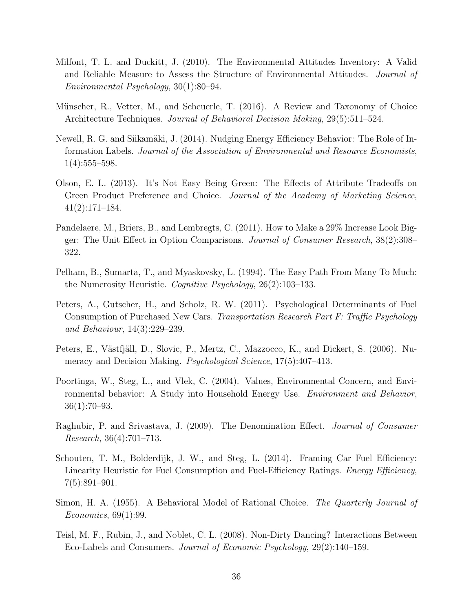- <span id="page-36-11"></span>Milfont, T. L. and Duckitt, J. (2010). The Environmental Attitudes Inventory: A Valid and Reliable Measure to Assess the Structure of Environmental Attitudes. Journal of Environmental Psychology, 30(1):80–94.
- <span id="page-36-0"></span>Münscher, R., Vetter, M., and Scheuerle, T. (2016). A Review and Taxonomy of Choice Architecture Techniques. Journal of Behavioral Decision Making, 29(5):511–524.
- <span id="page-36-6"></span>Newell, R. G. and Siikamäki, J. (2014). Nudging Energy Efficiency Behavior: The Role of Information Labels. Journal of the Association of Environmental and Resource Economists,  $1(4):555-598.$
- <span id="page-36-4"></span>Olson, E. L. (2013). It's Not Easy Being Green: The Effects of Attribute Tradeoffs on Green Product Preference and Choice. Journal of the Academy of Marketing Science, 41(2):171–184.
- <span id="page-36-3"></span>Pandelaere, M., Briers, B., and Lembregts, C. (2011). How to Make a 29% Increase Look Bigger: The Unit Effect in Option Comparisons. Journal of Consumer Research, 38(2):308– 322.
- <span id="page-36-2"></span>Pelham, B., Sumarta, T., and Myaskovsky, L. (1994). The Easy Path From Many To Much: the Numerosity Heuristic. Cognitive Psychology, 26(2):103–133.
- <span id="page-36-12"></span>Peters, A., Gutscher, H., and Scholz, R. W. (2011). Psychological Determinants of Fuel Consumption of Purchased New Cars. Transportation Research Part F: Traffic Psychology and Behaviour, 14(3):229–239.
- <span id="page-36-9"></span>Peters, E., Västfjäll, D., Slovic, P., Mertz, C., Mazzocco, K., and Dickert, S. (2006). Numeracy and Decision Making. *Psychological Science*, 17(5):407–413.
- <span id="page-36-7"></span>Poortinga, W., Steg, L., and Vlek, C. (2004). Values, Environmental Concern, and Environmental behavior: A Study into Household Energy Use. Environment and Behavior, 36(1):70–93.
- <span id="page-36-10"></span>Raghubir, P. and Srivastava, J. (2009). The Denomination Effect. Journal of Consumer Research, 36(4):701–713.
- <span id="page-36-1"></span>Schouten, T. M., Bolderdijk, J. W., and Steg, L. (2014). Framing Car Fuel Efficiency: Linearity Heuristic for Fuel Consumption and Fuel-Efficiency Ratings. *Energy Efficiency*, 7(5):891–901.
- <span id="page-36-8"></span>Simon, H. A. (1955). A Behavioral Model of Rational Choice. The Quarterly Journal of Economics, 69(1):99.
- <span id="page-36-5"></span>Teisl, M. F., Rubin, J., and Noblet, C. L. (2008). Non-Dirty Dancing? Interactions Between Eco-Labels and Consumers. Journal of Economic Psychology, 29(2):140–159.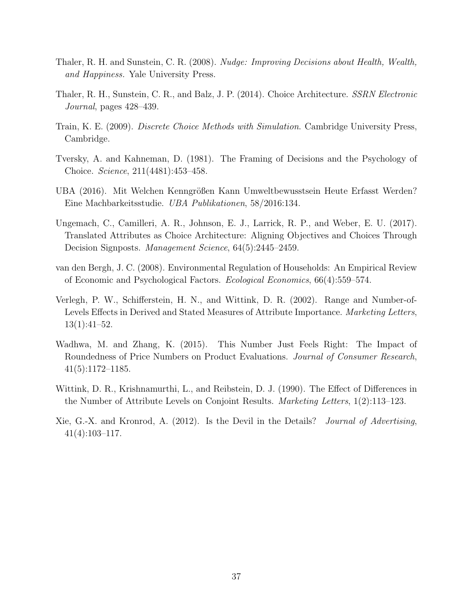- <span id="page-37-3"></span>Thaler, R. H. and Sunstein, C. R. (2008). Nudge: Improving Decisions about Health, Wealth, and Happiness. Yale University Press.
- <span id="page-37-1"></span>Thaler, R. H., Sunstein, C. R., and Balz, J. P. (2014). Choice Architecture. SSRN Electronic Journal, pages 428–439.
- <span id="page-37-6"></span>Train, K. E. (2009). Discrete Choice Methods with Simulation. Cambridge University Press, Cambridge.
- <span id="page-37-0"></span>Tversky, A. and Kahneman, D. (1981). The Framing of Decisions and the Psychology of Choice. Science, 211(4481):453–458.
- <span id="page-37-5"></span>UBA (2016). Mit Welchen Kenngrößen Kann Umweltbewusstsein Heute Erfasst Werden? Eine Machbarkeitsstudie. UBA Publikationen, 58/2016:134.
- <span id="page-37-2"></span>Ungemach, C., Camilleri, A. R., Johnson, E. J., Larrick, R. P., and Weber, E. U. (2017). Translated Attributes as Choice Architecture: Aligning Objectives and Choices Through Decision Signposts. Management Science, 64(5):2445–2459.
- <span id="page-37-8"></span>van den Bergh, J. C. (2008). Environmental Regulation of Households: An Empirical Review of Economic and Psychological Factors. Ecological Economics, 66(4):559–574.
- <span id="page-37-7"></span>Verlegh, P. W., Schifferstein, H. N., and Wittink, D. R. (2002). Range and Number-of-Levels Effects in Derived and Stated Measures of Attribute Importance. Marketing Letters, 13(1):41–52.
- <span id="page-37-10"></span>Wadhwa, M. and Zhang, K. (2015). This Number Just Feels Right: The Impact of Roundedness of Price Numbers on Product Evaluations. Journal of Consumer Research, 41(5):1172–1185.
- <span id="page-37-9"></span>Wittink, D. R., Krishnamurthi, L., and Reibstein, D. J. (1990). The Effect of Differences in the Number of Attribute Levels on Conjoint Results. Marketing Letters, 1(2):113–123.
- <span id="page-37-4"></span>Xie, G.-X. and Kronrod, A. (2012). Is the Devil in the Details? Journal of Advertising, 41(4):103–117.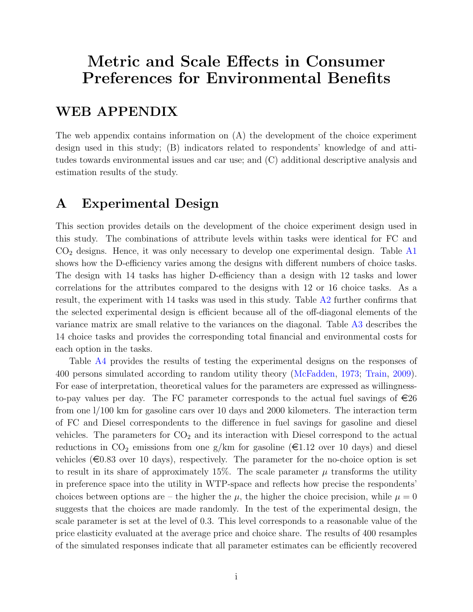## Metric and Scale Effects in Consumer Preferences for Environmental Benefits

## WEB APPENDIX

The web appendix contains information on (A) the development of the choice experiment design used in this study; (B) indicators related to respondents' knowledge of and attitudes towards environmental issues and car use; and (C) additional descriptive analysis and estimation results of the study.

## A Experimental Design

This section provides details on the development of the choice experiment design used in this study. The combinations of attribute levels within tasks were identical for FC and  $CO<sub>2</sub>$  designs. Hence, it was only necessary to develop one experimental design. Table [A1](#page-39-0) shows how the D-efficiency varies among the designs with different numbers of choice tasks. The design with 14 tasks has higher D-efficiency than a design with 12 tasks and lower correlations for the attributes compared to the designs with 12 or 16 choice tasks. As a result, the experiment with 14 tasks was used in this study. Table [A2](#page-39-1) further confirms that the selected experimental design is efficient because all of the off-diagonal elements of the variance matrix are small relative to the variances on the diagonal. Table [A3](#page-40-0) describes the 14 choice tasks and provides the corresponding total financial and environmental costs for each option in the tasks.

Table [A4](#page-41-0) provides the results of testing the experimental designs on the responses of 400 persons simulated according to random utility theory [\(McFadden,](#page-35-6) [1973;](#page-35-6) [Train,](#page-37-6) [2009\)](#page-37-6). For ease of interpretation, theoretical values for the parameters are expressed as willingnessto-pay values per day. The FC parameter corresponds to the actual fuel savings of  $\epsilon$ 26 from one l/100 km for gasoline cars over 10 days and 2000 kilometers. The interaction term of FC and Diesel correspondents to the difference in fuel savings for gasoline and diesel vehicles. The parameters for  $CO<sub>2</sub>$  and its interaction with Diesel correspond to the actual reductions in  $CO_2$  emissions from one g/km for gasoline ( $\epsilon$ 1.12 over 10 days) and diesel vehicles ( $\in$ 0.83 over 10 days), respectively. The parameter for the no-choice option is set to result in its share of approximately 15%. The scale parameter  $\mu$  transforms the utility in preference space into the utility in WTP-space and reflects how precise the respondents' choices between options are – the higher the  $\mu$ , the higher the choice precision, while  $\mu = 0$ suggests that the choices are made randomly. In the test of the experimental design, the scale parameter is set at the level of 0.3. This level corresponds to a reasonable value of the price elasticity evaluated at the average price and choice share. The results of 400 resamples of the simulated responses indicate that all parameter estimates can be efficiently recovered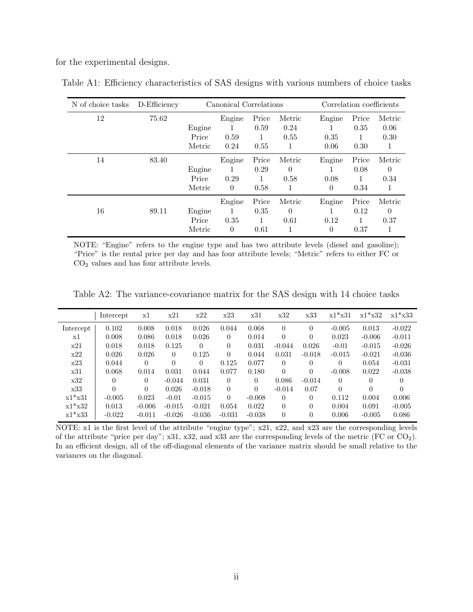for the experimental designs.

| N of choice tasks | D-Efficiency |        | Canonical Correlations |       | Correlation coefficients |          |       |          |
|-------------------|--------------|--------|------------------------|-------|--------------------------|----------|-------|----------|
| 12                | 75.62        |        | Engine                 | Price | Metric                   | Engine   | Price | Metric   |
|                   |              | Engine | 1                      | 0.59  | 0.24                     |          | 0.35  | 0.06     |
|                   |              | Price  | 0.59                   |       | 0.55                     | 0.35     |       | 0.30     |
|                   |              | Metric | 0.24                   | 0.55  | 1                        | 0.06     | 0.30  | 1        |
| 14                | 83.40        |        | Engine                 | Price | Metric                   | Engine   | Price | Metric   |
|                   |              | Engine |                        | 0.29  | 0                        |          | 0.08  | $\theta$ |
|                   |              | Price  | 0.29                   |       | 0.58                     | 0.08     |       | 0.34     |
|                   |              | Metric | $\Omega$               | 0.58  |                          | $\theta$ | 0.34  | 1        |
|                   |              |        | Engine                 | Price | Metric                   | Engine   | Price | Metric   |
| 16                | 89.11        | Engine | 1                      | 0.35  | 0                        |          | 0.12  | $\theta$ |
|                   |              | Price  | 0.35                   |       | 0.61                     | 0.12     |       | 0.37     |
|                   |              | Metric | $\theta$               | 0.61  | 1                        | $\theta$ | 0.37  | 1        |

<span id="page-39-0"></span>Table A1: Efficiency characteristics of SAS designs with various numbers of choice tasks

NOTE: "Engine" refers to the engine type and has two attribute levels (diesel and gasoline); "Price" is the rental price per day and has four attribute levels; "Metric" refers to either FC or  $\mathrm{CO}_2$  values and has four attribute levels.

<span id="page-39-1"></span>Table A2: The variance-covariance matrix for the SAS design with 14 choice tasks

|           | Intercept | x1       | x21      | x22      | x23      | x31      | x32      | x33      | $x1*$ $x31$ | $x1*$ x32 | $x1*$ $x33$ |
|-----------|-----------|----------|----------|----------|----------|----------|----------|----------|-------------|-----------|-------------|
| Intercept | 0.102     | 0.008    | 0.018    | 0.026    | 0.044    | 0.068    | $\theta$ | 0        | $-0.005$    | 0.013     | $-0.022$    |
| x1        | 0.008     | 0.086    | 0.018    | 0.026    | $\theta$ | 0.014    | $\Omega$ | $\Omega$ | 0.023       | $-0.006$  | $-0.011$    |
| x21       | 0.018     | 0.018    | 0.125    | 0        | $\theta$ | 0.031    | $-0.044$ | 0.026    | $-0.01$     | $-0.015$  | $-0.026$    |
| x22       | 0.026     | 0.026    | $\Omega$ | 0.125    | $\theta$ | 0.044    | 0.031    | $-0.018$ | $-0.015$    | $-0.021$  | $-0.036$    |
| x23       | 0.044     | $\Omega$ | $\Omega$ | 0        | 0.125    | 0.077    | 0        | 0        | $\Omega$    | 0.054     | $-0.031$    |
| x31       | 0.068     | 0.014    | 0.031    | 0.044    | 0.077    | 0.180    | $\Omega$ | $\Omega$ | $-0.008$    | 0.022     | $-0.038$    |
| x32       | 0         | 0        | $-0.044$ | 0.031    | $\Omega$ | $\theta$ | 0.086    | $-0.014$ | $\left($    | 0         | $\Omega$    |
| x33       | $\Omega$  | $\theta$ | 0.026    | $-0.018$ | $\Omega$ | $\Omega$ | $-0.014$ | 0.07     | $\Omega$    | 0         | $\theta$    |
| $x1*$ x31 | $-0.005$  | 0.023    | $-0.01$  | $-0.015$ | $\Omega$ | $-0.008$ | 0        | $\theta$ | 0.112       | 0.004     | 0.006       |
| $x1*$ x32 | 0.013     | $-0.006$ | $-0.015$ | $-0.021$ | 0.054    | 0.022    | $\Omega$ | $\theta$ | 0.004       | 0.091     | $-0.005$    |
| $x1*$ x33 | $-0.022$  | $-0.011$ | $-0.026$ | $-0.036$ | $-0.031$ | $-0.038$ | $\theta$ | $\theta$ | 0.006       | $-0.005$  | 0.086       |

NOTE: x1 is the first level of the attribute "engine type"; x21, x22, and x23 are the corresponding levels of the attribute "price per day"; x31, x32, and x33 are the corresponding levels of the metric (FC or  $CO<sub>2</sub>$ ). In an efficient design, all of the off-diagonal elements of the variance matrix should be small relative to the variances on the diagonal.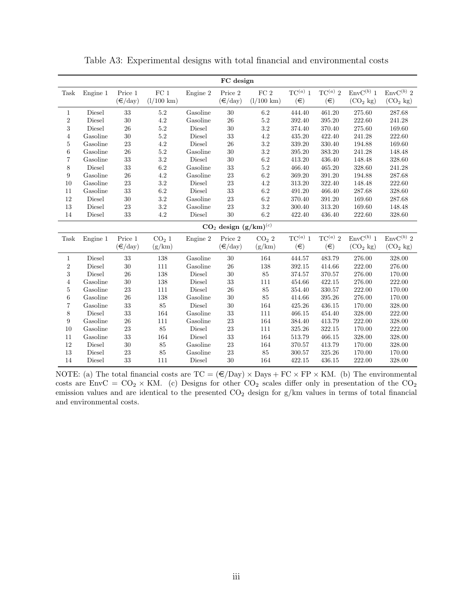<span id="page-40-0"></span>

|                  | FC design                   |                         |                      |          |                         |                      |              |              |                      |                       |  |  |
|------------------|-----------------------------|-------------------------|----------------------|----------|-------------------------|----------------------|--------------|--------------|----------------------|-----------------------|--|--|
| Task             | Engine 1                    | Price 1                 | FC <sub>1</sub>      | Engine 2 | Price 2                 | FC <sub>2</sub>      | $TC^{(a)}$ 1 | $TC^{(a)}$ 2 | $EnvC^{(b)}$ 1       | $\text{Env}C^{(b)}$ 2 |  |  |
|                  |                             | $(\epsilon/\text{day})$ | $(l/100 \text{ km})$ |          | $(\epsilon/\text{day})$ | $(l/100 \text{ km})$ | $(\in)$      | $(\in)$      | (CO <sub>2</sub> kg) | (CO <sub>2</sub> kg)  |  |  |
| 1                | Diesel                      | 33                      | 5.2                  | Gasoline | 30                      | 6.2                  | 444.40       | 461.20       | 275.60               | 287.68                |  |  |
| $\,2$            | Diesel                      | 30                      | 4.2                  | Gasoline | 26                      | 5.2                  | 392.40       | 395.20       | 222.60               | 241.28                |  |  |
| 3                | Diesel                      | 26                      | $5.2\,$              | Diesel   | $30\,$                  | $3.2\,$              | 374.40       | 370.40       | 275.60               | 169.60                |  |  |
| $\overline{4}$   | Gasoline                    | $30\,$                  | $5.2\,$              | Diesel   | $33\,$                  | $4.2\,$              | 435.20       | 422.40       | 241.28               | 222.60                |  |  |
| 5                | Gasoline                    | 23                      | $4.2\,$              | Diesel   | 26                      | $3.2\,$              | 339.20       | 330.40       | 194.88               | 169.60                |  |  |
| 6                | Gasoline                    | 26                      | 5.2                  | Gasoline | 30                      | $3.2\,$              | 395.20       | 383.20       | 241.28               | 148.48                |  |  |
| 7                | Gasoline                    | 33                      | $3.2\,$              | Diesel   | 30                      | $6.2\,$              | 413.20       | 436.40       | 148.48               | 328.60                |  |  |
| 8                | Diesel                      | 33                      | 6.2                  | Gasoline | 33                      | $5.2\,$              | 466.40       | 465.20       | 328.60               | 241.28                |  |  |
| 9                | Gasoline                    | 26                      | 4.2                  | Gasoline | 23                      | $6.2\,$              | 369.20       | 391.20       | 194.88               | 287.68                |  |  |
| 10               | Gasoline                    | $\bf 23$                | $3.2\,$              | Diesel   | 23                      | $4.2\,$              | 313.20       | 322.40       | 148.48               | 222.60                |  |  |
| 11               | Gasoline                    | 33                      | $6.2\,$              | Diesel   | $33\,$                  | $6.2\,$              | 491.20       | 466.40       | 287.68               | 328.60                |  |  |
| 12               | Diesel                      | 30                      | $3.2\,$              | Gasoline | 23                      | $6.2\,$              | 370.40       | 391.20       | 169.60               | 287.68                |  |  |
| 13               | Diesel                      | 23                      | $3.2\,$              | Gasoline | 23                      | $3.2\,$              | 300.40       | 313.20       | 169.60               | 148.48                |  |  |
| 14               | Diesel                      | 33                      | $4.2\,$              | Diesel   | $30\,$                  | $6.2\,$              | 422.40       | 436.40       | 222.60               | 328.60                |  |  |
|                  | $CO2$ design $(g/km)^{(c)}$ |                         |                      |          |                         |                      |              |              |                      |                       |  |  |
| Task             | Engine 1                    | Price 1                 | CO <sub>2</sub> 1    | Engine 2 | Price $2\,$             | $CO2$ 2              | $TC^{(a)}$ 1 | $TC^{(a)}$ 2 | $EnvC^{(b)}$ 1       | ${\rm EnvC^{(b)}}$ 2  |  |  |
|                  |                             | $(\epsilon/\text{day})$ | (g/km)               |          | $(\epsilon/\text{day})$ | (g/km)               | $(\in)$      | $(\in)$      | (CO <sub>2</sub> kg) | (CO <sub>2</sub> kg)  |  |  |
| $\mathbf{1}$     | Diesel                      | $33\,$                  | 138                  | Gasoline | $30\,$                  | 164                  | 444.57       | 483.79       | 276.00               | 328.00                |  |  |
| $\,2$            | Diesel                      | $30\,$                  | $111\,$              | Gasoline | $26\,$                  | 138                  | 392.15       | 414.66       | 222.00               | 276.00                |  |  |
| 3                | Diesel                      | $26\,$                  | 138                  | Diesel   | $30\,$                  | 85                   | 374.57       | 370.57       | 276.00               | 170.00                |  |  |
| $\overline{4}$   | Gasoline                    | $30\,$                  | 138                  | Diesel   | $33\,$                  | 111                  | 454.66       | 422.15       | 276.00               | 222.00                |  |  |
| 5                | Gasoline                    | 23                      | 111                  | Diesel   | 26                      | 85                   | 354.40       | 330.57       | 222.00               | 170.00                |  |  |
| $\,6$            | Gasoline                    | $\sqrt{26}$             | 138                  | Gasoline | $30\,$                  | 85                   | 414.66       | 395.26       | 276.00               | 170.00                |  |  |
| 7                | Gasoline                    | 33                      | $85\,$               | Diesel   | $30\,$                  | 164                  | 425.26       | 436.15       | 170.00               | 328.00                |  |  |
| 8                | Diesel                      | 33                      | 164                  | Gasoline | $33\,$                  | 111                  | 466.15       | 454.40       | 328.00               | 222.00                |  |  |
| $\boldsymbol{9}$ | Gasoline                    | $\sqrt{26}$             | 111                  | Gasoline | $23\,$                  | 164                  | 384.40       | 413.79       | 222.00               | 328.00                |  |  |
| $10\,$           | Gasoline                    | $\bf 23$                | $85\,$               | Diesel   | $23\,$                  | $111\,$              | 325.26       | 322.15       | 170.00               | 222.00                |  |  |
| 11               | Gasoline                    | 33                      | 164                  | Diesel   | $33\,$                  | 164                  | 513.79       | 466.15       | 328.00               | 328.00                |  |  |
| 12               | Diesel                      | $30\,$                  | $85\,$               | Gasoline | $\sqrt{23}$             | 164                  | 370.57       | 413.79       | 170.00               | 328.00                |  |  |
| 13               | Diesel                      | 23                      | 85                   | Gasoline | $23\,$                  | 85                   | 300.57       | 325.26       | 170.00               | 170.00                |  |  |
| 14               | Diesel                      | 33                      | 111                  | Diesel   | 30                      | 164                  | 422.15       | 436.15       | 222.00               | 328.00                |  |  |

Table A3: Experimental designs with total financial and environmental costs

NOTE: (a) The total financial costs are  $TC = (\epsilon / Day) \times Days + FC \times FP \times KM$ . (b) The environmental costs are EnvC =  $CO_2 \times KM$ . (c) Designs for other  $CO_2$  scales differ only in presentation of the  $CO_2$ emission values and are identical to the presented  $CO<sub>2</sub>$  design for  $g/km$  values in terms of total financial and environmental costs.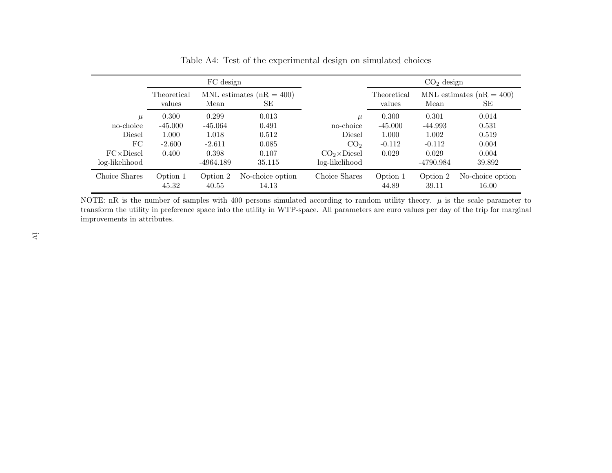|                         |                       | FC design                                  |                           |                                        |                       | $CO2$ design       |                                    |
|-------------------------|-----------------------|--------------------------------------------|---------------------------|----------------------------------------|-----------------------|--------------------|------------------------------------|
|                         | Theoretical<br>values | MNL estimates ( $nR = 400$ )<br>Mean<br>SЕ |                           |                                        | Theoretical<br>values | Mean               | MNL estimates ( $nR = 400$ )<br>SЕ |
| $\mu$<br>no-choice      | 0.300<br>$-45.000$    | 0.299<br>$-45.064$                         | 0.013<br>0.491            | no-choice                              | 0.300<br>$-45.000$    | 0.301<br>$-44.993$ | 0.014<br>0.531                     |
| Diesel                  | 1.000                 | 1.018                                      | 0.512                     | Diesel                                 | 1.000                 | 1.002              | 0.519                              |
| FC<br>$FC\times Diesel$ | $-2.600$<br>0.400     | $-2.611$<br>0.398                          | 0.085<br>0.107            | CO <sub>2</sub><br>$CO2 \times Diesel$ | $-0.112$<br>0.029     | $-0.112$<br>0.029  | 0.004<br>0.004                     |
| log-likelihood          |                       | $-4964.189$                                | 35.115                    | log-likelihood                         |                       | $-4790.984$        | 39.892                             |
| Choice Shares           | Option 1<br>45.32     | Option 2<br>40.55                          | No-choice option<br>14.13 | Choice Shares                          | Option 1<br>44.89     | Option 2<br>39.11  | No-choice option<br>16.00          |

<span id="page-41-0"></span>Table A4: Test of the experimental design on simulated choices

NOTE: nR is the number of samples with 400 persons simulated according to random utility theory.  $\mu$  is the scale parameter to transform the utility in preference space into the utility in WTP-space. All parameters are euro values per day of the trip for marginal improvements in attributes.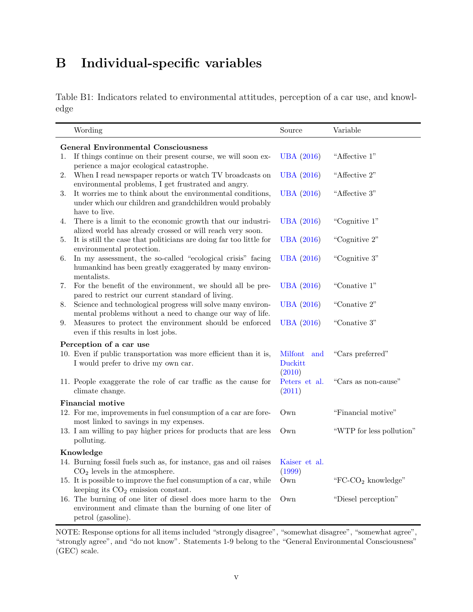## B Individual-specific variables

Table B1: Indicators related to environmental attitudes, perception of a car use, and knowledge

| Wording                                                                                                                                        | Source                              | Variable                       |
|------------------------------------------------------------------------------------------------------------------------------------------------|-------------------------------------|--------------------------------|
| <b>General Environmental Consciousness</b>                                                                                                     |                                     |                                |
| If things continue on their present course, we will soon ex-<br>1.<br>perience a major ecological catastrophe.                                 | <b>UBA</b> (2016)                   | "Affective 1"                  |
| When I read newspaper reports or watch TV broadcasts on<br>2.<br>environmental problems, I get frustrated and angry.                           | <b>UBA</b> (2016)                   | "Affective 2"                  |
| It worries me to think about the environmental conditions,<br>3.<br>under which our children and grandchildren would probably<br>have to live. | <b>UBA</b> (2016)                   | "Affective 3"                  |
| There is a limit to the economic growth that our industri-<br>4.<br>alized world has already crossed or will reach very soon.                  | <b>UBA</b> (2016)                   | "Cognitive 1"                  |
| It is still the case that politicians are doing far too little for<br>5.<br>environmental protection.                                          | <b>UBA</b> (2016)                   | "Cognitive 2"                  |
| In my assessment, the so-called "ecological crisis" facing<br>6.<br>humankind has been greatly exaggerated by many environ-<br>mentalists.     | <b>UBA</b> (2016)                   | "Cognitive 3"                  |
| For the benefit of the environment, we should all be pre-<br>7.<br>pared to restrict our current standard of living.                           | <b>UBA</b> (2016)                   | "Conative 1"                   |
| Science and technological progress will solve many environ-<br>8.<br>mental problems without a need to change our way of life.                 | <b>UBA</b> (2016)                   | "Conative $2"$                 |
| Measures to protect the environment should be enforced<br>9.<br>even if this results in lost jobs.                                             | <b>UBA</b> (2016)                   | "Conative 3"                   |
| Perception of a car use                                                                                                                        |                                     |                                |
| 10. Even if public transportation was more efficient than it is,<br>I would prefer to drive my own car.                                        | Milfont<br>and<br>Duckitt<br>(2010) | "Cars preferred"               |
| 11. People exaggerate the role of car traffic as the cause for<br>climate change.                                                              | Peters et al.<br>(2011)             | "Cars as non-cause"            |
| <b>Financial motive</b>                                                                                                                        |                                     |                                |
| 12. For me, improvements in fuel consumption of a car are fore-<br>most linked to savings in my expenses.                                      | Own                                 | "Financial motive"             |
| 13. I am willing to pay higher prices for products that are less<br>polluting.                                                                 | Own                                 | "WTP for less pollution"       |
| Knowledge                                                                                                                                      |                                     |                                |
| 14. Burning fossil fuels such as, for instance, gas and oil raises<br>$CO2$ levels in the atmosphere.                                          | Kaiser et al.<br>(1999)             |                                |
| 15. It is possible to improve the fuel consumption of a car, while<br>keeping its $CO2$ emission constant.                                     | $\hbox{Own}$                        | "FC-CO <sub>2</sub> knowledge" |
| 16. The burning of one liter of diesel does more harm to the<br>environment and climate than the burning of one liter of<br>petrol (gasoline). | Own                                 | "Diesel perception"            |

NOTE: Response options for all items included "strongly disagree", "somewhat disagree", "somewhat agree", "strongly agree", and "do not know". Statements 1-9 belong to the "General Environmental Consciousness" (GEC) scale.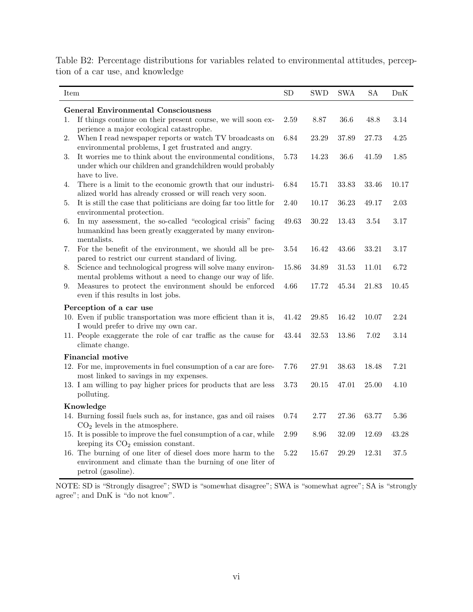<span id="page-43-0"></span>Table B2: Percentage distributions for variables related to environmental attitudes, perception of a car use, and knowledge

| Item |                                                                                                                                                                                                 | <b>SD</b> | <b>SWD</b> | <b>SWA</b> | SA    | DnK      |
|------|-------------------------------------------------------------------------------------------------------------------------------------------------------------------------------------------------|-----------|------------|------------|-------|----------|
|      | <b>General Environmental Consciousness</b>                                                                                                                                                      |           |            |            |       |          |
| 1.   | If things continue on their present course, we will soon ex-<br>perience a major ecological catastrophe.                                                                                        | 2.59      | 8.87       | 36.6       | 48.8  | 3.14     |
| 2.   | When I read newspaper reports or watch TV broadcasts on                                                                                                                                         | 6.84      | 23.29      | 37.89      | 27.73 | 4.25     |
| 3.   | environmental problems, I get frustrated and angry.<br>It worries me to think about the environmental conditions,<br>under which our children and grandchildren would probably<br>have to live. | 5.73      | 14.23      | 36.6       | 41.59 | 1.85     |
| 4.   | There is a limit to the economic growth that our industri-<br>alized world has already crossed or will reach very soon.                                                                         | 6.84      | 15.71      | 33.83      | 33.46 | 10.17    |
| 5.   | It is still the case that politicians are doing far too little for<br>environmental protection.                                                                                                 | 2.40      | 10.17      | 36.23      | 49.17 | 2.03     |
| 6.   | In my assessment, the so-called "ecological crisis" facing<br>humankind has been greatly exaggerated by many environ-<br>mentalists.                                                            | 49.63     | $30.22\,$  | 13.43      | 3.54  | $3.17\,$ |
| 7.   | For the benefit of the environment, we should all be pre-<br>pared to restrict our current standard of living.                                                                                  | 3.54      | 16.42      | 43.66      | 33.21 | 3.17     |
| 8.   | Science and technological progress will solve many environ-<br>mental problems without a need to change our way of life.                                                                        | 15.86     | 34.89      | 31.53      | 11.01 | 6.72     |
| 9.   | Measures to protect the environment should be enforced<br>even if this results in lost jobs.                                                                                                    | 4.66      | 17.72      | 45.34      | 21.83 | 10.45    |
|      | Perception of a car use<br>10. Even if public transportation was more efficient than it is,<br>I would prefer to drive my own car.                                                              | 41.42     | 29.85      | 16.42      | 10.07 | 2.24     |
|      | 11. People exaggerate the role of car traffic as the cause for<br>climate change.                                                                                                               | 43.44     | 32.53      | 13.86      | 7.02  | $3.14\,$ |
|      | <b>Financial motive</b>                                                                                                                                                                         |           |            |            |       |          |
|      | 12. For me, improvements in fuel consumption of a car are fore-<br>most linked to savings in my expenses.                                                                                       | 7.76      | 27.91      | 38.63      | 18.48 | 7.21     |
|      | 13. I am willing to pay higher prices for products that are less<br>polluting.                                                                                                                  | 3.73      | 20.15      | 47.01      | 25.00 | 4.10     |
|      | Knowledge                                                                                                                                                                                       |           |            |            |       |          |
|      | 14. Burning fossil fuels such as, for instance, gas and oil raises<br>$CO2$ levels in the atmosphere.                                                                                           | 0.74      | 2.77       | 27.36      | 63.77 | 5.36     |
|      | 15. It is possible to improve the fuel consumption of a car, while<br>keeping its $CO2$ emission constant.                                                                                      | 2.99      | 8.96       | 32.09      | 12.69 | 43.28    |
|      | 16. The burning of one liter of diesel does more harm to the<br>environment and climate than the burning of one liter of<br>petrol (gasoline).                                                  | 5.22      | 15.67      | 29.29      | 12.31 | 37.5     |

NOTE: SD is "Strongly disagree"; SWD is "somewhat disagree"; SWA is "somewhat agree"; SA is "strongly agree"; and DnK is "do not know".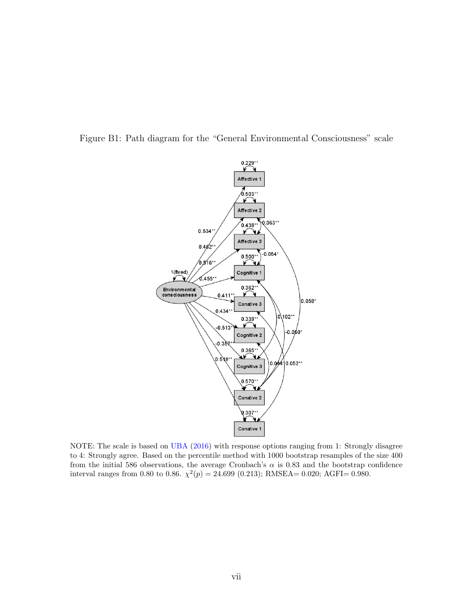<span id="page-44-0"></span>



NOTE: The scale is based on [UBA](#page-37-5) [\(2016\)](#page-37-5) with response options ranging from 1: Strongly disagree to 4: Strongly agree. Based on the percentile method with 1000 bootstrap resamples of the size 400 from the initial 586 observations, the average Cronbach's  $\alpha$  is 0.83 and the bootstrap confidence interval ranges from 0.80 to 0.86.  $\chi^2(p) = 24.699$  (0.213); RMSEA= 0.020; AGFI= 0.980.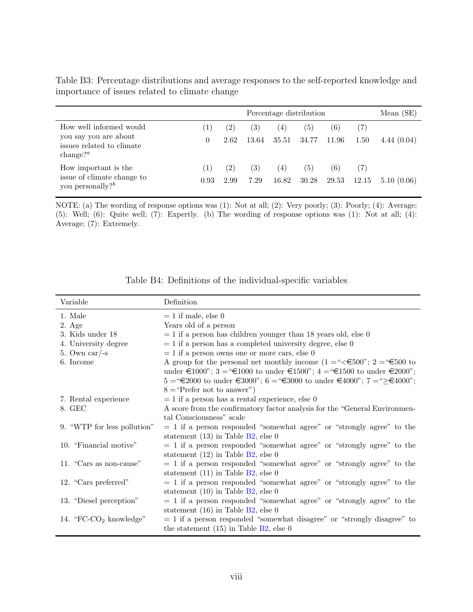|                                                                                                              | Percentage distribution        |                           |              |              |              |              |            |            |
|--------------------------------------------------------------------------------------------------------------|--------------------------------|---------------------------|--------------|--------------|--------------|--------------|------------|------------|
| How well informed would<br>you say you are about<br>issues related to climate<br>change? <sup><i>a</i></sup> | $\left(1\right)$<br>$\theta$   | $\left( 2\right)$<br>2.62 | (3)<br>13.64 | (4)<br>35.51 | (5)<br>34.77 | (6)<br>11.96 | 7)<br>1.50 | 4.44(0.04) |
| How important is the<br>issue of climate change to<br>you personally? $b$                                    | $\left 1\right\rangle$<br>0.93 | $\left( 2\right)$<br>2.99 | (3)<br>7.29  | (4)<br>16.82 | (5)<br>30.28 | (6)<br>29.53 | 12.15      | 5.10(0.06) |

<span id="page-45-0"></span>Table B3: Percentage distributions and average responses to the self-reported knowledge and importance of issues related to climate change

NOTE: (a) The wording of response options was (1): Not at all; (2): Very poorly; (3): Poorly; (4): Average; (5): Well; (6): Quite well; (7): Expertly. (b) The wording of response options was (1): Not at all; (4): Average; (7): Extremely.

| Variable                    | Definition                                                                                                                                                                                                                                                                                                                                                                                                                                                      |
|-----------------------------|-----------------------------------------------------------------------------------------------------------------------------------------------------------------------------------------------------------------------------------------------------------------------------------------------------------------------------------------------------------------------------------------------------------------------------------------------------------------|
| 1. Male                     | $= 1$ if male, else 0                                                                                                                                                                                                                                                                                                                                                                                                                                           |
| $2. \text{Age}$             | Years old of a person                                                                                                                                                                                                                                                                                                                                                                                                                                           |
| 3. Kids under 18            | $= 1$ if a person has children younger than 18 years old, else 0                                                                                                                                                                                                                                                                                                                                                                                                |
| 4. University degree        | $= 1$ if a person has a completed university degree, else 0                                                                                                                                                                                                                                                                                                                                                                                                     |
| 5. Own car/-s               | $= 1$ if a person owns one or more cars, else 0                                                                                                                                                                                                                                                                                                                                                                                                                 |
| 6. Income                   | A group for the personal net monthly income $(1 = \text{``<} \text{€}500\text{''}; 2 = \text{``} \text{€}500$ to                                                                                                                                                                                                                                                                                                                                                |
|                             | under €1000"; 3 = "€1000 to under €1500"; 4 = "€1500 to under €2000";                                                                                                                                                                                                                                                                                                                                                                                           |
|                             | $5 = 5$ = $\textcircled{\textcirc}$ = $\textcircled{\textcirc}$ to under $\textcircled{\textcirc}$ = $\textcircled{\textcirc}$ = $\textcircled{\textcirc}$ = $\textcircled{\textcirc}$ to under $\textcircled{\textcirc}$ = $\textcircled{\textcirc}$ = $\textcircled{\textcirc}$ = $\textcircled{\textcirc}$ = $\textcircled{\textcirc}$ = $\textcircled{\textcirc}$ = $\textcircled{\textcirc}$ = $\textcircled{\textcirc}$ = $\textcircled{\textcirc}$ = $\$ |
|                             | $8 =$ "Prefer not to answer")                                                                                                                                                                                                                                                                                                                                                                                                                                   |
| 7. Rental experience        | $= 1$ if a person has a rental experience, else 0                                                                                                                                                                                                                                                                                                                                                                                                               |
| 8. GEC                      | A score from the confirmatory factor analysis for the "General Environmen-                                                                                                                                                                                                                                                                                                                                                                                      |
|                             | tal Consciousness" scale                                                                                                                                                                                                                                                                                                                                                                                                                                        |
| 9. "WTP for less pollution" | $= 1$ if a person responded "somewhat agree" or "strongly agree" to the                                                                                                                                                                                                                                                                                                                                                                                         |
|                             | statement $(13)$ in Table B2, else 0                                                                                                                                                                                                                                                                                                                                                                                                                            |
| 10. "Financial motive"      | $= 1$ if a person responded "somewhat agree" or "strongly agree" to the                                                                                                                                                                                                                                                                                                                                                                                         |
|                             | statement $(12)$ in Table B2, else 0                                                                                                                                                                                                                                                                                                                                                                                                                            |
| 11. "Cars as non-cause"     | $= 1$ if a person responded "somewhat agree" or "strongly agree" to the                                                                                                                                                                                                                                                                                                                                                                                         |
|                             | statement $(11)$ in Table B2, else 0                                                                                                                                                                                                                                                                                                                                                                                                                            |
| 12. "Cars preferred"        | $= 1$ if a person responded "somewhat agree" or "strongly agree" to the                                                                                                                                                                                                                                                                                                                                                                                         |
|                             | statement $(10)$ in Table B2, else 0                                                                                                                                                                                                                                                                                                                                                                                                                            |
| 13. "Diesel perception"     | $= 1$ if a person responded "somewhat agree" or "strongly agree" to the                                                                                                                                                                                                                                                                                                                                                                                         |
|                             | statement $(16)$ in Table B2, else 0                                                                                                                                                                                                                                                                                                                                                                                                                            |
| 14. "FC- $CO2$ knowledge"   | $= 1$ if a person responded "somewhat disagree" or "strongly disagree" to                                                                                                                                                                                                                                                                                                                                                                                       |
|                             | the statement $(15)$ in Table B2, else 0                                                                                                                                                                                                                                                                                                                                                                                                                        |

| Table B4: Definitions of the individual-specific variables |  |  |  |
|------------------------------------------------------------|--|--|--|
|------------------------------------------------------------|--|--|--|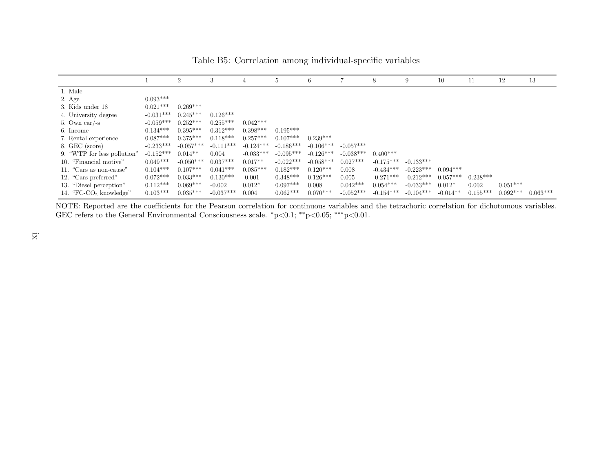|                             |             | $\overline{2}$ | 3           | 4           | b.          | 6           |             | 8           | 9           | 10         | 11         | 12         | 13         |
|-----------------------------|-------------|----------------|-------------|-------------|-------------|-------------|-------------|-------------|-------------|------------|------------|------------|------------|
| 1. Male                     |             |                |             |             |             |             |             |             |             |            |            |            |            |
| 2. Age                      | $0.093***$  |                |             |             |             |             |             |             |             |            |            |            |            |
| 3. Kids under 18            | $0.021***$  | $0.269***$     |             |             |             |             |             |             |             |            |            |            |            |
| 4. University degree        | $-0.031***$ | $0.245***$     | $0.126***$  |             |             |             |             |             |             |            |            |            |            |
| 5. Own car/-s               | $-0.059***$ | $0.252***$     | $0.255***$  | $0.042***$  |             |             |             |             |             |            |            |            |            |
| 6. Income                   | $0.134***$  | $0.395***$     | $0.312***$  | $0.398***$  | $0.195***$  |             |             |             |             |            |            |            |            |
| 7. Rental experience        | $0.087***$  | $0.375***$     | $0.118***$  | $0.257***$  | $0.107***$  | $0.239***$  |             |             |             |            |            |            |            |
| 8. GEC (score)              | $-0.233***$ | $-0.057***$    | $-0.111***$ | $-0.124***$ | $-0.186***$ | $-0.106***$ | $-0.057***$ |             |             |            |            |            |            |
| 9. "WTP for less pollution" | $-0.152***$ | $0.014**$      | 0.004       | $-0.033***$ | $-0.095***$ | $-0.126***$ | $-0.038***$ | $0.400***$  |             |            |            |            |            |
| 10. "Financial motive"      | $0.049***$  | $-0.050***$    | $0.037***$  | $0.017**$   | $-0.022***$ | $-0.058***$ | $0.027***$  | $-0.175***$ | $-0.133***$ |            |            |            |            |
| 11. "Cars as non-cause"     | $0.104***$  | $0.107***$     | $0.041***$  | $0.085***$  | $0.182***$  | $0.120***$  | 0.008       | $-0.434***$ | $-0.223***$ | $0.094***$ |            |            |            |
| 12. "Cars preferred"        | $0.072***$  | $0.033***$     | $0.130***$  | $-0.001$    | $0.348***$  | $0.126***$  | 0.005       | $-0.271***$ | $-0.212***$ | $0.057***$ | $0.238***$ |            |            |
| 13. "Diesel perception"     | $0.112***$  | $0.069***$     | $-0.002$    | $0.012*$    | $0.097***$  | 0.008       | $0.042***$  | $0.054***$  | $-0.033***$ | $0.012*$   | 0.002      | $0.051***$ |            |
| 14. "FC- $CO2$ knowledge"   | $0.103***$  | $0.035***$     | $-0.037***$ | 0.004       | $0.062***$  | $0.070***$  | $-0.052***$ | $-0.154***$ | $-0.104***$ | $-0.014**$ | $0.155***$ | $0.092***$ | $0.063***$ |

Table B5: Correlation among individual-specific variables

NOTE: Reported are the coefficients for the Pearson correlation for continuous variables and the tetrachoric correlation for dichotomous variables. GEC refers to the General Environmental Consciousness scale. \*p<0.1; \*\*p<0.05; \*\*\*p<0.01.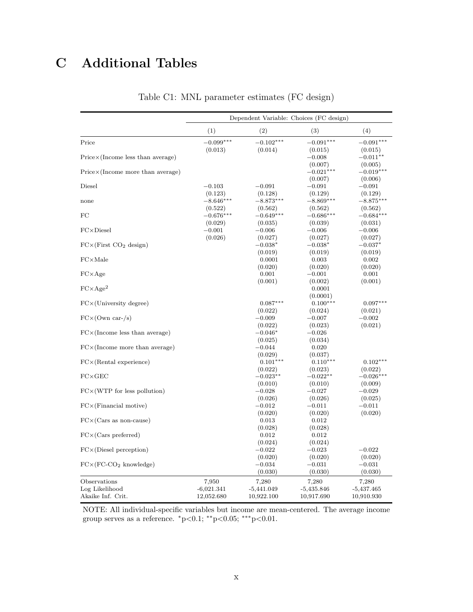## <span id="page-47-0"></span>C Additional Tables

|                                                     |                                     | Dependent Variable: Choices (FC design) |                                     |                                     |
|-----------------------------------------------------|-------------------------------------|-----------------------------------------|-------------------------------------|-------------------------------------|
|                                                     | (1)                                 | (2)                                     | (3)                                 | (4)                                 |
| Price                                               | $-0.099***$<br>(0.013)              | $-0.102***$<br>(0.014)                  | $-0.091***$<br>(0.015)              | $-0.091***$                         |
| $Price \times (Income less than average)$           |                                     |                                         | $-0.008$                            | (0.015)<br>$-0.011**$               |
| $Price \times (Income more than average)$           |                                     |                                         | (0.007)<br>$-0.021***$              | (0.005)<br>$-0.019***$              |
| Diesel                                              | $-0.103$                            | $-0.091$                                | (0.007)<br>$-0.091$                 | (0.006)<br>$-0.091$                 |
| none                                                | (0.123)<br>$-8.646***$<br>(0.522)   | (0.128)<br>$-8.873***$<br>(0.562)       | (0.129)<br>$-8.869***$<br>(0.562)   | (0.129)<br>$-8.875***$<br>(0.562)   |
| FC                                                  | $-0.676***$<br>(0.029)              | $-0.649***$<br>(0.035)                  | $-0.686***$<br>(0.039)              | $-0.684***$<br>(0.031)              |
| $FC \times Diesel$                                  | $-0.001$<br>(0.026)                 | $-0.006$<br>(0.027)                     | $-0.006$<br>(0.027)                 | $-0.006$<br>(0.027)                 |
| $FC \times (First CO2 design)$                      |                                     | $-0.038*$<br>(0.019)                    | $-0.038*$<br>(0.019)                | $-0.037*$<br>(0.019)                |
| $FC \times Male$                                    |                                     | 0.0001<br>(0.020)                       | 0.003<br>(0.020)                    | 0.002<br>(0.020)                    |
| $FC \times Age$                                     |                                     | 0.001<br>(0.001)                        | $-0.001$<br>(0.002)                 | 0.001<br>(0.001)                    |
| $FC \times Age^2$                                   |                                     |                                         | 0.0001<br>(0.0001)                  |                                     |
| $FC \times (University degree)$                     |                                     | $0.087***$<br>(0.022)                   | $0.100***$<br>(0.024)               | $0.097***$<br>(0.021)               |
| $FC \times (Own \, car - /s)$                       |                                     | $-0.009$<br>(0.022)                     | $-0.007$<br>(0.023)                 | $-0.002$<br>(0.021)                 |
| $FC \times (Income less than average)$              |                                     | $-0.046*$<br>(0.025)                    | $-0.026$<br>(0.034)                 |                                     |
| $FC \times (Income more than average)$              |                                     | $-0.044$<br>(0.029)                     | 0.020<br>(0.037)                    |                                     |
| $FC \times (Rental experience)$                     |                                     | $0.101***$<br>(0.022)                   | $0.110***$<br>(0.023)               | $0.102***$<br>(0.022)               |
| $FC \times GEC$                                     |                                     | $-0.023**$<br>(0.010)                   | $-0.022**$<br>(0.010)               | $-0.026*$<br>(0.009)                |
| $FC \times (WTP)$ for less pollution)               |                                     | $-0.028$<br>(0.026)                     | $-0.027$<br>(0.026)                 | $-0.029$<br>(0.025)                 |
| $FC \times (Financial\; motive)$                    |                                     | $-0.012$<br>(0.020)                     | $-0.011$<br>(0.020)                 | $-0.011$<br>(0.020)                 |
| $FC \times (Cars$ as non-cause)                     |                                     | 0.013<br>(0.028)                        | 0.012<br>(0.028)                    |                                     |
| $FC \times (Cars$ preferred)                        |                                     | 0.012<br>(0.024)                        | 0.012<br>(0.024)                    |                                     |
| $FC \times (Diesel\,\,perception)$                  |                                     | $-0.022$<br>(0.020)                     | $-0.023\,$<br>(0.020)               | $-0.022$<br>(0.020)                 |
| $FC \times (FC-CO2 knowledge)$                      |                                     | $-0.034$<br>(0.030)                     | $-0.031$<br>(0.030)                 | $-0.031$<br>(0.030)                 |
| Observations<br>Log Likelihood<br>Akaike Inf. Crit. | 7,950<br>$-6,021.341$<br>12,052.680 | 7,280<br>$-5,441.049$<br>10,922.100     | 7,280<br>$-5,435.846$<br>10,917.690 | 7,280<br>$-5,437.465$<br>10,910.930 |

Table C1: MNL parameter estimates (FC design)

NOTE: All individual-specific variables but income are mean-centered. The average income group serves as a reference.  $*p<0.1$ ;  $**p<0.05$ ;  $**p<0.01$ .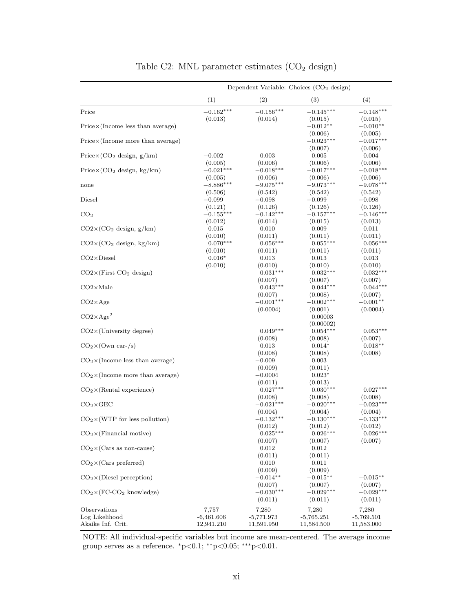<span id="page-48-0"></span>

|                                           |                            |                            | Dependent Variable: Choices $(CO2$ design) |                            |
|-------------------------------------------|----------------------------|----------------------------|--------------------------------------------|----------------------------|
|                                           | (1)                        | (2)                        | (3)                                        | (4)                        |
| Price                                     | $-0.162***$                | $-0.156***$                | $-0.145***$                                | $-0.148***$                |
| $Price \times (Income less than average)$ | (0.013)                    | (0.014)                    | (0.015)<br>$-0.012**$                      | (0.015)<br>$-0.010**$      |
|                                           |                            |                            | (0.006)                                    | (0.005)                    |
| $Price \times (Income more than average)$ |                            |                            | $-0.023***$<br>(0.007)                     | $-0.017***$<br>(0.006)     |
| $Price \times (CO_2$ design, $g/km)$      | $-0.002$                   | 0.003                      | 0.005                                      | 0.004                      |
|                                           | (0.005)                    | (0.006)                    | (0.006)                                    | (0.006)                    |
| $Price \times (CO_2$ design, kg/km)       | $-0.021***$                | $-0.018***$                | $-0.017***$                                | $-0.018***$                |
| none                                      | (0.005)<br>$-8.886***$     | (0.006)<br>$-9.075***$     | (0.006)<br>$-9.073***$                     | (0.006)<br>$-9.078***$     |
|                                           | (0.506)                    | (0.542)                    | (0.542)                                    | (0.542)                    |
| Diesel                                    | $-0.099$                   | $-0.098$                   | $-0.099$                                   | $-0.098$                   |
|                                           | (0.121)                    | (0.126)                    | (0.126)                                    | (0.126)                    |
| CO <sub>2</sub>                           | $-0.155***$                | $-0.142***$                | $-0.157***$                                | $-0.146***$                |
| $CO2 \times (CO2$ design, $g/km)$         | (0.012)<br>0.015           | (0.014)<br>0.010           | (0.015)<br>0.009                           | (0.013)<br>0.011           |
|                                           | (0.010)                    | (0.011)                    | (0.011)                                    | (0.011)                    |
| $CO2 \times (CO2$ design, kg/km)          | $0.070***$                 | $0.056***$                 | $0.055***$                                 | $0.056***$                 |
|                                           | (0.010)                    | (0.011)                    | (0.011)                                    | (0.011)                    |
| $CO2\times$ Diesel                        | $0.016*$                   | 0.013                      | 0.013                                      | 0.013                      |
|                                           | (0.010)                    | (0.010)                    | (0.010)                                    | (0.010)                    |
| $CO2\times$ (First $CO2$ design)          |                            | $0.031***$                 | $0.032***$                                 | $0.032***$                 |
| $CO2\times$ Male                          |                            | (0.007)<br>$0.043***$      | (0.007)<br>$0.044***$                      | (0.007)<br>$0.044***$      |
|                                           |                            | (0.007)                    | (0.008)                                    | (0.007)                    |
| $CO2\times Age$                           |                            | $-0.001***$                | $-0.002***$                                | $-0.001**$                 |
|                                           |                            | (0.0004)                   | (0.001)                                    | (0.0004)                   |
| $CO2 \times Age^2$                        |                            |                            | 0.00003                                    |                            |
|                                           |                            |                            | (0.00002)                                  |                            |
| $CO2\times$ (University degree)           |                            | $0.049***$                 | $0.054***$                                 | $0.053***$                 |
| $CO_2 \times (Own \text{ car} - /s)$      |                            | (0.008)<br>0.013           | (0.008)<br>$0.014*$                        | (0.007)<br>$0.018**$       |
|                                           |                            | (0.008)                    | (0.008)                                    | (0.008)                    |
| $CO2 \times (Income less than average)$   |                            | $-0.009$                   | 0.003                                      |                            |
|                                           |                            | (0.009)                    | (0.011)                                    |                            |
| $CO2 \times (Income more than average)$   |                            | $-0.0004$                  | $0.023*$                                   |                            |
|                                           |                            | (0.011)                    | (0.013)                                    |                            |
| $CO2 \times (Rental experience)$          |                            | $0.027***$<br>(0.008)      | $0.030***$<br>(0.008)                      | $0.027***$<br>(0.008)      |
| $CO2 \times GEO$                          |                            | $-0.021***$                | $-0.020***$                                | $-0.023***$                |
|                                           |                            | (0.004)                    | (0.004)                                    | (0.004)                    |
| $CO2 \times (WTP)$ for less pollution)    |                            | $-0.132***$                | $-0.130***$                                | $-0.133***$                |
|                                           |                            | (0.012)                    | (0.012)                                    | (0.012)                    |
| $CO2 \times (Financial\; motive)$         |                            | $0.025***$                 | $0.026***$                                 | $0.026***$                 |
| $CO2 \times (Cars as non-cause)$          |                            | (0.007)<br>0.012           | (0.007)<br>0.012                           | (0.007)                    |
|                                           |                            | (0.011)                    | (0.011)                                    |                            |
| $CO2 \times (Cars preferred)$             |                            | 0.010                      | 0.011                                      |                            |
|                                           |                            | (0.009)                    | (0.009)                                    |                            |
| $CO2 \times (Diesel)$ perception)         |                            | $-0.014**$                 | $-0.015**$                                 | $-0.015**$                 |
|                                           |                            | (0.007)                    | (0.007)                                    | (0.007)                    |
| $CO_2 \times (FC-CO_2 \text{ knowledge})$ |                            | $-0.030***$                | $-0.029***$                                | $-0.029***$                |
|                                           |                            | (0.011)                    | (0.011)                                    | (0.011)                    |
| Observations<br>Log Likelihood            | 7,757                      | 7,280                      | 7,280                                      | 7,280                      |
| Akaike Inf. Crit.                         | $-6,461.606$<br>12,941.210 | $-5,771.973$<br>11,591.950 | $-5,765.251$<br>11,584.500                 | $-5,769.501$<br>11,583.000 |

Table C2: MNL parameter estimates  $(\mathrm{CO}_2$  design)

NOTE: All individual-specific variables but income are mean-centered. The average income group serves as a reference.  $^*p{<}0.1;$   $^{**}p{<}0.05;$   $^{***}p{<}0.01.$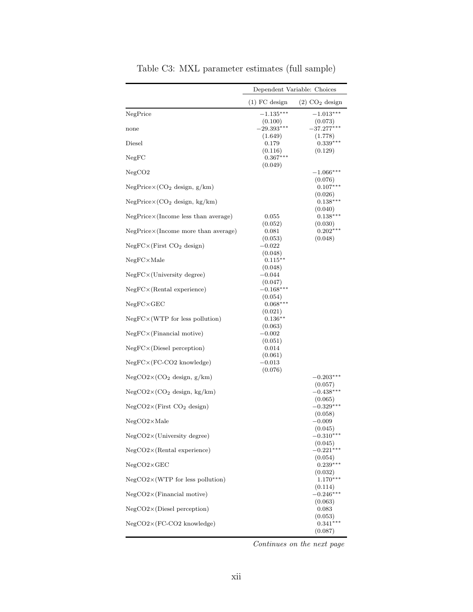<span id="page-49-0"></span>

|                                              |                                 | Dependent Variable: Choices      |
|----------------------------------------------|---------------------------------|----------------------------------|
|                                              | $(1)$ FC design                 | $(2)$ CO <sub>2</sub> design     |
| NegPrice                                     | $-1.135***$<br>(0.100)          | $-1.013***$<br>(0.073)           |
| none                                         | $-29.393***$<br>(1.649)         | $-37.277***$<br>(1.778)          |
| Diesel                                       | 0.179<br>(0.116)                | $0.339***$<br>(0.129)            |
| NegFC                                        | $0.367***$<br>(0.049)           |                                  |
| ${\rm NegCO2}$                               |                                 | $-1.066***$<br>(0.076)           |
| $NegPrice \times (CO2 design, g/km)$         |                                 | $0.107***$<br>(0.026)            |
| $NegPrice \times (CO_2$ design, kg/km)       |                                 | $0.138***$                       |
| $NegPrice \times (Income less than average)$ | 0.055                           | (0.040)<br>$0.138***$            |
| NegPrice×(Income more than average)          | (0.052)<br>0.081                | (0.030)<br>$0.202***$            |
| $NegFC \times (First CO2 design)$            | (0.053)<br>$-0.022\,$           | (0.048)                          |
| $NegFC\times Male$                           | (0.048)<br>$0.115***$           |                                  |
| $NegFC \times (University degree)$           | (0.048)<br>$-0.044$             |                                  |
| $NegFC \times (Rental experience)$           | (0.047)<br>$-0.168***$          |                                  |
| $NegFC \times GEO$                           | (0.054)<br>$0.068***$           |                                  |
| $NegFC \times (WTP)$ for less pollution)     | (0.021)<br>$0.136**$<br>(0.063) |                                  |
| $NegFC \times (Financial\; motive)$          | -0.002                          |                                  |
| $NegFC \times (Diesel\,\,perception)$        | (0.051)<br>0.014<br>(0.061)     |                                  |
| $NegFC \times (FC-CO2$ knowledge)            | $-0.013$<br>(0.076)             |                                  |
| $NegCO2\times (CO2$ design, $g/km)$          |                                 | $-0.203***$                      |
| $NegCO2\times (CO2$ design, kg/km)           |                                 | (0.057)<br>$-0.438***$           |
| $NegCO2\times (First CO2 design)$            |                                 | (0.065)<br>$-0.329***$           |
| $NegCO2\times Male$                          |                                 | (0.058)<br>$-0.009$              |
| $NegCO2\times (University degree)$           |                                 | (0.045)<br>$-0.310***$           |
| $NegCO2\times (Rental experience)$           |                                 | (0.045)<br>$-0.221***$           |
| $NegCO2\times GEC$                           |                                 | (0.054)<br>$0.239***$            |
| $NegCO2\times(WTP)$ for less pollution)      |                                 | (0.032)<br>$1.170***$            |
| $NegCO2\times (Financial\; motive)$          |                                 | (0.114)<br>$-0.246***$           |
| $NegCO2\times(Diesel)$ perception)           |                                 | (0.063)<br>0.083                 |
| $NegCO2\times (FC-CO2$ knowledge)            |                                 | (0.053)<br>$0.341***$<br>(0.087) |

Table C3: MXL parameter estimates (full sample)

Continues on the next page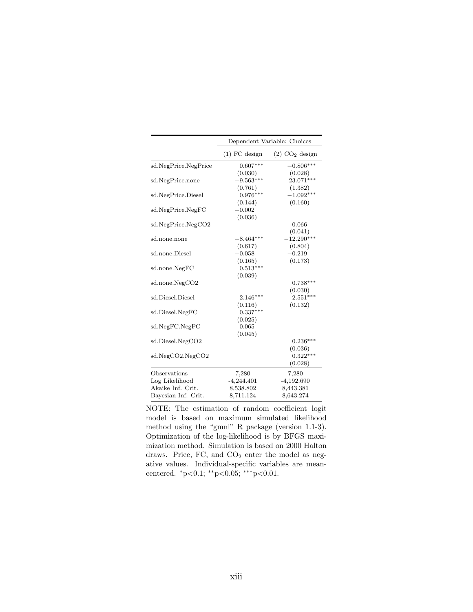|                      |                 | Dependent Variable: Choices  |
|----------------------|-----------------|------------------------------|
|                      | $(1)$ FC design | $(2)$ CO <sub>2</sub> design |
| sd.NegPrice.NegPrice | $0.607***$      | $-0.806***$                  |
|                      | (0.030)         | (0.028)                      |
| sd.NegPrice.none     | $-9.563***$     | $23.071***$                  |
|                      | (0.761)         | (1.382)                      |
| sd.NegPrice.Diesel   | $0.976***$      | $-1.092***$                  |
|                      | (0.144)         | (0.160)                      |
| sd.NegPrice.NegFC    | $-0.002$        |                              |
|                      | (0.036)         |                              |
| sd.NegPrice.NegCO2   |                 | 0.066                        |
|                      |                 | (0.041)                      |
| sd.none.none         | $-8.464***$     | $-12.290***$                 |
|                      | (0.617)         | (0.804)                      |
| sd.none.Diesel       | $-0.058$        | $-0.219$                     |
|                      | (0.165)         | (0.173)                      |
| sd.none.NegFC        | $0.513***$      |                              |
|                      | (0.039)         |                              |
| sd.none.NegCO2       |                 | $0.738***$                   |
|                      |                 | (0.030)                      |
| sd.Diesel.Diesel     | $2.146***$      | $2.551***$                   |
|                      | (0.116)         | (0.132)                      |
| sd.Diesel.NegFC      | $0.337***$      |                              |
|                      | (0.025)         |                              |
| sd.NegFC.NegFC       | 0.065           |                              |
|                      | (0.045)         |                              |
| sd.Diesel.NegCO2     |                 | $0.236***$                   |
|                      |                 | (0.036)                      |
| sd.NegCO2.NegCO2     |                 | $0.322***$                   |
|                      |                 | (0.028)                      |
| Observations         | 7,280           | 7,280                        |
| Log Likelihood       | $-4,244.401$    | $-4,192.690$                 |
| Akaike Inf. Crit.    | 8,538.802       | 8,443.381                    |
| Bayesian Inf. Crit.  | 8,711.124       | 8,643.274                    |
|                      |                 |                              |

NOTE: The estimation of random coefficient logit model is based on maximum simulated likelihood method using the "gmnl" R package (version 1.1-3). Optimization of the log-likelihood is by BFGS maximization method. Simulation is based on 2000 Halton draws. Price,  $FC$ , and  $CO<sub>2</sub>$  enter the model as negative values. Individual-specific variables are meancentered.  $*p<0.1$ ;  $*p<0.05$ ;  $**p<0.01$ .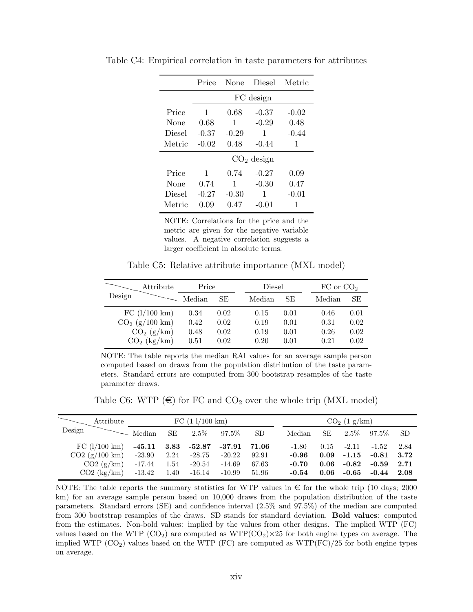|               | Price   | None    | <b>Diesel</b> | Metric  |
|---------------|---------|---------|---------------|---------|
|               |         |         | FC design     |         |
| Price         | 1       | 0.68    | $-0.37$       | $-0.02$ |
| None          | 0.68    | 1       | $-0.29$       | 0.48    |
| <b>Diesel</b> | $-0.37$ | $-0.29$ | 1             | $-0.44$ |
| Metric        | $-0.02$ | 0.48    | $-0.44$       | 1       |
|               |         |         | $CO2$ design  |         |
| Price         | 1       | 0.74    | $-0.27$       | 0.09    |
| None          | 0.74    | 1       | $-0.30$       | 0.47    |
| Diesel        | $-0.27$ | $-0.30$ | 1             | $-0.01$ |
| Metric        | 0.09    | 0.47    | $-0.01$       | 1       |

<span id="page-51-0"></span>Table C4: Empirical correlation in taste parameters for attributes

NOTE: Correlations for the price and the metric are given for the negative variable values. A negative correlation suggests a larger coefficient in absolute terms.

Table C5: Relative attribute importance (MXL model)

<span id="page-51-1"></span>

|        | Attribute        | Price  |      | Diesel |      | $FC$ or $CO2$ |      |
|--------|------------------|--------|------|--------|------|---------------|------|
| Design |                  | Median | SE   | Median | SE   | Median        | SE   |
|        | FC (1/100 km)    | 0.34   | 0.02 | 0.15   | 0.01 | 0.46          | 0.01 |
|        | $CO2$ (g/100 km) | 0.42   | 0.02 | 0.19   | 0.01 | 0.31          | 0.02 |
|        | $CO2$ (g/km)     | 0.48   | 0.02 | 0.19   | 0.01 | 0.26          | 0.02 |
|        | $CO2$ (kg/km)    | 0.51   | 0.02 | 0.20   | 0.01 | 0.21          | 0.02 |

NOTE: The table reports the median RAI values for an average sample person computed based on draws from the population distribution of the taste parameters. Standard errors are computed from 300 bootstrap resamples of the taste parameter draws.

Table C6: WTP  $(\epsilon)$  for FC and CO<sub>2</sub> over the whole trip (MXL model)

<span id="page-51-2"></span>

|        | Attribute               |          |      | FC (11/100 km)           |                                    |       |         |      | CO <sub>2</sub> (1 g/km) |               |      |
|--------|-------------------------|----------|------|--------------------------|------------------------------------|-------|---------|------|--------------------------|---------------|------|
| Design |                         | Median   | SE.  | $2.5\%$                  | $97.5\%$                           | SD.   | Median  | SE   |                          | $2.5\%$ 97.5% | -SD  |
|        | FC $(l/100 \text{ km})$ |          |      | $-45.11$ $3.83$ $-52.87$ | $\textcolor{red}{\textbf{-37.91}}$ | 71.06 | $-1.80$ |      | $0.15$ $-2.11$ $-1.52$   |               | 2.84 |
|        | CO2 (g/100 km)          | $-23.90$ | 2.24 | $-28.75$                 | $-20.22$                           | 92.91 | -0.96   | 0.09 | $-1.15$ $-0.81$          |               | 3.72 |
|        | CO2 (g/km)              | $-17.44$ | 1.54 | $-20.54$                 | -14.69                             | 67.63 | $-0.70$ | 0.06 | -0.82 $\,$               | $-0.59$       | 2.71 |
|        | $CO2$ (kg/km)           | -13.42   | 1.40 | $-16.14$                 | -10.99                             | 51.96 | $-0.54$ | 0.06 | $-0.65$                  | $-0.44$       | 2.08 |

NOTE: The table reports the summary statistics for WTP values in  $\epsilon$  for the whole trip (10 days; 2000) km) for an average sample person based on 10,000 draws from the population distribution of the taste parameters. Standard errors (SE) and confidence interval (2.5% and 97.5%) of the median are computed from 300 bootstrap resamples of the draws. SD stands for standard deviation. Bold values: computed from the estimates. Non-bold values: implied by the values from other designs. The implied WTP (FC) values based on the WTP ( $CO<sub>2</sub>$ ) are computed as WTP( $CO<sub>2</sub>$ )×25 for both engine types on average. The implied WTP  $(CO_2)$  values based on the WTP  $(FC)$  are computed as WTP $(FC)/25$  for both engine types on average.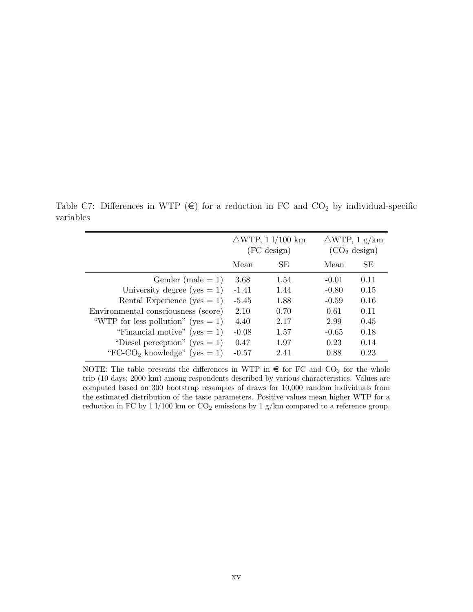$\triangle WTP$ , 1 l/100 km  $\triangle WTP$ , 1 g/km  $(FC \text{ design})$   $(CO<sub>2</sub> \text{ design})$ Mean SE Mean SE Gender (male = 1)  $3.68$  1.54  $-0.01$  0.11 University degree  $(yes = 1) -1.41 -1.44 -0.80 -0.15$ Rental Experience  $(yes = 1)$  -5.45 1.88 -0.59 0.16 Environmental consciousness (score) 2.10 0.70 0.61 0.11 "WTP for less pollution" (yes = 1)  $4.40$   $2.17$   $2.99$   $0.45$ "Financial motive" (yes = 1)  $-0.08$  1.57  $-0.65$  0.18 "Diesel perception" (yes = 1)  $0.47$  1.97  $0.23$  0.14 "FC-CO<sub>2</sub> knowledge" (yes = 1)  $-0.57$  2.41 0.88 0.23

<span id="page-52-0"></span>Table C7: Differences in WTP  $(\epsilon)$  for a reduction in FC and CO<sub>2</sub> by individual-specific variables

NOTE: The table presents the differences in WTP in  $\epsilon$  for FC and CO<sub>2</sub> for the whole trip (10 days; 2000 km) among respondents described by various characteristics. Values are computed based on 300 bootstrap resamples of draws for 10,000 random individuals from the estimated distribution of the taste parameters. Positive values mean higher WTP for a reduction in FC by 1 l/100 km or  $CO_2$  emissions by 1 g/km compared to a reference group.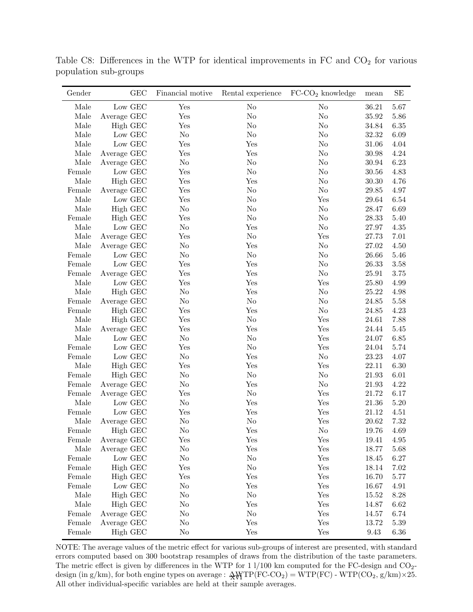| Gender     | GEC         | Financial motive | Rental experience | $FC-CO2$ knowledge | mean      | SE       |
|------------|-------------|------------------|-------------------|--------------------|-----------|----------|
| Male       | Low GEC     | Yes              | $\rm No$          | No                 | 36.21     | 5.67     |
| Male       | Average GEC | Yes              | $\rm No$          | $\rm No$           | $35.92\,$ | 5.86     |
| Male       | High GEC    | Yes              | No                | $\rm No$           | 34.84     | 6.35     |
| Male       | Low GEC     | N <sub>o</sub>   | No                | $\rm No$           | 32.32     | 6.09     |
| $\rm Male$ | Low GEC     | Yes              | Yes               | $\rm No$           | 31.06     | 4.04     |
| Male       | Average GEC | Yes              | Yes               | $\rm No$           | 30.98     | 4.24     |
| Male       | Average GEC | N <sub>o</sub>   | No                | $\rm No$           | 30.94     | 6.23     |
| Female     | Low GEC     | Yes              | No                | $\rm No$           | 30.56     | 4.83     |
| Male       | High GEC    | Yes              | Yes               | $\rm No$           | 30.30     | 4.76     |
| Female     | Average GEC | Yes              | No                | N <sub>o</sub>     | 29.85     | 4.97     |
| Male       | Low GEC     | Yes              | N <sub>o</sub>    | Yes                | 29.64     | 6.54     |
| Male       | High GEC    | N <sub>o</sub>   | N <sub>o</sub>    | $\rm No$           | 28.47     | 6.69     |
| Female     | High GEC    | Yes              | N <sub>o</sub>    | $\rm No$           | 28.33     | 5.40     |
| Male       | Low GEC     | N <sub>o</sub>   | Yes               | N <sub>o</sub>     | 27.97     | 4.35     |
| Male       | Average GEC | Yes              | No                | Yes                | 27.73     | 7.01     |
| Male       | Average GEC | No               | Yes               | $\rm No$           | 27.02     | 4.50     |
| Female     | Low GEC     | N <sub>o</sub>   | N <sub>o</sub>    | $\rm No$           | 26.66     | 5.46     |
| Female     | Low GEC     | Yes              | Yes               | $\rm No$           | 26.33     | 3.58     |
| Female     | Average GEC | Yes              | Yes               | N <sub>o</sub>     | 25.91     | 3.75     |
| Male       | Low GEC     | Yes              | Yes               | Yes                | 25.80     | 4.99     |
| Male       | High GEC    | No               | Yes               | $\rm No$           | 25.22     | 4.98     |
| Female     | Average GEC | No               | N <sub>o</sub>    | $\rm No$           | 24.85     | 5.58     |
| Female     | High GEC    | Yes              | Yes               | $\rm No$           | 24.85     | 4.23     |
| Male       | High GEC    | Yes              | No                | Yes                | 24.61     | 7.88     |
| Male       | Average GEC | Yes              | Yes               | Yes                | 24.44     | 5.45     |
| Male       | Low GEC     | No               | No                | Yes                | 24.07     | 6.85     |
| Female     | Low GEC     | Yes              | N <sub>o</sub>    | Yes                | 24.04     | 5.74     |
| Female     | Low GEC     | N <sub>o</sub>   | Yes               | $\rm No$           | 23.23     | 4.07     |
| Male       | High GEC    | Yes              | Yes               | Yes                | 22.11     | 6.30     |
| Female     | High GEC    | No               | N <sub>o</sub>    | $\rm No$           | 21.93     | 6.01     |
| Female     | Average GEC | No               | Yes               | $\rm No$           | 21.93     | 4.22     |
| Female     | Average GEC | Yes              | N <sub>o</sub>    | Yes                | 21.72     | 6.17     |
| Male       | Low GEC     | N <sub>o</sub>   | Yes               | Yes                | 21.36     | 5.20     |
| Female     | Low GEC     | Yes              | Yes               | Yes                | 21.12     | 4.51     |
| Male       | Average GEC | No               | No                | Yes                | 20.62     | 7.32     |
| Female     | High GEC    | No               | $_{\rm Yes}$      | N <sub>o</sub>     | 19.76     | 4.69     |
| Female     | Average GEC | Yes              | Yes               | Yes                | 19.41     | 4.95     |
| Male       | Average GEC | No               | Yes               | Yes                | 18.77     | 5.68     |
| Female     | Low GEC     | No               | N <sub>o</sub>    | Yes                | 18.45     | $6.27\,$ |
| Female     | High GEC    | Yes              | N <sub>o</sub>    | Yes                | 18.14     | 7.02     |
| Female     | High GEC    | Yes              | Yes               | Yes                | 16.70     | 5.77     |
| Female     | Low GEC     | No               | Yes               | Yes                | 16.67     | 4.91     |
| Male       | High GEC    | No               | N <sub>o</sub>    | Yes                | 15.52     | 8.28     |
| Male       | High GEC    | No               | Yes               | Yes                | 14.87     | 6.62     |
| Female     | Average GEC | No               | N <sub>o</sub>    | Yes                | 14.57     | 6.74     |
| Female     | Average GEC | No               | Yes               | Yes                | 13.72     | 5.39     |
| Female     | High GEC    | No               | Yes               | Yes                | 9.43      | 6.36     |

<span id="page-53-0"></span>Table C8: Differences in the WTP for identical improvements in  $FC$  and  $CO<sub>2</sub>$  for various population sub-groups

NOTE: The average values of the metric effect for various sub-groups of interest are presented, with standard errors computed based on 300 bootstrap resamples of draws from the distribution of the taste parameters. The metric effect is given by differences in the WTP for 1 l/100 km computed for the FC-design and CO<sub>2</sub>design (in g/km), for both engine types on average :  $\frac{A}{A} \sqrt{TP(FC\text{-}CO_2)} = \text{WTP(FC)} - \text{WTP(CO}_2, \text{g/km}) \times 25.$ All other individual-specific variables are held at their sample averages.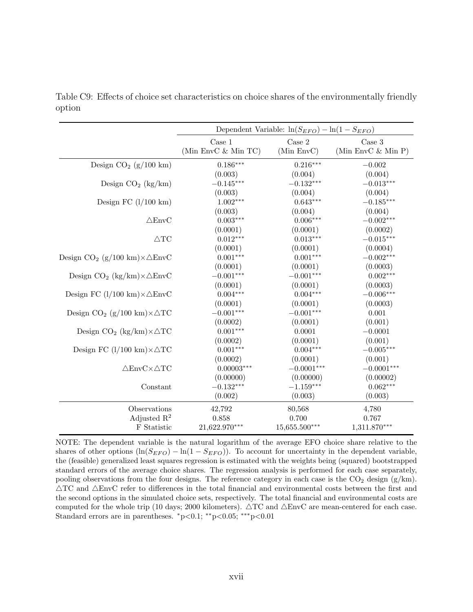|                                                          |                     | Dependent Variable: $\ln(S_{EFO}) - \ln(1 - S_{EFO})$ |                       |
|----------------------------------------------------------|---------------------|-------------------------------------------------------|-----------------------|
|                                                          | Case 1              | Case 2                                                | $\rm Case~3$          |
|                                                          | (Min EnvC & Min TC) | (Min EnvC)                                            | (Min EnvC $\&$ Min P) |
| Design $CO2$ (g/100 km)                                  | $0.186***$          | $0.216***$                                            | $-0.002$              |
|                                                          | (0.003)             | (0.004)                                               | (0.004)               |
| Design $CO_2$ (kg/km)                                    | $-0.145***$         | $-0.132***$                                           | $-0.013***$           |
|                                                          | (0.003)             | (0.004)                                               | (0.004)               |
| Design FC $(l/100 \text{ km})$                           | $1.002***$          | $0.643***$                                            | $-0.185***$           |
|                                                          | (0.003)             | (0.004)                                               | (0.004)               |
| $\triangle$ EnvC                                         | $0.003***$          | $0.006***$                                            | $-0.002***$           |
|                                                          | (0.0001)            | (0.0001)                                              | (0.0002)              |
| $\triangle TC$                                           | $0.012***$          | $0.013***$                                            | $-0.015***$           |
|                                                          | (0.0001)            | (0.0001)                                              | (0.0004)              |
| Design $CO_2$ (g/100 km) $\times \triangle$ EnvC         | $0.001***$          | $0.001***$                                            | $-0.002***$           |
|                                                          | (0.0001)            | (0.0001)                                              | (0.0003)              |
| Design $CO_2$ (kg/km) $\times \triangle$ EnvC            | $-0.001***$         | $-0.001***$                                           | $0.002***$            |
|                                                          | (0.0001)            | (0.0001)                                              | (0.0003)              |
| Design FC $(l/100 \text{ km}) \times \Delta \text{EnvC}$ | $0.004***$          | $0.004***$                                            | $-0.006***$           |
|                                                          | (0.0001)            | (0.0001)                                              | (0.0003)              |
| Design $CO_2$ (g/100 km) $\times \triangle TC$           | $-0.001***$         | $-0.001***$                                           | 0.001                 |
|                                                          | (0.0002)            | (0.0001)                                              | (0.001)               |
| Design $CO_2$ (kg/km) $\times \Delta TC$                 | $0.001***$          | 0.0001                                                | $-0.0001$             |
|                                                          | (0.0002)            | (0.0001)                                              | (0.001)               |
| Design FC $(l/100 \text{ km}) \times \Delta \text{TC}$   | $0.001***$          | $0.004***$                                            | $-0.005***$           |
|                                                          | (0.0002)            | (0.0001)                                              | (0.001)               |
| $\triangle EnvC\times \triangle TC$                      | $0.00003***$        | $-0.0001***$                                          | $-0.0001***$          |
|                                                          | (0.00000)           | (0.00000)                                             | (0.00002)             |
| Constant                                                 | $-0.132***$         | $-1.159***$                                           | $0.062***$            |
|                                                          | (0.002)             | (0.003)                                               | (0.003)               |
| Observations                                             | 42,792              | 80,568                                                | 4,780                 |
| Adjusted $\mathbb{R}^2$                                  | 0.858               | 0.700                                                 | 0.767                 |
| ${\mathcal F}$ Statistic                                 | 21,622.970***       | $15,655.500***$                                       | $1,311.870***$        |

<span id="page-54-0"></span>Table C9: Effects of choice set characteristics on choice shares of the environmentally friendly option

NOTE: The dependent variable is the natural logarithm of the average EFO choice share relative to the shares of other options  $(\ln(S_{EFO}) - \ln(1 - S_{EFO}))$ . To account for uncertainty in the dependent variable, the (feasible) generalized least squares regression is estimated with the weights being (squared) bootstrapped standard errors of the average choice shares. The regression analysis is performed for each case separately, pooling observations from the four designs. The reference category in each case is the  $CO<sub>2</sub>$  design (g/km).  $\triangle$ TC and  $\triangle$ EnvC refer to differences in the total financial and environmental costs between the first and the second options in the simulated choice sets, respectively. The total financial and environmental costs are computed for the whole trip (10 days; 2000 kilometers).  $\triangle TC$  and  $\triangle EnvC$  are mean-centered for each case. Standard errors are in parentheses.  $p<0.1$ ; \*\*p<0.05; \*\*\*p<0.01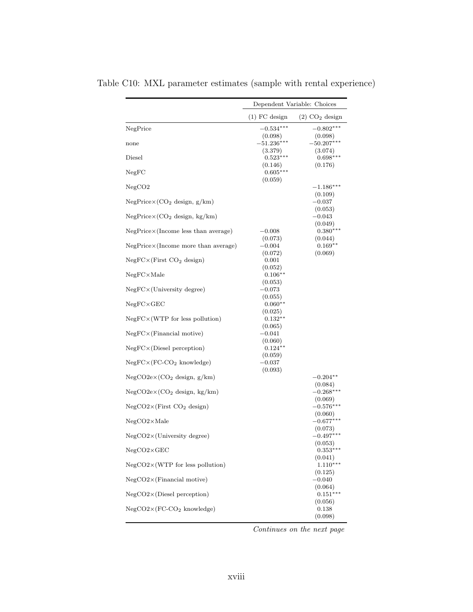|                                              | Dependent Variable: Choices         |                                   |  |  |
|----------------------------------------------|-------------------------------------|-----------------------------------|--|--|
|                                              | $(1)$ FC design                     | $(2)$ CO <sub>2</sub> design      |  |  |
| NegPrice                                     | $-0.534***$                         | $-0.802***$                       |  |  |
| none                                         | (0.098)<br>$-51.236^{\ast\ast\ast}$ | (0.098)<br>$-50.207***$           |  |  |
| Diesel                                       | (3.379)<br>$0.523***$               | (3.074)<br>$0.698***$             |  |  |
| NegFC                                        | (0.146)<br>$0.605***$               | (0.176)                           |  |  |
| NegCO2                                       | (0.059)                             | $-1.186***$<br>(0.109)            |  |  |
| $NegPrice \times (CO2 design, g/km)$         |                                     | $-0.037$<br>(0.053)               |  |  |
| $NegPrice \times (CO2 design, kg/km)$        |                                     | $-0.043$                          |  |  |
| $NegPrice \times (Income less than average)$ | $-0.008$                            | (0.049)<br>$0.380***$             |  |  |
| $NegPrice \times (Income more than average)$ | (0.073)<br>$-0.004$<br>(0.072)      | (0.044)<br>$0.169**$<br>(0.069)   |  |  |
| $NegFC \times (First CO2 design)$            | 0.001<br>(0.052)                    |                                   |  |  |
| $NegFC\times Male$                           | $0.106**$<br>(0.053)                |                                   |  |  |
| $NegFC \times (University degree)$           | $-0.073$<br>(0.055)                 |                                   |  |  |
| $NegFC \times GEO$                           | $0.060**$                           |                                   |  |  |
| $NegFC \times (WTP)$ for less pollution)     | (0.025)<br>$0.132**$<br>(0.065)     |                                   |  |  |
| $NegFC \times (Financial\; motive)$          | $-0.041$<br>(0.060)                 |                                   |  |  |
| $NegFC \times (Diesel\,\,perception)$        | $0.124**$<br>(0.059)                |                                   |  |  |
| $NegFC \times (FC-CO2 knowledge)$            | $-0.037$<br>(0.093)                 |                                   |  |  |
| NegCO2ex(CO <sub>2</sub> design, g/km)       |                                     | $-0.204**$<br>(0.084)             |  |  |
| $NegCO2e\times (CO2$ design, kg/km)          |                                     | $-0.268***$<br>(0.069)            |  |  |
| $NegCO2\times (First CO2 design)$            |                                     | $-0.576***$<br>(0.060)            |  |  |
| $NegCO2\times Male$                          |                                     | $-0.677***$                       |  |  |
| $NegCO2\times (University degree)$           |                                     | (0.073)<br>$-0.497***$<br>(0.053) |  |  |
| $NegCO2\times GEC$                           |                                     | $0.353***$<br>(0.041)             |  |  |
| $NegCO2\times(WTP)$ for less pollution)      |                                     | $1.110***$<br>(0.125)             |  |  |
| $NegCO2\times (Financial\; motive)$          |                                     | $-0.040$<br>(0.064)               |  |  |
| $NegCO2\times(Diesel\,\,perception)$         |                                     | $0.151***$<br>(0.056)             |  |  |
| $NegCO2\times (FC-CO2 knowledge)$            |                                     | 0.138<br>(0.098)                  |  |  |

<span id="page-55-0"></span>Table C10: MXL parameter estimates (sample with rental experience)

Continues on the next page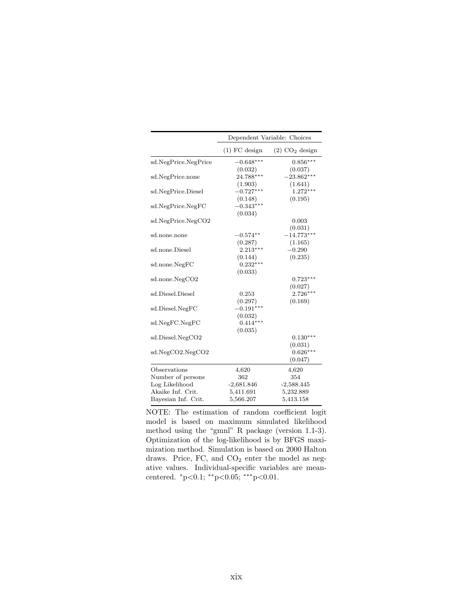|                      | Dependent Variable: Choices |                              |  |  |  |
|----------------------|-----------------------------|------------------------------|--|--|--|
|                      | $(1)$ FC design             | $(2)$ CO <sub>2</sub> design |  |  |  |
| sd.NegPrice.NegPrice | $-0.648***$                 | $0.856***$                   |  |  |  |
|                      | (0.032)                     | (0.037)                      |  |  |  |
| sd.NegPrice.none     | 24.788***                   | $-23.862***$                 |  |  |  |
|                      | (1.903)                     | (1.641)                      |  |  |  |
| sd.NegPrice.Diesel   | $-0.727***$                 | $1.272***$                   |  |  |  |
|                      | (0.148)                     | (0.195)                      |  |  |  |
| sd.NegPrice.NegFC    | $-0.343***$                 |                              |  |  |  |
|                      | (0.034)                     |                              |  |  |  |
| sd.NegPrice.NegCO2   |                             | 0.003                        |  |  |  |
|                      |                             | (0.031)                      |  |  |  |
| sd.none.none         | $-0.574**$                  | $-14.773***$                 |  |  |  |
|                      | (0.287)                     | (1.165)                      |  |  |  |
| sd.none.Diesel       | $2.213***$                  | $-0.290$                     |  |  |  |
|                      | (0.144)                     | (0.235)                      |  |  |  |
| sd.none.NegFC        | $0.232***$                  |                              |  |  |  |
|                      | (0.033)                     |                              |  |  |  |
| sd.none.NegCO2       |                             | $0.723***$                   |  |  |  |
|                      |                             | (0.027)                      |  |  |  |
| sd.Diesel.Diesel     | 0.253                       | $2.726***$                   |  |  |  |
|                      | (0.297)                     | (0.169)                      |  |  |  |
| sd.Diesel.NegFC      | $-0.191***$                 |                              |  |  |  |
|                      | (0.032)                     |                              |  |  |  |
| sd.NegFC.NegFC       | $0.414***$                  |                              |  |  |  |
|                      | (0.035)                     |                              |  |  |  |
| sd.Diesel.NegCO2     |                             | $0.130***$                   |  |  |  |
|                      |                             | (0.031)                      |  |  |  |
| sd.NegCO2.NegCO2     |                             | $0.626***$                   |  |  |  |
|                      |                             | (0.047)                      |  |  |  |
| Observations         | 4,620                       | 4,620                        |  |  |  |
| Number of persons    | 362                         | 354                          |  |  |  |
| Log Likelihood       | $-2,681.846$                | $-2,588.445$                 |  |  |  |
| Akaike Inf. Crit.    | 5,411.691                   | 5,232.889                    |  |  |  |
| Bayesian Inf. Crit.  | 5,566.207                   | 5,413.158                    |  |  |  |

NOTE: The estimation of random coefficient logit model is based on maximum simulated likelihood method using the "gmnl" R package (version 1.1-3). Optimization of the log-likelihood is by BFGS maximization method. Simulation is based on 2000 Halton draws. Price, FC, and  $CO<sub>2</sub>$  enter the model as negative values. Individual-specific variables are meancentered. <sup>∗</sup>p<0.1; ∗∗p<0.05; ∗∗∗p<0.01.